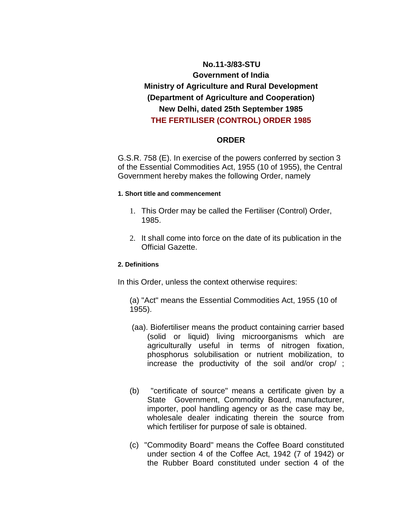# **No.11-3/83-STU Government of India Ministry of Agriculture and Rural Development (Department of Agriculture and Cooperation) New Delhi, dated 25th September 1985 THE FERTILISER (CONTROL) ORDER 1985**

## **ORDER**

G.S.R. 758 (E). In exercise of the powers conferred by section 3 of the Essential Commodities Act, 1955 (10 of 1955), the Central Government hereby makes the following Order, namely

#### **1. Short title and commencement**

- 1. This Order may be called the Fertiliser (Control) Order, 1985.
- 2. It shall come into force on the date of its publication in the Official Gazette.

## **2. Definitions**

In this Order, unless the context otherwise requires:

(a) "Act" means the Essential Commodities Act, 1955 (10 of 1955).

- (aa). Biofertiliser means the product containing carrier based (solid or liquid) living microorganisms which are agriculturally useful in terms of nitrogen fixation, phosphorus solubilisation or nutrient mobilization, to increase the productivity of the soil and/or crop/ ;
- (b) "certificate of source" means a certificate given by a State Government, Commodity Board, manufacturer, importer, pool handling agency or as the case may be, wholesale dealer indicating therein the source from which fertiliser for purpose of sale is obtained.
- (c) "Commodity Board" means the Coffee Board constituted under section 4 of the Coffee Act, 1942 (7 of 1942) or the Rubber Board constituted under section 4 of the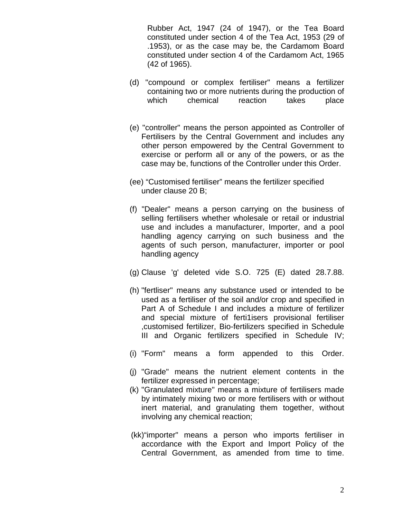Rubber Act, 1947 (24 of 1947), or the Tea Board constituted under section 4 of the Tea Act, 1953 (29 of .1953), or as the case may be, the Cardamom Board constituted under section 4 of the Cardamom Act, 1965 (42 of 1965).

- (d) "compound or complex fertiliser" means a fertilizer containing two or more nutrients during the production of which chemical reaction takes place
- (e) "controller" means the person appointed as Controller of Fertilisers by the Central Government and includes any other person empowered by the Central Government to exercise or perform all or any of the powers, or as the case may be, functions of the Controller under this Order.
- (ee) "Customised fertiliser" means the fertilizer specified under clause 20 B;
- (f) "Dealer" means a person carrying on the business of selling fertilisers whether wholesale or retail or industrial use and includes a manufacturer, Importer, and a pool handling agency carrying on such business and the agents of such person, manufacturer, importer or pool handling agency
- (g) Clause 'g' deleted vide S.O. 725 (E) dated 28.7.88.
- (h) "fertliser" means any substance used or intended to be used as a fertiliser of the soil and/or crop and specified in Part A of Schedule I and includes a mixture of fertilizer and special mixture of ferti1isers provisional fertiliser ,customised fertilizer, Bio-fertilizers specified in Schedule III and Organic fertilizers specified in Schedule IV;
- (i) "Form" means a form appended to this Order.
- (j) "Grade" means the nutrient element contents in the fertilizer expressed in percentage;
- (k) "Granulated mixture" means a mixture of fertilisers made by intimately mixing two or more fertilisers with or without inert material, and granulating them together, without involving any chemical reaction;
- (kk)"importer" means a person who imports fertiliser in accordance with the Export and Import Policy of the Central Government, as amended from time to time.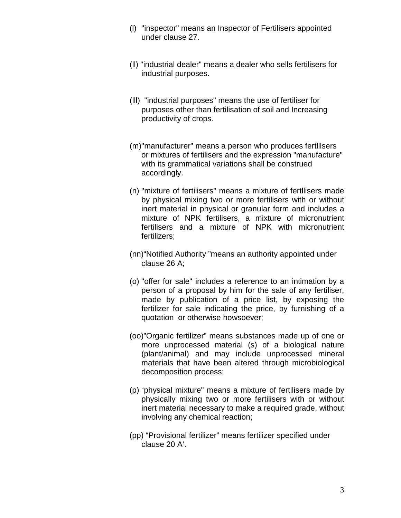- (l) "inspector" means an Inspector of Fertilisers appointed under clause 27.
- (ll) "industrial dealer" means a dealer who sells fertilisers for industrial purposes.
- (lll) "industrial purposes" means the use of fertiliser for purposes other than fertilisation of soil and Increasing productivity of crops.
- (m)"manufacturer" means a person who produces fertlllsers or mixtures of fertilisers and the expression "manufacture" with its grammatical variations shall be construed accordingly.
- (n) "mixture of fertilisers" means a mixture of fertllisers made by physical mixing two or more fertilisers with or without inert material in physical or granular form and includes a mixture of NPK fertilisers, a mixture of micronutrient fertilisers and a mixture of NPK with micronutrient fertilizers;
- (nn)"Notified Authority "means an authority appointed under clause 26 A;
- (o) "offer for sale" includes a reference to an intimation by a person of a proposal by him for the sale of any fertiliser, made by publication of a price list, by exposing the fertilizer for sale indicating the price, by furnishing of a quotation or otherwise howsoever;
- (oo)"Organic fertilizer" means substances made up of one or more unprocessed material (s) of a biological nature (plant/animal) and may include unprocessed mineral materials that have been altered through microbiological decomposition process;
- (p) 'physical mixture" means a mixture of fertilisers made by physically mixing two or more fertilisers with or without inert material necessary to make a required grade, without involving any chemical reaction;
- (pp) "Provisional fertilizer" means fertilizer specified under clause 20 A'.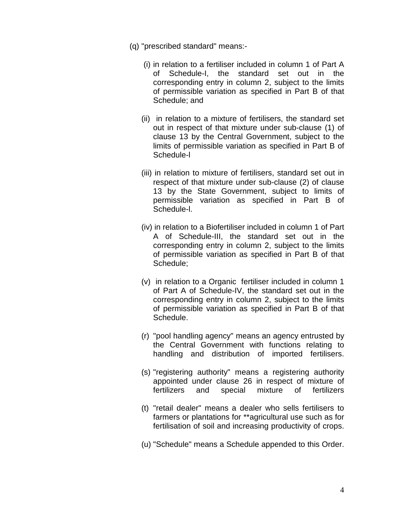- (q) "prescribed standard" means:-
	- (i) in relation to a fertiliser included in column 1 of Part A of Schedule-I, the standard set out in the corresponding entry in column 2, subject to the limits of permissible variation as specified in Part B of that Schedule; and
	- (ii) in relation to a mixture of fertilisers, the standard set out in respect of that mixture under sub-clause (1) of clause 13 by the Central Government, subject to the limits of permissible variation as specified in Part B of Schedule-l
	- (iii) in relation to mixture of fertilisers, standard set out in respect of that mixture under sub-clause (2) of clause 13 by the State Government, subject to limits of permissible variation as specified in Part B of Schedule-l.
	- (iv) in relation to a Biofertiliser included in column 1 of Part A of Schedule-III, the standard set out in the corresponding entry in column 2, subject to the limits of permissible variation as specified in Part B of that Schedule;
	- (v) in relation to a Organic fertiliser included in column 1 of Part A of Schedule-IV, the standard set out in the corresponding entry in column 2, subject to the limits of permissible variation as specified in Part B of that Schedule.
	- (r) "pool handling agency" means an agency entrusted by the Central Government with functions relating to handling and distribution of imported fertilisers.
	- (s) "registering authority" means a registering authority appointed under clause 26 in respect of mixture of fertilizers and special mixture of fertilizers
	- (t) "retail dealer" means a dealer who sells fertilisers to farmers or plantations for \*\*agricultural use such as for fertilisation of soil and increasing productivity of crops.
	- (u) "Schedule" means a Schedule appended to this Order.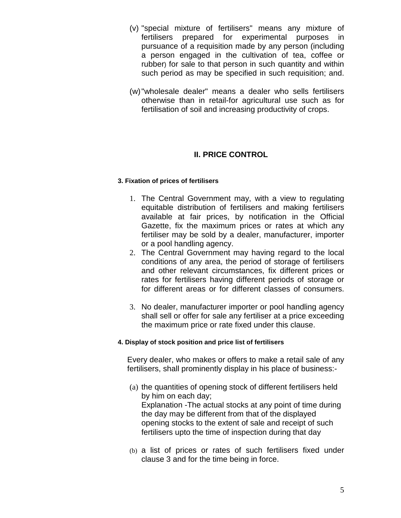- (v) "special mixture of fertilisers" means any mixture of fertilisers prepared for experimental purposes in pursuance of a requisition made by any person (including a person engaged in the cultivation of tea, coffee or rubber) for sale to that person in such quantity and within such period as may be specified in such requisition; and.
- (w) "wholesale dealer" means a dealer who sells fertilisers otherwise than in retail-for agricultural use such as for fertilisation of soil and increasing productivity of crops.

## **II. PRICE CONTROL**

### **3. Fixation of prices of fertilisers**

- 1. The Central Government may, with a view to regulating equitable distribution of fertilisers and making fertilisers available at fair prices, by notification in the Official Gazette, fix the maximum prices or rates at which any fertiliser may be sold by a dealer, manufacturer, importer or a pool handling agency.
- 2. The Central Government may having regard to the local conditions of any area, the period of storage of fertilisers and other relevant circumstances, fix different prices or rates for fertilisers having different periods of storage or for different areas or for different classes of consumers.
- 3. No dealer, manufacturer importer or pool handling agency shall sell or offer for sale any fertiliser at a price exceeding the maximum price or rate fixed under this clause.

### **4. Display of stock position and price list of fertilisers**

Every dealer, who makes or offers to make a retail sale of any fertilisers, shall prominently display in his place of business:-

- (a) the quantities of opening stock of different fertilisers held by him on each day; Explanation -The actual stocks at any point of time during the day may be different from that of the displayed opening stocks to the extent of sale and receipt of such fertilisers upto the time of inspection during that day
- (b) a list of prices or rates of such fertilisers fixed under clause 3 and for the time being in force.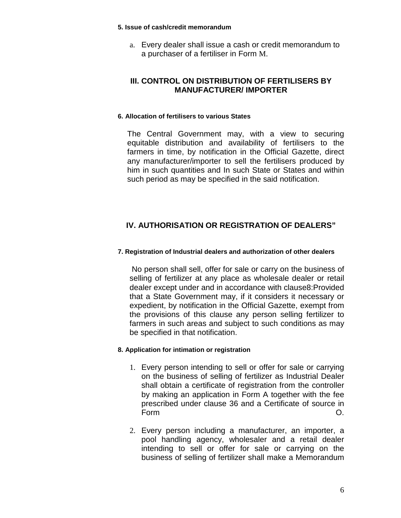#### **5. Issue of cash/credit memorandum**

a. Every dealer shall issue a cash or credit memorandum to a purchaser of a fertiliser in Form M.

## **III. CONTROL ON DISTRIBUTION OF FERTILISERS BY MANUFACTURER/ IMPORTER**

### **6. Allocation of fertilisers to various States**

The Central Government may, with a view to securing equitable distribution and availability of fertilisers to the farmers in time, by notification in the Official Gazette, direct any manufacturer/importer to sell the fertilisers produced by him in such quantities and In such State or States and within such period as may be specified in the said notification.

## **IV. AUTHORISATION OR REGISTRATION OF DEALERS"**

## **7. Registration of Industrial dealers and authorization of other dealers**

 No person shall sell, offer for sale or carry on the business of selling of fertilizer at any place as wholesale dealer or retail dealer except under and in accordance with clause8:Provided that a State Government may, if it considers it necessary or expedient, by notification in the Official Gazette, exempt from the provisions of this clause any person selling fertilizer to farmers in such areas and subject to such conditions as may be specified in that notification.

## **8. Application for intimation or registration**

- 1. Every person intending to sell or offer for sale or carrying on the business of selling of fertilizer as Industrial Dealer shall obtain a certificate of registration from the controller by making an application in Form A together with the fee prescribed under clause 36 and a Certificate of source in Form O.
- 2. Every person including a manufacturer, an importer, a pool handling agency, wholesaler and a retail dealer intending to sell or offer for sale or carrying on the business of selling of fertilizer shall make a Memorandum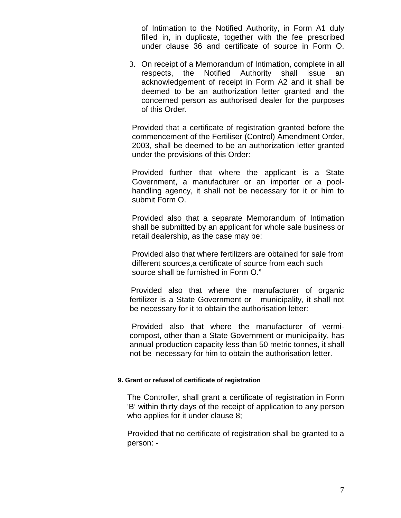of Intimation to the Notified Authority, in Form A1 duly filled in, in duplicate, together with the fee prescribed under clause 36 and certificate of source in Form O.

3. On receipt of a Memorandum of Intimation, complete in all respects, the Notified Authority shall issue an acknowledgement of receipt in Form A2 and it shall be deemed to be an authorization letter granted and the concerned person as authorised dealer for the purposes of this Order.

Provided that a certificate of registration granted before the commencement of the Fertiliser (Control) Amendment Order, 2003, shall be deemed to be an authorization letter granted under the provisions of this Order:

Provided further that where the applicant is a State Government, a manufacturer or an importer or a poolhandling agency, it shall not be necessary for it or him to submit Form O.

Provided also that a separate Memorandum of Intimation shall be submitted by an applicant for whole sale business or retail dealership, as the case may be:

Provided also that where fertilizers are obtained for sale from different sources,a certificate of source from each such source shall be furnished in Form O."

 Provided also that where the manufacturer of organic fertilizer is a State Government or municipality, it shall not be necessary for it to obtain the authorisation letter:

 Provided also that where the manufacturer of vermicompost, other than a State Government or municipality, has annual production capacity less than 50 metric tonnes, it shall not be necessary for him to obtain the authorisation letter.

#### **9. Grant or refusal of certificate of registration**

The Controller, shall grant a certificate of registration in Form 'B' within thirty days of the receipt of application to any person who applies for it under clause 8;

Provided that no certificate of registration shall be granted to a person: -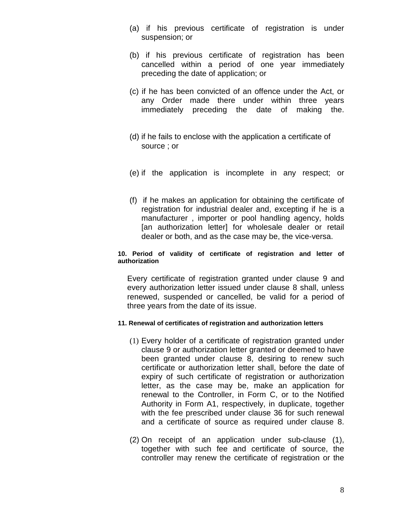- (a) if his previous certificate of registration is under suspension; or
- (b) if his previous certificate of registration has been cancelled within a period of one year immediately preceding the date of application; or
- (c) if he has been convicted of an offence under the Act, or any Order made there under within three years immediately preceding the date of making the.
- (d) if he fails to enclose with the application a certificate of source ; or
- (e) if the application is incomplete in any respect; or
- (f) if he makes an application for obtaining the certificate of registration for industrial dealer and, excepting if he is a manufacturer , importer or pool handling agency, holds [an authorization letter] for wholesale dealer or retail dealer or both, and as the case may be, the vice-versa.

#### **10. Period of validity of certificate of registration and letter of authorization**

Every certificate of registration granted under clause 9 and every authorization letter issued under clause 8 shall, unless renewed, suspended or cancelled, be valid for a period of three years from the date of its issue.

#### **11. Renewal of certificates of registration and authorization letters**

- (1) Every holder of a certificate of registration granted under clause 9 or authorization letter granted or deemed to have been granted under clause 8, desiring to renew such certificate or authorization letter shall, before the date of expiry of such certificate of registration or authorization letter, as the case may be, make an application for renewal to the Controller, in Form C, or to the Notified Authority in Form A1, respectively, in duplicate, together with the fee prescribed under clause 36 for such renewal and a certificate of source as required under clause 8.
- (2) On receipt of an application under sub-clause (1), together with such fee and certificate of source, the controller may renew the certificate of registration or the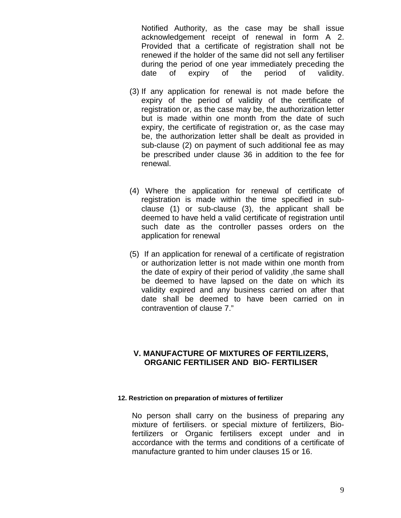Notified Authority, as the case may be shall issue acknowledgement receipt of renewal in form A 2. Provided that a certificate of registration shall not be renewed if the holder of the same did not sell any fertiliser during the period of one year immediately preceding the date of expiry of the period of validity.

- (3) If any application for renewal is not made before the expiry of the period of validity of the certificate of registration or, as the case may be, the authorization letter but is made within one month from the date of such expiry, the certificate of registration or, as the case may be, the authorization letter shall be dealt as provided in sub-clause (2) on payment of such additional fee as may be prescribed under clause 36 in addition to the fee for renewal.
- (4) Where the application for renewal of certificate of registration is made within the time specified in subclause (1) or sub-clause (3), the applicant shall be deemed to have held a valid certificate of registration until such date as the controller passes orders on the application for renewal
- (5) If an application for renewal of a certificate of registration or authorization letter is not made within one month from the date of expiry of their period of validity ,the same shall be deemed to have lapsed on the date on which its validity expired and any business carried on after that date shall be deemed to have been carried on in contravention of clause 7."

## **V. MANUFACTURE OF MIXTURES OF FERTlLIZERS, ORGANIC FERTILISER AND BIO- FERTILISER**

#### **12. Restriction on preparation of mixtures of fertilizer**

No person shall carry on the business of preparing any mixture of fertilisers. or special mixture of fertilizers, Biofertilizers or Organic fertilisers except under and in accordance with the terms and conditions of a certificate of manufacture granted to him under clauses 15 or 16.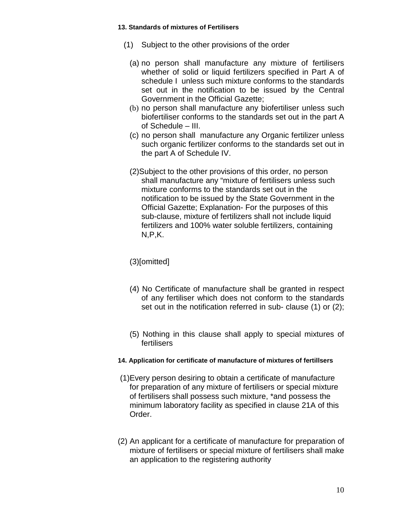#### **13. Standards of mixtures of Fertilisers**

- (1) Subject to the other provisions of the order
	- (a) no person shall manufacture any mixture of fertilisers whether of solid or liquid fertilizers specified in Part A of schedule I unless such mixture conforms to the standards set out in the notification to be issued by the Central Government in the Official Gazette;
	- (b) no person shall manufacture any biofertiliser unless such biofertiliser conforms to the standards set out in the part A of Schedule – III.
	- (c) no person shall manufacture any Organic fertilizer unless such organic fertilizer conforms to the standards set out in the part A of Schedule IV.
	- (2)Subject to the other provisions of this order, no person shall manufacture any "mixture of fertilisers unless such mixture conforms to the standards set out in the notification to be issued by the State Government in the Official Gazette; Explanation- For the purposes of this sub-clause, mixture of fertilizers shall not include liquid fertilizers and 100% water soluble fertilizers, containing N,P,K.

## (3)[omitted]

- (4) No Certificate of manufacture shall be granted in respect of any fertiliser which does not conform to the standards set out in the notification referred in sub- clause (1) or (2):
- (5) Nothing in this clause shall apply to special mixtures of fertilisers

## **14. Application for certificate of manufacture of mixtures of fertillsers**

- (1)Every person desiring to obtain a certificate of manufacture for preparation of any mixture of fertilisers or special mixture of fertilisers shall possess such mixture, \*and possess the minimum laboratory facility as specified in clause 21A of this Order.
- (2) An applicant for a certificate of manufacture for preparation of mixture of fertilisers or special mixture of fertilisers shall make an application to the registering authority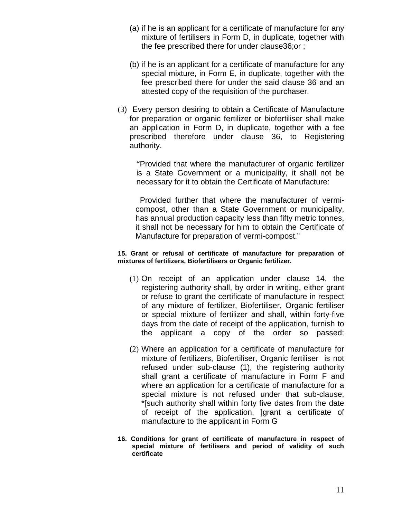- (a) if he is an applicant for a certificate of manufacture for any mixture of fertilisers in Form D, in duplicate, together with the fee prescribed there for under clause36;or ;
- (b) if he is an applicant for a certificate of manufacture for any special mixture, in Form E, in duplicate, together with the fee prescribed there for under the said clause 36 and an attested copy of the requisition of the purchaser.
- (3) Every person desiring to obtain a Certificate of Manufacture for preparation or organic fertilizer or biofertiliser shall make an application in Form D, in duplicate, together with a fee prescribed therefore under clause 36, to Registering authority.

"Provided that where the manufacturer of organic fertilizer is a State Government or a municipality, it shall not be necessary for it to obtain the Certificate of Manufacture:

 Provided further that where the manufacturer of vermicompost, other than a State Government or municipality, has annual production capacity less than fifty metric tonnes, it shall not be necessary for him to obtain the Certificate of Manufacture for preparation of vermi-compost."

#### **15. Grant or refusal of certificate of manufacture for preparation of mixtures of fertilizers, Biofertilisers or Organic fertilizer.**

- (1) On receipt of an application under clause 14, the registering authority shall, by order in writing, either grant or refuse to grant the certificate of manufacture in respect of any mixture of fertilizer, Biofertiliser, Organic fertiliser or special mixture of fertilizer and shall, within forty-five days from the date of receipt of the application, furnish to the applicant a copy of the order so passed;
- (2) Where an application for a certificate of manufacture for mixture of fertilizers, Biofertiliser, Organic fertiliser is not refused under sub-clause (1), the registering authority shall grant a certificate of manufacture in Form F and where an application for a certificate of manufacture for a special mixture is not refused under that sub-clause, \*[such authority shall within forty five dates from the date of receipt of the application, ]grant a certificate of manufacture to the applicant in Form G
- **16. Conditions for grant of certificate of manufacture in respect of special mixture of fertilisers and period of validity of such certificate**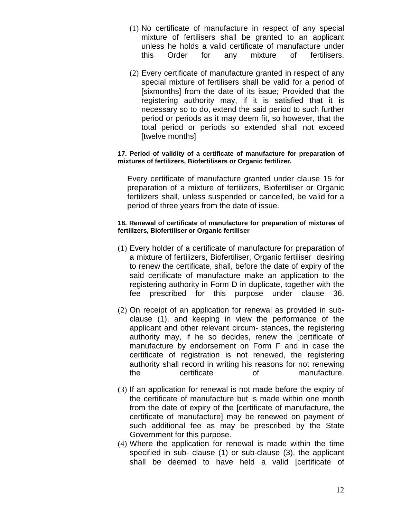- (1) No certificate of manufacture in respect of any special mixture of fertilisers shall be granted to an applicant unless he holds a valid certificate of manufacture under this Order for any mixture of fertilisers.
- (2) Every certificate of manufacture granted in respect of any special mixture of fertilisers shall be valid for a period of [sixmonths] from the date of its issue; Provided that the registering authority may, if it is satisfied that it is necessary so to do, extend the said period to such further period or periods as it may deem fit, so however, that the total period or periods so extended shall not exceed [twelve months]

#### **17. Period of validity of a certificate of manufacture for preparation of mixtures of fertilizers, Biofertilisers or Organic fertilizer.**

Every certificate of manufacture granted under clause 15 for preparation of a mixture of fertilizers, Biofertiliser or Organic fertilizers shall, unless suspended or cancelled, be valid for a period of three years from the date of issue.

#### **18. Renewal of certificate of manufacture for preparation of mixtures of fertilizers, Biofertiliser or Organic fertiliser**

- (1) Every holder of a certificate of manufacture for preparation of a mixture of fertilizers, Biofertiliser, Organic fertiliser desiring to renew the certificate, shall, before the date of expiry of the said certificate of manufacture make an application to the registering authority in Form D in duplicate, together with the fee prescribed for this purpose under clause 36.
- (2) On receipt of an application for renewal as provided in subclause (1), and keeping in view the performance of the applicant and other relevant circum- stances, the registering authority may, if he so decides, renew the [certificate of manufacture by endorsement on Form F and in case the certificate of registration is not renewed, the registering authority shall record in writing his reasons for not renewing the certificate of manufacture.
- (3) If an application for renewal is not made before the expiry of the certificate of manufacture but is made within one month from the date of expiry of the [certificate of manufacture, the certificate of manufacture] may be renewed on payment of such additional fee as may be prescribed by the State Government for this purpose.
- (4) Where the application for renewal is made within the time specified in sub- clause (1) or sub-clause (3), the applicant shall be deemed to have held a valid [certificate of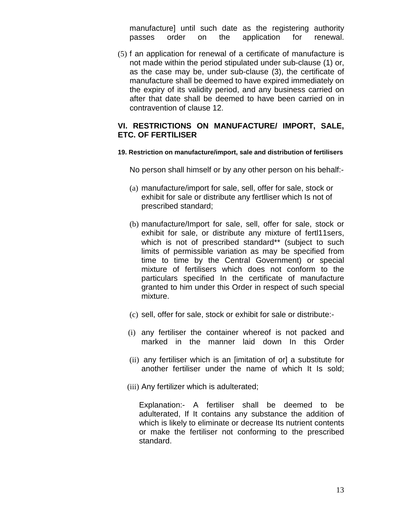manufacture] until such date as the registering authority passes order on the application for renewal.

(5) f an application for renewal of a certificate of manufacture is not made within the period stipulated under sub-clause (1) or, as the case may be, under sub-clause (3), the certificate of manufacture shall be deemed to have expired immediately on the expiry of its validity period, and any business carried on after that date shall be deemed to have been carried on in contravention of clause 12.

## **VI. RESTRICTIONS ON MANUFACTURE/ IMPORT, SALE, ETC. OF FERTlLISER**

**19. Restriction on manufacture/import, sale and distribution of fertilisers**

No person shall himself or by any other person on his behalf:-

- (a) manufacture/import for sale, sell, offer for sale, stock or exhibit for sale or distribute any fertlliser which Is not of prescribed standard;
- (b) manufacture/Import for sale, sell, offer for sale, stock or exhibit for sale, or distribute any mixture of fertl11sers, which is not of prescribed standard\*\* (subject to such limits of permissible variation as may be specified from time to time by the Central Government) or special mixture of fertilisers which does not conform to the particulars specified In the certificate of manufacture granted to him under this Order in respect of such special mixture.
- (c) sell, offer for sale, stock or exhibit for sale or distribute:-
- (i) any fertiliser the container whereof is not packed and marked in the manner laid down In this Order
- (ii) any fertiliser which is an [imitation of or] a substitute for another fertiliser under the name of which It Is sold;
- (iii) Any fertilizer which is adulterated;

Explanation:- A fertiliser shall be deemed to be adulterated, If It contains any substance the addition of which is likely to eliminate or decrease Its nutrient contents or make the fertiliser not conforming to the prescribed standard.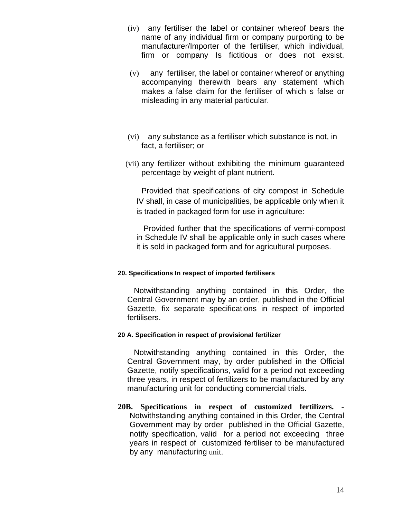- (iv) any fertiliser the label or container whereof bears the name of any individual firm or company purporting to be manufacturer/Importer of the fertiliser, which individual, firm or company Is fictitious or does not exsist.
- (v) any fertiliser, the label or container whereof or anything accompanying therewith bears any statement which makes a false claim for the fertiliser of which s false or misleading in any material particular.
- (vi) any substance as a fertiliser which substance is not, in fact, a fertiliser; or
- (vii) any fertilizer without exhibiting the minimum guaranteed percentage by weight of plant nutrient.

Provided that specifications of city compost in Schedule IV shall, in case of municipalities, be applicable only when it is traded in packaged form for use in agriculture:

 Provided further that the specifications of vermi-compost in Schedule IV shall be applicable only in such cases where it is sold in packaged form and for agricultural purposes.

## **20. Specifications In respect of imported fertilisers**

 Notwithstanding anything contained in this Order, the Central Government may by an order, published in the Official Gazette, fix separate specifications in respect of imported fertilisers.

## **20 A. Specification in respect of provisional fertilizer**

 Notwithstanding anything contained in this Order, the Central Government may, by order published in the Official Gazette, notify specifications, valid for a period not exceeding three years, in respect of fertilizers to be manufactured by any manufacturing unit for conducting commercial trials.

**20B. Specifications in respect of customized fertilizers. -** Notwithstanding anything contained in this Order, the Central Government may by order published in the Official Gazette, notify specification, valid for a period not exceeding three years in respect of customized fertiliser to be manufactured by any manufacturing unit.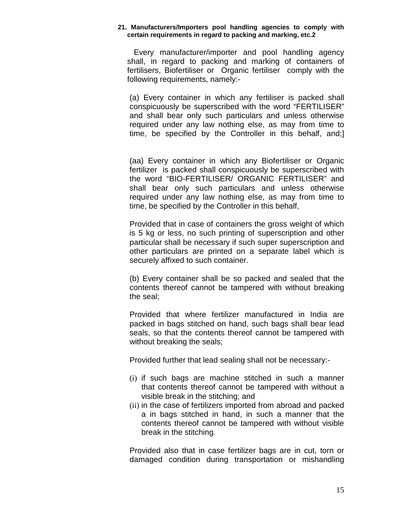#### **21. Manufacturers/Importers pool handling agencies to comply with certain requirements in regard to packing and marking, etc.2**

 Every manufacturer/importer and pool handling agency shall, in regard to packing and marking of containers of fertilisers, Biofertiliser or Organic fertiliser comply with the following requirements, namely:-

(a) Every container in which any fertiliser is packed shall conspicuously be superscribed with the word "FERTILISER" and shall bear only such particulars and unless otherwise required under any law nothing else, as may from time to time, be specified by the Controller in this behalf, and;]

(aa) Every container in which any Biofertiliser or Organic fertilizer is packed shall conspicuously be superscribed with the word "BIO-FERTILISER/ ORGANIC FERTILISER" and shall bear only such particulars and unless otherwise required under any law nothing else, as may from time to time, be specified by the Controller in this behalf,

Provided that in case of containers the gross weight of which is 5 kg or less, no such printing of superscription and other particular shall be necessary if such super superscription and other particulars are printed on a separate label which is securely affixed to such container.

(b) Every container shall be so packed and sealed that the contents thereof cannot be tampered with without breaking the seal;

Provided that where fertilizer manufactured in India are packed in bags stitched on hand, such bags shall bear lead seals, so that the contents thereof cannot be tampered with without breaking the seals;

Provided further that lead sealing shall not be necessary:-

- (i) if such bags are machine stitched in such a manner that contents thereof cannot be tampered with without a visible break in the stitching; and
- (ii) in the case of fertilizers imported from abroad and packed a in bags stitched in hand, in such a manner that the contents thereof cannot be tampered with without visible break in the stitching.

Provided also that in case fertilizer bags are in cut, torn or damaged condition during transportation or mishandling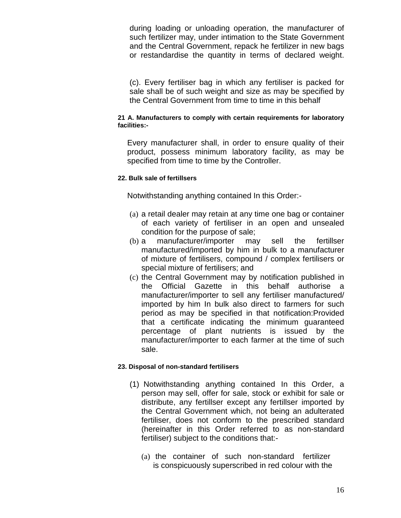during loading or unloading operation, the manufacturer of such fertilizer may, under intimation to the State Government and the Central Government, repack he fertilizer in new bags or restandardise the quantity in terms of declared weight.

(c). Every fertiliser bag in which any fertiliser is packed for sale shall be of such weight and size as may be specified by the Central Government from time to time in this behalf

### **21 A. Manufacturers to comply with certain requirements for laboratory facilities:-**

Every manufacturer shall, in order to ensure quality of their product, possess minimum laboratory facility, as may be specified from time to time by the Controller.

### **22. Bulk sale of fertillsers**

Notwithstanding anything contained In this Order:-

- (a) a retail dealer may retain at any time one bag or container of each variety of fertiliser in an open and unsealed condition for the purpose of sale;
- (b) a manufacturer/importer may sell the fertillser manufactured/imported by him in bulk to a manufacturer of mixture of fertilisers, compound / complex fertilisers or special mixture of fertilisers; and
- (c) the Central Government may by notification published in the Official Gazette in this behalf authorise a manufacturer/importer to sell any fertiliser manufactured/ imported by him In bulk also direct to farmers for such period as may be specified in that notification:Provided that a certificate indicating the minimum guaranteed percentage of plant nutrients is issued by the manufacturer/importer to each farmer at the time of such sale.

## **23. Disposal of non-standard fertilisers**

- (1) Notwithstanding anything contained In this Order, a person may sell, offer for sale, stock or exhibit for sale or distribute, any fertillser except any fertillser imported by the Central Government which, not being an adulterated fertiliser, does not conform to the prescribed standard (hereinafter in this Order referred to as non-standard fertiliser) subject to the conditions that:-
	- (a) the container of such non-standard fertilizer is conspicuously superscribed in red colour with the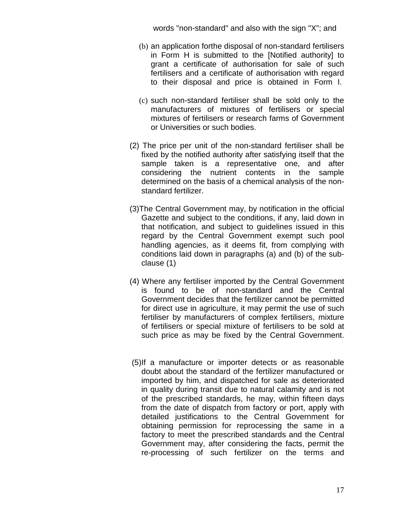words "non-standard" and also with the sign "X"; and

- (b) an application forthe disposal of non-standard fertilisers in Form H is submitted to the [Notified authority] to grant a certificate of authorisation for sale of such fertilisers and a certificate of authorisation with regard to their disposal and price is obtained in Form I.
- (c) such non-standard fertiliser shall be sold only to the manufacturers of mixtures of fertilisers or special mixtures of fertilisers or research farms of Government or Universities or such bodies.
- (2) The price per unit of the non-standard fertiliser shall be fixed by the notified authority after satisfying itself that the sample taken is a representative one, and after considering the nutrient contents in the sample determined on the basis of a chemical analysis of the nonstandard fertilizer.
- (3)The Central Government may, by notification in the official Gazette and subject to the conditions, if any, laid down in that notification, and subject to guidelines issued in this regard by the Central Government exempt such pool handling agencies, as it deems fit, from complying with conditions laid down in paragraphs (a) and (b) of the subclause (1)
- (4) Where any fertiliser imported by the Central Government is found to be of non-standard and the Central Government decides that the fertilizer cannot be permitted for direct use in agriculture, it may permit the use of such fertiliser by manufacturers of complex fertilisers, mixture of fertilisers or special mixture of fertilisers to be sold at such price as may be fixed by the Central Government.
- (5)If a manufacture or importer detects or as reasonable doubt about the standard of the fertilizer manufactured or imported by him, and dispatched for sale as deteriorated in quality during transit due to natural calamity and is not of the prescribed standards, he may, within fifteen days from the date of dispatch from factory or port, apply with detailed justifications to the Central Government for obtaining permission for reprocessing the same in a factory to meet the prescribed standards and the Central Government may, after considering the facts, permit the re-processing of such fertilizer on the terms and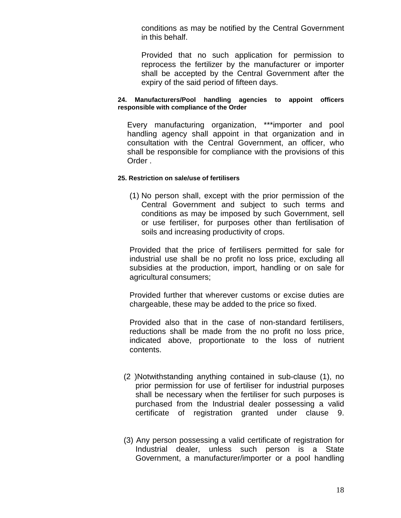conditions as may be notified by the Central Government in this behalf.

Provided that no such application for permission to reprocess the fertilizer by the manufacturer or importer shall be accepted by the Central Government after the expiry of the said period of fifteen days.

#### **24. Manufacturers/Pool handling agencies to appoint officers responsible with compliance of the Order**

Every manufacturing organization, \*\*\*importer and pool handling agency shall appoint in that organization and in consultation with the Central Government, an officer, who shall be responsible for compliance with the provisions of this Order .

#### **25. Restriction on sale/use of fertilisers**

(1) No person shall, except with the prior permission of the Central Government and subject to such terms and conditions as may be imposed by such Government, sell or use fertiliser, for purposes other than fertilisation of soils and increasing productivity of crops.

Provided that the price of fertilisers permitted for sale for industrial use shall be no profit no loss price, excluding all subsidies at the production, import, handling or on sale for agricultural consumers;

Provided further that wherever customs or excise duties are chargeable, these may be added to the price so fixed.

Provided also that in the case of non-standard fertilisers, reductions shall be made from the no profit no loss price, indicated above, proportionate to the loss of nutrient contents.

- (2 )Notwithstanding anything contained in sub-clause (1), no prior permission for use of fertiliser for industrial purposes shall be necessary when the fertiliser for such purposes is purchased from the Industrial dealer possessing a valid certificate of registration granted under clause 9.
- (3) Any person possessing a valid certificate of registration for Industrial dealer, unless such person is a State Government, a manufacturer/importer or a pool handling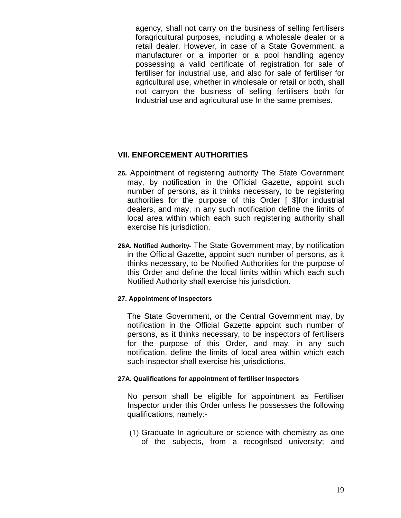agency, shall not carry on the business of selling fertilisers foragricultural purposes, including a wholesale dealer or a retail dealer. However, in case of a State Government, a manufacturer or a importer or a pool handling agency possessing a valid certificate of registration for sale of fertiliser for industrial use, and also for sale of fertiliser for agricultural use, whether in wholesale or retail or both, shall not carryon the business of selling fertilisers both for Industrial use and agricultural use In the same premises.

## **VII. ENFORCEMENT AUTHORITIES**

- **26.** Appointment of registering authority The State Government may, by notification in the Official Gazette, appoint such number of persons, as it thinks necessary, to be registering authorities for the purpose of this Order [ \$]for industrial dealers, and may, in any such notification define the limits of local area within which each such registering authority shall exercise his jurisdiction.
- **26A. Notified Authority-** The State Government may, by notification in the Official Gazette, appoint such number of persons, as it thinks necessary, to be Notified Authorities for the purpose of this Order and define the local limits within which each such Notified Authority shall exercise his jurisdiction.

## **27. Appointment of inspectors**

The State Government, or the Central Government may, by notification in the Official Gazette appoint such number of persons, as it thinks necessary, to be inspectors of fertilisers for the purpose of this Order, and may, in any such notification, define the limits of local area within which each such inspector shall exercise his jurisdictions.

## **27A. Qualifications for appointment of fertiliser Inspectors**

No person shall be eligible for appointment as Fertiliser Inspector under this Order unless he possesses the following qualifications, namely:-

(1) Graduate In agriculture or science with chemistry as one of the subjects, from a recognlsed university; and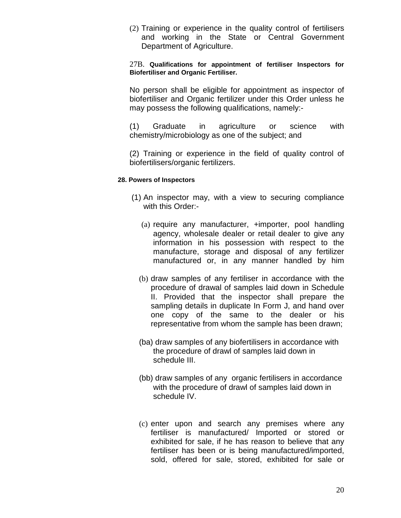(2) Training or experience in the quality control of fertilisers and working in the State or Central Government Department of Agriculture.

27B. **Qualifications for appointment of fertiliser Inspectors for Biofertiliser and Organic Fertiliser.** 

No person shall be eligible for appointment as inspector of biofertiliser and Organic fertilizer under this Order unless he may possess the following qualifications, namely:-

(1) Graduate in agriculture or science with chemistry/microbiology as one of the subject; and

(2) Training or experience in the field of quality control of biofertilisers/organic fertilizers.

#### **28. Powers of Inspectors**

- (1) An inspector may, with a view to securing compliance with this Order:-
	- (a) require any manufacturer, +importer, pool handling agency, wholesale dealer or retail dealer to give any information in his possession with respect to the manufacture, storage and disposal of any fertilizer manufactured or, in any manner handled by him
	- (b) draw samples of any fertiliser in accordance with the procedure of drawal of samples laid down in Schedule II. Provided that the inspector shall prepare the sampling details in duplicate In Form J, and hand over one copy of the same to the dealer or his representative from whom the sample has been drawn;
	- (ba) draw samples of any biofertilisers in accordance with the procedure of drawl of samples laid down in schedule III.
	- (bb) draw samples of any organic fertilisers in accordance with the procedure of drawl of samples laid down in schedule IV.
	- (c) enter upon and search any premises where any fertiliser is manufactured/ Imported or stored or exhibited for sale, if he has reason to believe that any fertiliser has been or is being manufactured/imported, sold, offered for sale, stored, exhibited for sale or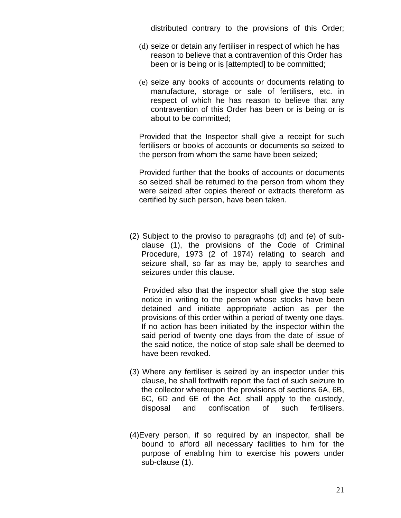distributed contrary to the provisions of this Order;

- (d) seize or detain any fertiliser in respect of which he has reason to believe that a contravention of this Order has been or is being or is [attempted] to be committed;
- (e) seize any books of accounts or documents relating to manufacture, storage or sale of fertilisers, etc. in respect of which he has reason to believe that any contravention of this Order has been or is being or is about to be committed;

Provided that the Inspector shall give a receipt for such fertilisers or books of accounts or documents so seized to the person from whom the same have been seized;

Provided further that the books of accounts or documents so seized shall be returned to the person from whom they were seized after copies thereof or extracts thereform as certified by such person, have been taken.

(2) Subject to the proviso to paragraphs (d) and (e) of subclause (1), the provisions of the Code of Criminal Procedure, 1973 (2 of 1974) relating to search and seizure shall, so far as may be, apply to searches and seizures under this clause.

 Provided also that the inspector shall give the stop sale notice in writing to the person whose stocks have been detained and initiate appropriate action as per the provisions of this order within a period of twenty one days. If no action has been initiated by the inspector within the said period of twenty one days from the date of issue of the said notice, the notice of stop sale shall be deemed to have been revoked.

- (3) Where any fertiliser is seized by an inspector under this clause, he shall forthwith report the fact of such seizure to the collector whereupon the provisions of sections 6A, 6B, 6C, 6D and 6E of the Act, shall apply to the custody, disposal and confiscation of such fertilisers.
- (4)Every person, if so required by an inspector, shall be bound to afford all necessary facilities to him for the purpose of enabling him to exercise his powers under sub-clause (1).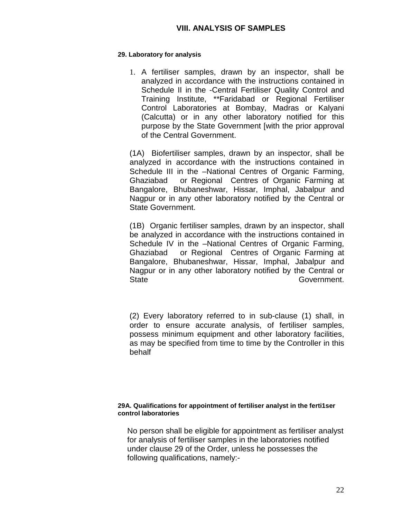## **29. Laboratory for analysis**

1. A fertiliser samples, drawn by an inspector, shall be analyzed in accordance with the instructions contained in Schedule II in the -Central Fertiliser Quality Control and Training Institute, \*\*Faridabad or Regional Fertiliser Control Laboratories at Bombay, Madras or Kalyani (Calcutta) or in any other laboratory notified for this purpose by the State Government [with the prior approval of the Central Government.

(1A) Biofertiliser samples, drawn by an inspector, shall be analyzed in accordance with the instructions contained in Schedule III in the –National Centres of Organic Farming, Ghaziabad or Regional Centres of Organic Farming at Bangalore, Bhubaneshwar, Hissar, Imphal, Jabalpur and Nagpur or in any other laboratory notified by the Central or State Government.

(1B) Organic fertiliser samples, drawn by an inspector, shall be analyzed in accordance with the instructions contained in Schedule IV in the –National Centres of Organic Farming, Ghaziabad or Regional Centres of Organic Farming at Bangalore, Bhubaneshwar, Hissar, Imphal, Jabalpur and Nagpur or in any other laboratory notified by the Central or State Government.

(2) Every laboratory referred to in sub-clause (1) shall, in order to ensure accurate analysis, of fertiliser samples, possess minimum equipment and other laboratory facilities, as may be specified from time to time by the Controller in this behalf

#### **29A. Qualifications for appointment of fertiliser analyst in the ferti1ser control laboratories**

No person shall be eligible for appointment as fertiliser analyst for analysis of fertiliser samples in the laboratories notified under clause 29 of the Order, unless he possesses the following qualifications, namely:-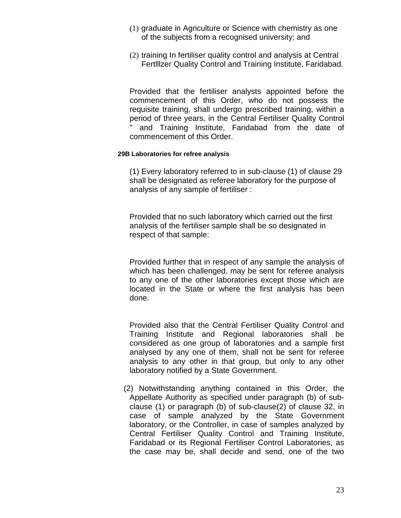- (1) graduate in Agriculture or Science with chemistry as one of the subjects from a recognised university; and
- (2) training In fertiliser quality control and analysis at Central Fertlllzer Quality Control and Training Institute, Faridabad.

Provided that the fertiliser analysts appointed before the commencement of this Order, who do not possess the requisite training, shall undergo prescribed training, within a period of three years, in the Central Fertiliser Quality Control and Training Institute, Faridabad from the date of commencement of this Order.

#### **29B Laboratories for refree analysis**

(1) Every laboratory referred to in sub-clause (1) of clause 29 shall be designated as referee laboratory for the purpose of analysis of any sample of fertiliser :

Provided that no such laboratory which carried out the first analysis of the fertiliser sample shall be so designated in respect of that sample:

Provided further that in respect of any sample the analysis of which has been challenged, may be sent for referee analysis to any one of the other laboratories except those which are located in the State or where the first analysis has been done.

Provided also that the Central Fertiliser Quality Control and Training Institute and Regional laboratories shall be considered as one group of laboratories and a sample first analysed by any one of them, shall not be sent for referee analysis to any other in that group, but only to any other laboratory notified by a State Government.

(2) Notwithstanding anything contained in this Order, the Appellate Authority as specified under paragraph (b) of subclause (1) or paragraph (b) of sub-clause(2) of clause 32, in case of sample analyzed by the State Government laboratory, or the Controller, in case of samples analyzed by Central Fertiliser Quality Control and Training Institute, Faridabad or its Regional Fertiliser Control Laboratories, as the case may be, shall decide and send, one of the two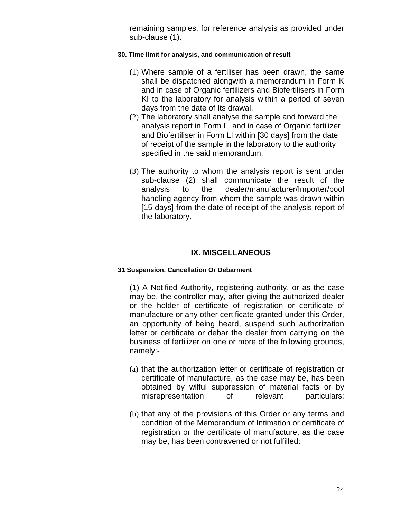remaining samples, for reference analysis as provided under sub-clause (1).

## **30. TIme lImit for analysis, and communication of result**

- (1) Where sample of a fertlliser has been drawn, the same shall be dispatched alongwith a memorandum in Form K and in case of Organic fertilizers and Biofertilisers in Form KI to the laboratory for analysis within a period of seven days from the date of Its drawal.
- (2) The laboratory shall analyse the sample and forward the analysis report in Form L and in case of Organic fertilizer and Biofertiliser in Form LI within [30 days] from the date of receipt of the sample in the laboratory to the authority specified in the said memorandum.
- (3) The authority to whom the analysis report is sent under sub-clause (2) shall communicate the result of the analysis to the dealer/manufacturer/Importer/pool handling agency from whom the sample was drawn within [15 days] from the date of receipt of the analysis report of the laboratory.

## **IX. MISCELLANEOUS**

#### **31 Suspension, Cancellation Or Debarment**

(1) A Notified Authority, registering authority, or as the case may be, the controller may, after giving the authorized dealer or the holder of certificate of registration or certificate of manufacture or any other certificate granted under this Order, an opportunity of being heard, suspend such authorization letter or certificate or debar the dealer from carrying on the business of fertilizer on one or more of the following grounds, namely:-

- (a) that the authorization letter or certificate of registration or certificate of manufacture, as the case may be, has been obtained by wilful suppression of material facts or by misrepresentation of relevant particulars:
- (b) that any of the provisions of this Order or any terms and condition of the Memorandum of Intimation or certificate of registration or the certificate of manufacture, as the case may be, has been contravened or not fulfilled: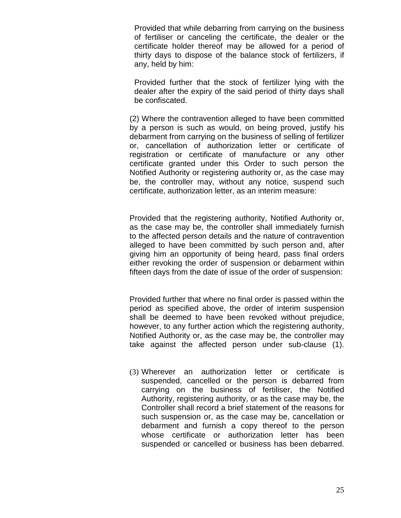Provided that while debarring from carrying on the business of fertiliser or canceling the certificate, the dealer or the certificate holder thereof may be allowed for a period of thirty days to dispose of the balance stock of fertilizers, if any, held by him:

Provided further that the stock of fertilizer lying with the dealer after the expiry of the said period of thirty days shall be confiscated.

(2) Where the contravention alleged to have been committed by a person is such as would, on being proved, justify his debarment from carrying on the business of selling of fertilizer or, cancellation of authorization letter or certificate of registration or certificate of manufacture or any other certificate granted under this Order to such person the Notified Authority or registering authority or, as the case may be, the controller may, without any notice, suspend such certificate, authorization letter, as an interim measure:

Provided that the registering authority, Notified Authority or, as the case may be, the controller shall immediately furnish to the affected person details and the nature of contravention alleged to have been committed by such person and, after giving him an opportunity of being heard, pass final orders either revoking the order of suspension or debarment within fifteen days from the date of issue of the order of suspension:

Provided further that where no final order is passed within the period as specified above, the order of interim suspension shall be deemed to have been revoked without prejudice, however, to any further action which the registering authority, Notified Authority or, as the case may be, the controller may take against the affected person under sub-clause (1).

(3) Wherever an authorization letter or certificate is suspended, cancelled or the person is debarred from carrying on the business of fertiliser, the Notified Authority, registering authority, or as the case may be, the Controller shall record a brief statement of the reasons for such suspension or, as the case may be, cancellation or debarment and furnish a copy thereof to the person whose certificate or authorization letter has been suspended or cancelled or business has been debarred.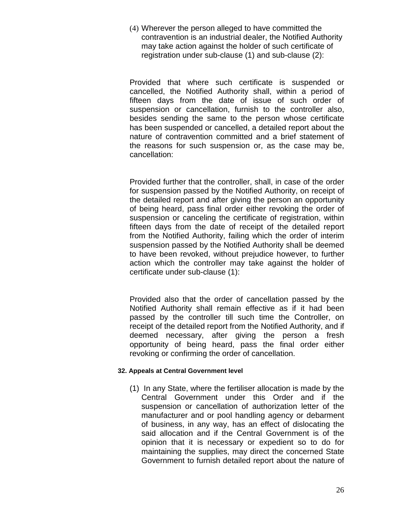(4) Wherever the person alleged to have committed the contravention is an industrial dealer, the Notified Authority may take action against the holder of such certificate of registration under sub-clause (1) and sub-clause (2):

Provided that where such certificate is suspended or cancelled, the Notified Authority shall, within a period of fifteen days from the date of issue of such order of suspension or cancellation, furnish to the controller also, besides sending the same to the person whose certificate has been suspended or cancelled, a detailed report about the nature of contravention committed and a brief statement of the reasons for such suspension or, as the case may be, cancellation:

Provided further that the controller, shall, in case of the order for suspension passed by the Notified Authority, on receipt of the detailed report and after giving the person an opportunity of being heard, pass final order either revoking the order of suspension or canceling the certificate of registration, within fifteen days from the date of receipt of the detailed report from the Notified Authority, failing which the order of interim suspension passed by the Notified Authority shall be deemed to have been revoked, without prejudice however, to further action which the controller may take against the holder of certificate under sub-clause (1):

Provided also that the order of cancellation passed by the Notified Authority shall remain effective as if it had been passed by the controller till such time the Controller, on receipt of the detailed report from the Notified Authority, and if deemed necessary, after giving the person a fresh opportunity of being heard, pass the final order either revoking or confirming the order of cancellation.

## **32. Appeals at Central Government level**

(1) In any State, where the fertiliser allocation is made by the Central Government under this Order and if the suspension or cancellation of authorization letter of the manufacturer and or pool handling agency or debarment of business, in any way, has an effect of dislocating the said allocation and if the Central Government is of the opinion that it is necessary or expedient so to do for maintaining the supplies, may direct the concerned State Government to furnish detailed report about the nature of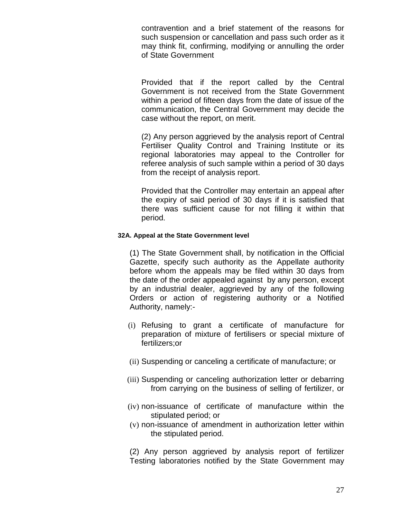contravention and a brief statement of the reasons for such suspension or cancellation and pass such order as it may think fit, confirming, modifying or annulling the order of State Government

Provided that if the report called by the Central Government is not received from the State Government within a period of fifteen days from the date of issue of the communication, the Central Government may decide the case without the report, on merit.

(2) Any person aggrieved by the analysis report of Central Fertiliser Quality Control and Training Institute or its regional laboratories may appeal to the Controller for referee analysis of such sample within a period of 30 days from the receipt of analysis report.

Provided that the Controller may entertain an appeal after the expiry of said period of 30 days if it is satisfied that there was sufficient cause for not filling it within that period.

### **32A. Appeal at the State Government level**

(1) The State Government shall, by notification in the Official Gazette, specify such authority as the Appellate authority before whom the appeals may be filed within 30 days from the date of the order appealed against by any person, except by an industrial dealer, aggrieved by any of the following Orders or action of registering authority or a Notified Authority, namely:-

- (i) Refusing to grant a certificate of manufacture for preparation of mixture of fertilisers or special mixture of fertilizers;or
- (ii) Suspending or canceling a certificate of manufacture; or
- (iii) Suspending or canceling authorization letter or debarring from carrying on the business of selling of fertilizer, or
- (iv) non-issuance of certificate of manufacture within the stipulated period; or
- (v) non-issuance of amendment in authorization letter within the stipulated period.

(2) Any person aggrieved by analysis report of fertilizer Testing laboratories notified by the State Government may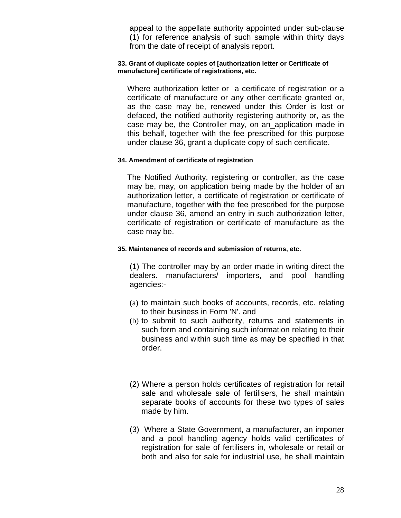appeal to the appellate authority appointed under sub-clause (1) for reference analysis of such sample within thirty days from the date of receipt of analysis report.

#### **33. Grant of duplicate copies of [authorization letter or Certificate of manufacture] certificate of registrations, etc.**

Where authorization letter or a certificate of registration or a certificate of manufacture or any other certificate granted or, as the case may be, renewed under this Order is lost or defaced, the notified authority registering authority or, as the case may be, the Controller may, on an\_application made in this behalf, together with the fee prescribed for this purpose under clause 36, grant a duplicate copy of such certificate.

#### **34. Amendment of certificate of registration**

The Notified Authority, registering or controller, as the case may be, may, on application being made by the holder of an authorization letter, a certificate of registration or certificate of manufacture, together with the fee prescribed for the purpose under clause 36, amend an entry in such authorization letter, certificate of registration or certificate of manufacture as the case may be.

## **35. Maintenance of records and submission of returns, etc.**

(1) The controller may by an order made in writing direct the dealers. manufacturers/ importers, and pool handling agencies:-

- (a) to maintain such books of accounts, records, etc. relating to their business in Form 'N'. and
- (b) to submit to such authority, returns and statements in such form and containing such information relating to their business and within such time as may be specified in that order.
- (2) Where a person holds certificates of registration for retail sale and wholesale sale of fertilisers, he shall maintain separate books of accounts for these two types of sales made by him.
- (3) Where a State Government, a manufacturer, an importer and a pool handling agency holds valid certificates of registration for sale of fertilisers in, wholesale or retail or both and also for sale for industrial use, he shall maintain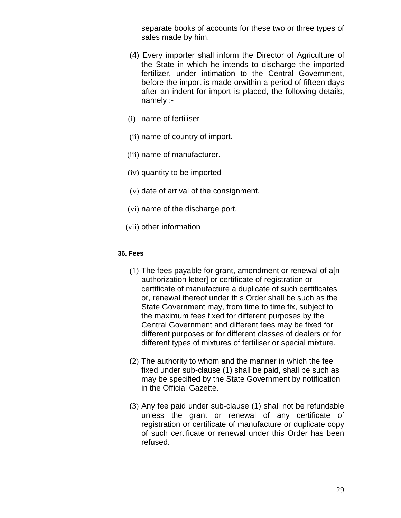separate books of accounts for these two or three types of sales made by him.

- (4) Every importer shall inform the Director of Agriculture of the State in which he intends to discharge the imported fertilizer, under intimation to the Central Government, before the import is made orwithin a period of fifteen days after an indent for import is placed, the following details, namely ;-
- (i) name of fertiliser
- (ii) name of country of import.
- (iii) name of manufacturer.
- (iv) quantity to be imported
- (v) date of arrival of the consignment.
- (vi) name of the discharge port.
- (vii) other information

### **36. Fees**

- (1) The fees payable for grant, amendment or renewal of a[n authorization letter] or certificate of registration or certificate of manufacture a duplicate of such certificates or, renewal thereof under this Order shall be such as the State Government may, from time to time fix, subject to the maximum fees fixed for different purposes by the Central Government and different fees may be fixed for different purposes or for different classes of dealers or for different types of mixtures of fertiliser or special mixture.
- (2) The authority to whom and the manner in which the fee fixed under sub-clause (1) shall be paid, shall be such as may be specified by the State Government by notification in the Official Gazette.
- (3) Any fee paid under sub-clause (1) shall not be refundable unless the grant or renewal of any certificate of registration or certificate of manufacture or duplicate copy of such certificate or renewal under this Order has been refused.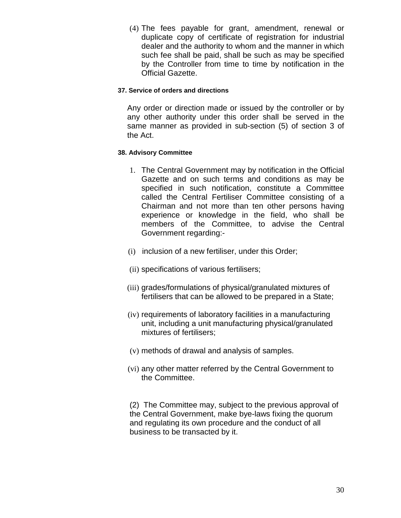(4) The fees payable for grant, amendment, renewal or duplicate copy of certificate of registration for industrial dealer and the authority to whom and the manner in which such fee shall be paid, shall be such as may be specified by the Controller from time to time by notification in the Official Gazette.

### **37. Service of orders and directions**

Any order or direction made or issued by the controller or by any other authority under this order shall be served in the same manner as provided in sub-section (5) of section 3 of the Act.

### **38. Advisory Committee**

- 1. The Central Government may by notification in the Official Gazette and on such terms and conditions as may be specified in such notification, constitute a Committee called the Central Fertiliser Committee consisting of a Chairman and not more than ten other persons having experience or knowledge in the field, who shall be members of the Committee, to advise the Central Government regarding:-
- (i) inclusion of a new fertiliser, under this Order;
- (ii) specifications of various fertilisers;
- (iii) grades/formulations of physical/granulated mixtures of fertilisers that can be allowed to be prepared in a State;
- (iv) requirements of laboratory facilities in a manufacturing unit, including a unit manufacturing physical/granulated mixtures of fertilisers;
- (v) methods of drawal and analysis of samples.
- (vi) any other matter referred by the Central Government to the Committee.

(2) The Committee may, subject to the previous approval of the Central Government, make bye-laws fixing the quorum and regulating its own procedure and the conduct of all business to be transacted by it.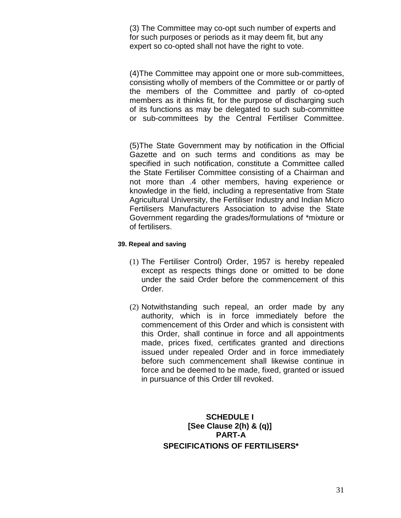(3) The Committee may co-opt such number of experts and for such purposes or periods as it may deem fit, but any expert so co-opted shall not have the right to vote.

(4)The Committee may appoint one or more sub-committees, consisting wholly of members of the Committee or or partly of the members of the Committee and partly of co-opted members as it thinks fit, for the purpose of discharging such of its functions as may be delegated to such sub-committee or sub-committees by the Central Fertiliser Committee.

(5)The State Government may by notification in the Official Gazette and on such terms and conditions as may be specified in such notification, constitute a Committee called the State Fertiliser Committee consisting of a Chairman and not more than .4 other members, having experience or knowledge in the field, including a representative from State Agricultural University, the Fertiliser Industry and Indian Micro Fertilisers Manufacturers Association to advise the State Government regarding the grades/formulations of \*mixture or of fertilisers.

### **39. Repeal and saving**

- (1) The Fertiliser Control) Order, 1957 is hereby repealed except as respects things done or omitted to be done under the said Order before the commencement of this Order.
- (2) Notwithstanding such repeal, an order made by any authority, which is in force immediately before the commencement of this Order and which is consistent with this Order, shall continue in force and all appointments made, prices fixed, certificates granted and directions issued under repealed Order and in force immediately before such commencement shall likewise continue in force and be deemed to be made, fixed, granted or issued in pursuance of this Order till revoked.

## **SCHEDULE I [See Clause 2(h) & (q)] PART-A SPECIFICATIONS OF FERTILISERS\***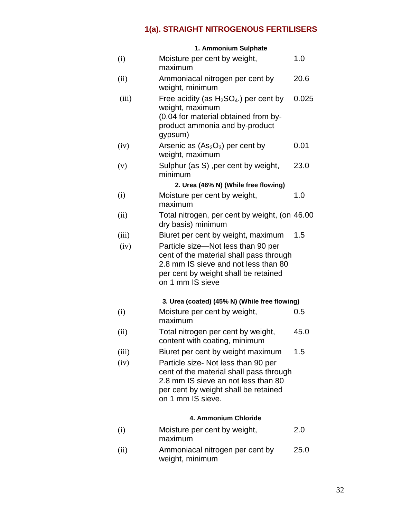# **1(a). STRAIGHT NITROGENOUS FERTILISERS**

|       | 1. Ammonium Sulphate                                                                                                                                                               |       |
|-------|------------------------------------------------------------------------------------------------------------------------------------------------------------------------------------|-------|
| (i)   | Moisture per cent by weight,<br>maximum                                                                                                                                            | 1.0   |
| (ii)  | Ammoniacal nitrogen per cent by<br>weight, minimum                                                                                                                                 | 20.6  |
| (iii) | Free acidity (as $H_2SO_4$ .) per cent by<br>weight, maximum<br>(0.04 for material obtained from by-<br>product ammonia and by-product<br>gypsum)                                  | 0.025 |
| (iv)  | Arsenic as $(As2O3)$ per cent by<br>weight, maximum                                                                                                                                | 0.01  |
| (v)   | Sulphur (as S), per cent by weight,<br>minimum                                                                                                                                     | 23.0  |
|       | 2. Urea (46% N) (While free flowing)                                                                                                                                               |       |
| (i)   | Moisture per cent by weight,<br>maximum                                                                                                                                            | 1.0   |
| (ii)  | Total nitrogen, per cent by weight, (on 46.00<br>dry basis) minimum                                                                                                                |       |
| (iii) | Biuret per cent by weight, maximum                                                                                                                                                 | 1.5   |
| (iv)  | Particle size-Not less than 90 per<br>cent of the material shall pass through<br>2.8 mm IS sieve and not less than 80<br>per cent by weight shall be retained<br>on 1 mm IS sieve  |       |
|       | 3. Urea (coated) (45% N) (While free flowing)                                                                                                                                      |       |
| (i)   | Moisture per cent by weight,<br>maximum                                                                                                                                            | 0.5   |
| (ii)  | Total nitrogen per cent by weight,<br>content with coating, minimum                                                                                                                | 45.0  |
| (iii) | Biuret per cent by weight maximum                                                                                                                                                  | 1.5   |
| (iv)  | Particle size- Not less than 90 per<br>cent of the material shall pass through<br>2.8 mm IS sieve an not less than 80<br>per cent by weight shall be retained<br>on 1 mm IS sieve. |       |
|       | 4. Ammonium Chloride                                                                                                                                                               |       |
| (i)   | Moisture per cent by weight,<br>maximum                                                                                                                                            | 2.0   |

(ii) Ammoniacal nitrogen per cent by weight, minimum 25.0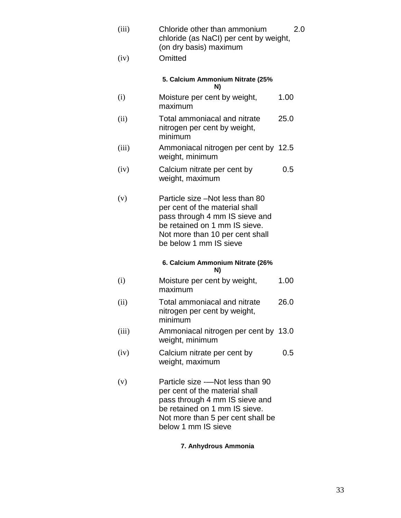| (iii) | Chloride other than ammonium<br>chloride (as NaCI) per cent by weight,<br>(on dry basis) maximum                                                                                                  | 2.0  |
|-------|---------------------------------------------------------------------------------------------------------------------------------------------------------------------------------------------------|------|
| (iv)  | Omitted                                                                                                                                                                                           |      |
|       | 5. Calcium Ammonium Nitrate (25%<br>N)                                                                                                                                                            |      |
| (i)   | Moisture per cent by weight,<br>maximum                                                                                                                                                           | 1.00 |
| (ii)  | Total ammoniacal and nitrate<br>nitrogen per cent by weight,<br>minimum                                                                                                                           | 25.0 |
| (iii) | Ammoniacal nitrogen per cent by 12.5<br>weight, minimum                                                                                                                                           |      |
| (iv)  | Calcium nitrate per cent by<br>weight, maximum                                                                                                                                                    | 0.5  |
| (v)   | Particle size -Not less than 80<br>per cent of the material shall<br>pass through 4 mm IS sieve and<br>be retained on 1 mm IS sieve.<br>Not more than 10 per cent shall<br>be below 1 mm IS sieve |      |
|       | 6. Calcium Ammonium Nitrate (26%<br>N)                                                                                                                                                            |      |
| (i)   | Moisture per cent by weight,<br>maximum                                                                                                                                                           | 1.00 |
| (ii)  | Total ammoniacal and nitrate<br>nitrogen per cent by weight,<br>minimum                                                                                                                           | 26.0 |
| (iii) | Ammoniacal nitrogen per cent by 13.0<br>weight, minimum                                                                                                                                           |      |
| (iv)  | Calcium nitrate per cent by<br>weight, maximum                                                                                                                                                    | 0.5  |
| (v)   | Particle size --Not less than 90<br>per cent of the material shall<br>pass through 4 mm IS sieve and<br>be retained on 1 mm IS sieve.<br>Not more than 5 per cent shall be<br>below 1 mm IS sieve |      |

## **7. Anhydrous Ammonia**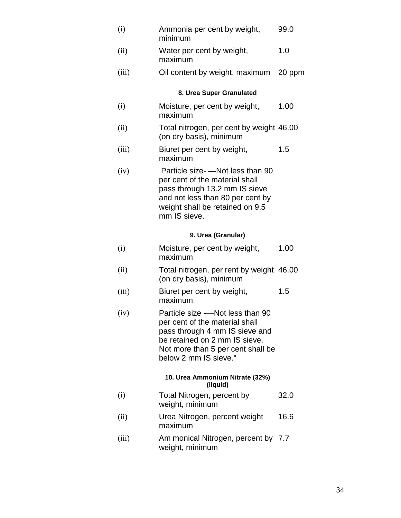| (i)                      | Ammonia per cent by weight,<br>minimum                                                                                                                                                      | 99.0   |  |  |
|--------------------------|---------------------------------------------------------------------------------------------------------------------------------------------------------------------------------------------|--------|--|--|
| (ii)                     | Water per cent by weight,<br>maximum                                                                                                                                                        | 1.0    |  |  |
| (iii)                    | Oil content by weight, maximum                                                                                                                                                              | 20 ppm |  |  |
| 8. Urea Super Granulated |                                                                                                                                                                                             |        |  |  |
| (i)                      | Moisture, per cent by weight,<br>maximum                                                                                                                                                    | 1.00   |  |  |
| (ii)                     | Total nitrogen, per cent by weight 46.00<br>(on dry basis), minimum                                                                                                                         |        |  |  |
| (iii)                    | Biuret per cent by weight,<br>maximum                                                                                                                                                       | 1.5    |  |  |
| (iv)                     | Particle size- - Not less than 90<br>per cent of the material shall<br>pass through 13.2 mm IS sieve<br>and not less than 80 per cent by<br>weight shall be retained on 9.5<br>mm IS sieve. |        |  |  |
|                          | 9. Urea (Granular)                                                                                                                                                                          |        |  |  |
| (i)                      | Moisture, per cent by weight,<br>maximum                                                                                                                                                    | 1.00   |  |  |
| (ii)                     | Total nitrogen, per rent by weight 46.00<br>(on dry basis), minimum                                                                                                                         |        |  |  |

- (iii) Biuret per cent by weight, maximum 1.5
- (iv) Particle size -—Not less than 90 per cent of the material shall pass through 4 mm IS sieve and be retained on 2 mm IS sieve. Not more than 5 per cent shall be below 2 mm IS sieve."

#### **10. Urea Ammonium Nitrate (32%) (liquid)**

- (i) Total Nitrogen, percent by weight, minimum 32.0
- (ii) Urea Nitrogen, percent weight maximum 16.6
- (iii) Am monical Nitrogen, percent by 7.7 weight, minimum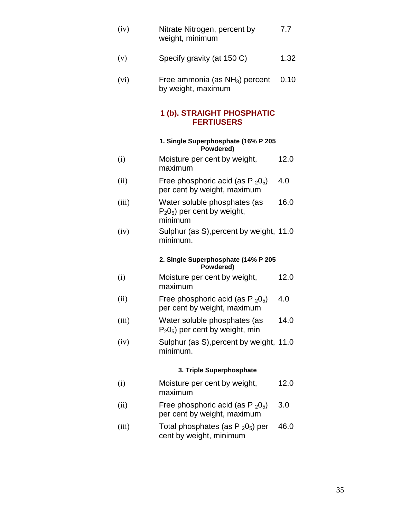| (iv) | Nitrate Nitrogen, percent by | 7.7 |
|------|------------------------------|-----|
|      | weight, minimum              |     |

- (v) Specify gravity (at 150 C) 1.32
- $(vi)$  Free ammonia (as  $NH<sub>3</sub>$ ) percent by weight, maximum 0.10

## **1 (b). STRAIGHT PHOSPHATIC FERTIUSERS**

## **1. Single Superphosphate (16% P 205 Powdered)**

- (i) Moisture per cent by weight, maximum 12.0
- (ii) Free phosphoric acid (as  $P_2O_5$ ) per cent by weight, maximum 4.0
- (iii) Water soluble phosphates (as  $P_2O_5$ ) per cent by weight, minimum 16.0
- (iv) Sulphur (as S),percent by weight, 11.0 minimum.

#### **2. SIngle Superphosphate (14% P 205 Powdered)**

- (i) Moisture per cent by weight, maximum 12.0
- (ii) Free phosphoric acid (as  $P_2O_5$ ) per cent by weight, maximum 4.0
- (iii) Water soluble phosphates (as  $P_2O_5$ ) per cent by weight, min 14.0
- (iv) Sulphur (as S),percent by weight, 11.0 minimum.

## **3. Triple Superphosphate**

- (i) Moisture per cent by weight, maximum 12.0
- (ii) Free phosphoric acid (as  $P_2O_5$ ) per cent by weight, maximum 3.0
- (iii) Total phosphates (as  $P_2O_5$ ) per cent by weight, minimum 46.0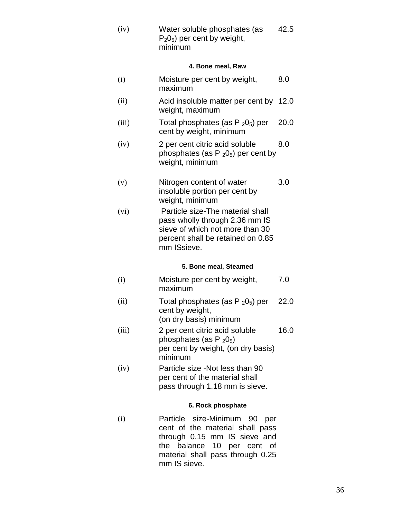(iv) Water soluble phosphates (as  $P_2O_5$ ) per cent by weight, minimum 42.5

### **4. Bone meal, Raw**

- (i) Moisture per cent by weight, maximum 8.0
- (ii) Acid insoluble matter per cent by 12.0 weight, maximum
- (iii) Total phosphates (as  $P_2O_5$ ) per cent by weight, minimum 20.0
- (iv) 2 per cent citric acid soluble phosphates (as  $P_2O_5$ ) per cent by weight, minimum 8.0
- (v) Nitrogen content of water insoluble portion per cent by weight, minimum 3.0
- (vi) Particle size-The material shall pass wholly through 2.36 mm IS sieve of which not more than 30 percent shall be retained on 0.85 mm ISsieve.

#### **5. Bone meal, Steamed**

- (i) Moisture per cent by weight, maximum 7.0
- (ii) Total phosphates (as  $P_2O_5$ ) per cent by weight, (on dry basis) minimum 22.0
- (iii) 2 per cent citric acid soluble phosphates (as  $P_2O_5$ ) per cent by weight, (on dry basis) minimum 16.0
- (iv) Particle size -Not less than 90 per cent of the material shall pass through 1.18 mm is sieve.

#### **6. Rock phosphate**

(i) Particle size-Minimum 90 per cent of the material shall pass through 0.15 mm IS sieve and the balance 10 per cent of material shall pass through 0.25 mm IS sieve.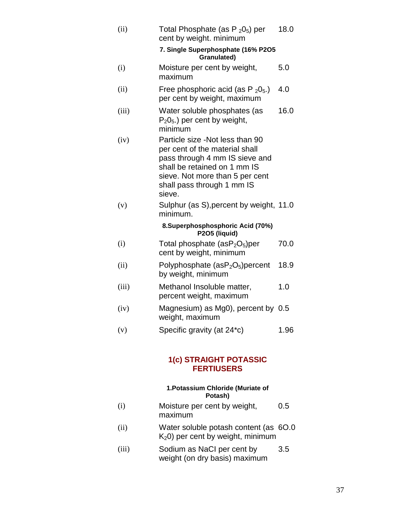| (ii)  | Total Phosphate (as $P_2O_5$ ) per<br>cent by weight. minimum                                                                                                                                                  | 18.0 |
|-------|----------------------------------------------------------------------------------------------------------------------------------------------------------------------------------------------------------------|------|
|       | 7. Single Superphosphate (16% P2O5<br>Granulated)                                                                                                                                                              |      |
| (i)   | Moisture per cent by weight,<br>maximum                                                                                                                                                                        | 5.0  |
| (ii)  | Free phosphoric acid (as $P_2O_5$ .)<br>per cent by weight, maximum                                                                                                                                            | 4.0  |
| (iii) | Water soluble phosphates (as<br>$P_2O_5$ ) per cent by weight,<br>minimum                                                                                                                                      | 16.0 |
| (iv)  | Particle size -Not less than 90<br>per cent of the material shall<br>pass through 4 mm IS sieve and<br>shall be retained on 1 mm IS<br>sieve. Not more than 5 per cent<br>shall pass through 1 mm IS<br>sieve. |      |
| (v)   | Sulphur (as S), percent by weight, 11.0<br>minimum.                                                                                                                                                            |      |
|       | 8.Superphosphosphoric Acid (70%)<br>P2O5 (liquid)                                                                                                                                                              |      |
| (i)   | Total phosphate $(asP2O5)per$<br>cent by weight, minimum                                                                                                                                                       | 70.0 |
| (ii)  | Polyphosphate $(asP2O5)$ percent<br>by weight, minimum                                                                                                                                                         | 18.9 |
| (iii) | Methanol Insoluble matter,<br>percent weight, maximum                                                                                                                                                          | 1.0  |
| (iv)  | Magnesium) as Mg0), percent by 0.5<br>weight, maximum                                                                                                                                                          |      |
| (v)   | Specific gravity (at 24*c)                                                                                                                                                                                     | 1.96 |

# **1(c) STRAIGHT POTASSIC FERTIUSERS**

#### **1.Potassium Chloride (Muriate of Potash)**

- (i) Moisture per cent by weight, maximum 0.5
- (ii) Water soluble potash content (as K20) per cent by weight, minimum 6O.0
- (iii) Sodium as NaCI per cent by weight (on dry basis) maximum 3.5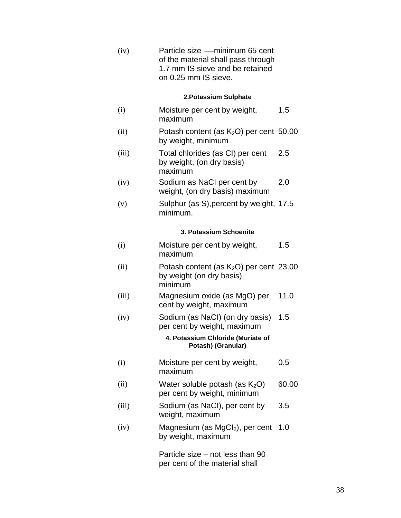(iv) Particle size -—minimum 65 cent of the material shall pass through 1.7 mm IS sieve and be retained on 0.25 mm IS sieve.

#### **2.Potassium Sulphate**

- (i) Moisture per cent by weight, maximum 1.5
- $(ii)$  Potash content (as  $K_2O$ ) per cent 50.00 by weight, minimum
- (iii) Total chlorides (as CI) per cent by weight, (on dry basis) maximum 2.5
- (iv) Sodium as NaCI per cent by weight, (on dry basis) maximum 2.0
- (v) Sulphur (as S),percent by weight, 17.5 minimum.

#### **3. Potassium Schoenite**

- (i) Moisture per cent by weight, maximum 1.5
- (ii) Potash content (as  $K_2O$ ) per cent 23.00 by weight (on dry basis), minimum
- (iii) Magnesium oxide (as MgO) per cent by weight, maximum 11.0
- (iv) Sodium (as NaCI) (on dry basis) per cent by weight, maximum 1.5

#### **4. Potassium Chloride (Muriate of Potash) (Granular)**

- (i) Moisture per cent by weight, maximum 0.5
- (ii) Water soluble potash (as  $K_2O$ ) per cent by weight, minimum 60.00
- (iii) Sodium (as NaCI), per cent by weight, maximum 3.5
- $(iv)$  Magnesium (as MgCl<sub>2</sub>), per cent 1.0 by weight, maximum

Particle size – not less than 90 per cent of the material shall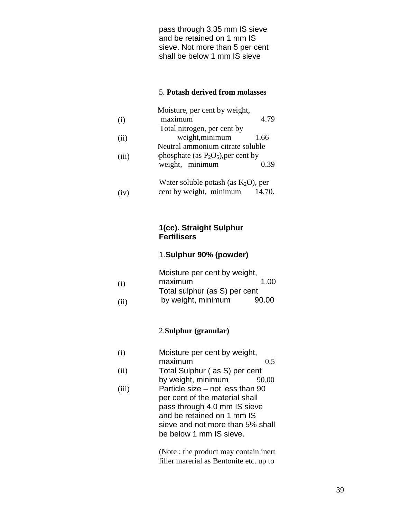pass through 3.35 mm IS sieve and be retained on 1 mm IS sieve. Not more than 5 per cent shall be below 1 mm IS sieve

#### 5. **Potash derived from molasses**

|       | Moisture, per cent by weight,          |        |
|-------|----------------------------------------|--------|
| (i)   | maximum                                | 4.79   |
|       | Total nitrogen, per cent by            |        |
| (ii)  | weight, minimum                        | 1.66   |
|       | Neutral ammonium citrate soluble       |        |
| (iii) | phosphate (as $P_2O_5$ ), per cent by  |        |
|       | weight, minimum                        | 0.39   |
|       | Water soluble potash (as $K_2O$ ), per |        |
| W     | cent by weight, minimum                | 14.70. |

**1(cc). Straight Sulphur Fertilisers** 

# 1.**Sulphur 90% (powder)**

|      | Moisture per cent by weight,  |       |
|------|-------------------------------|-------|
| (i)  | maximum                       | 1.00  |
|      | Total sulphur (as S) per cent |       |
| (ii) | by weight, minimum            | 90.00 |

#### 2.**Sulphur (granular)**

| (i) | Moisture per cent by weight, |     |
|-----|------------------------------|-----|
|     | maximum                      | 0.5 |

- (ii) Total Sulphur ( as S) per cent by weight, minimum 90.00
- (iii) Particle size – not less than 90 per cent of the material shall pass through 4.0 mm IS sieve and be retained on 1 mm IS sieve and not more than 5% shall be below 1 mm IS sieve.

(Note : the product may contain inert filler marerial as Bentonite etc. up to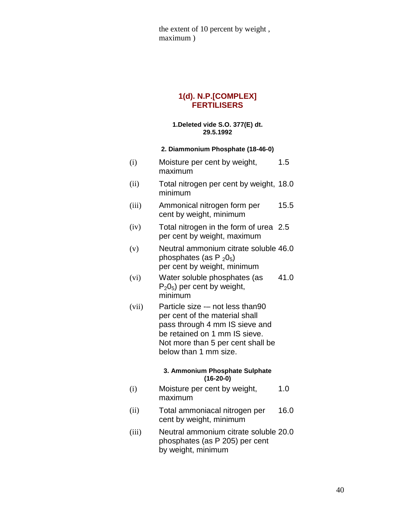the extent of 10 percent by weight , maximum )

#### **1(d). N.P.[COMPLEX] FERTILISERS**

#### **1.Deleted vide S.O. 377(E) dt. 29.5.1992**

#### **2. Diammonium Phosphate (18-46-0)**

| (i)   | Moisture per cent by weight,<br>maximum                                                                                                                                                             | 1.5  |
|-------|-----------------------------------------------------------------------------------------------------------------------------------------------------------------------------------------------------|------|
| (ii)  | Total nitrogen per cent by weight, 18.0<br>minimum                                                                                                                                                  |      |
| (iii) | Ammonical nitrogen form per<br>cent by weight, minimum                                                                                                                                              | 15.5 |
| (iv)  | Total nitrogen in the form of urea 2.5<br>per cent by weight, maximum                                                                                                                               |      |
| (v)   | Neutral ammonium citrate soluble 46.0<br>phosphates (as $P_2O_5$ )<br>per cent by weight, minimum                                                                                                   |      |
| (vi)  | Water soluble phosphates (as<br>$P_2O_5$ ) per cent by weight,<br>minimum                                                                                                                           | 41.0 |
| (vii) | Particle size - not less than 90<br>per cent of the material shall<br>pass through 4 mm IS sieve and<br>be retained on 1 mm IS sieve.<br>Not more than 5 per cent shall be<br>below than 1 mm size. |      |
|       | 3. Ammonium Phosphate Sulphate<br>$(16-20-0)$                                                                                                                                                       |      |
| (i)   | Moisture per cent by weight,<br>maximum                                                                                                                                                             | 1.0  |
| (ii)  | Total ammoniacal nitrogen per<br>cent by weight, minimum                                                                                                                                            | 16.0 |

(iii) Neutral ammonium citrate soluble 20.0 phosphates (as P 205) per cent by weight, minimum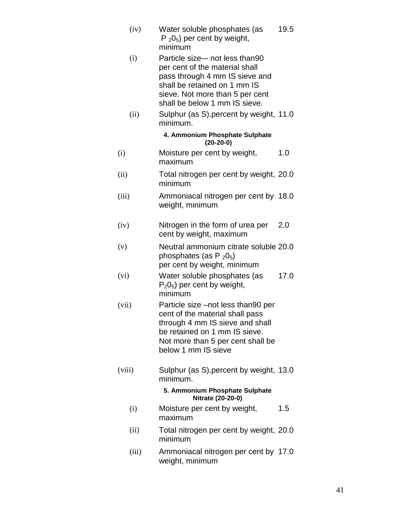- (iv) Water soluble phosphates (as  $P_2O_5$ ) per cent by weight, minimum 19.5 (i) Particle size-– not less than90 per cent of the material shall
	- pass through 4 mm IS sieve and shall be retained on 1 mm IS sieve. Not more than 5 per cent shall be below 1 mm IS sieve.
- (ii) Sulphur (as S),percent by weight, 11.0 minimum.

#### **4. Ammonium Phosphate Sulphate (20-20-0)**

- (i) Moisture per cent by weight, maximum 1.0
- (ii) Total nitrogen per cent by weight, 20.0 minimum
- (iii) Ammoniacal nitrogen per cent by 18.0 weight, minimum
- (iv) Nitrogen in the form of urea per cent by weight, maximum 2.0
- (v) Neutral ammonium citrate soluble 20.0 phosphates (as P  $_2$ 0<sub>5</sub>) per cent by weight, minimum
- (vi) Water soluble phosphates (as  $P_2O_5$ ) per cent by weight, minimum 17.0
- (vii) Particle size –not less than90 per cent of the material shall pass through 4 mm IS sieve and shall be retained on 1 mm IS sieve. Not more than 5 per cent shall be below 1 mm IS sieve
- (viii) Sulphur (as S),percent by weight, 13.0 minimum.

#### **5. Ammonium Phosphate Sulphate Nitrate (20-20-0)**

- (i) Moisture per cent by weight, maximum 1.5
- (ii) Total nitrogen per cent by weight, 20.0 minimum
- (iii) Ammoniacal nitrogen per cent by 17.0 weight, minimum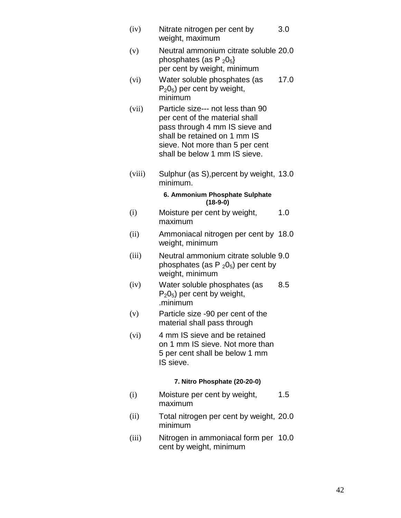- (iv) Nitrate nitrogen per cent by weight, maximum 3.0 (v) Neutral ammonium citrate soluble 20.0 phosphates (as P<sub>205</sub>) per cent by weight, minimum (vi) Water soluble phosphates (as  $P_2O_5$ ) per cent by weight, minimum 17.0 (vii) Particle size--- not less than 90 per cent of the material shall pass through 4 mm IS sieve and shall be retained on 1 mm IS sieve. Not more than 5 per cent shall be below 1 mm IS sieve. (viii) Sulphur (as S),percent by weight, 13.0 minimum. **6. Ammonium Phosphate Sulphate (18-9-0)** (i) Moisture per cent by weight, maximum 1.0 (ii) Ammoniacal nitrogen per cent by 18.0 weight, minimum (iii) Neutral ammonium citrate soluble 9.0 phosphates (as  $P_2O_5$ ) per cent by weight, minimum (iv) Water soluble phosphates (as  $P_2O_5$ ) per cent by weight, .minimum 8.5 (v) Particle size -90 per cent of the material shall pass through (vi) 4 mm IS sieve and be retained on 1 mm IS sieve. Not more than 5 per cent shall be below 1 mm IS sieve. **7. Nitro Phosphate (20-20-0)** (i) Moisture per cent by weight, maximum 1.5
- (ii) Total nitrogen per cent by weight, 20.0 minimum
- (iii) Nitrogen in ammoniacal form per 10.0 cent by weight, minimum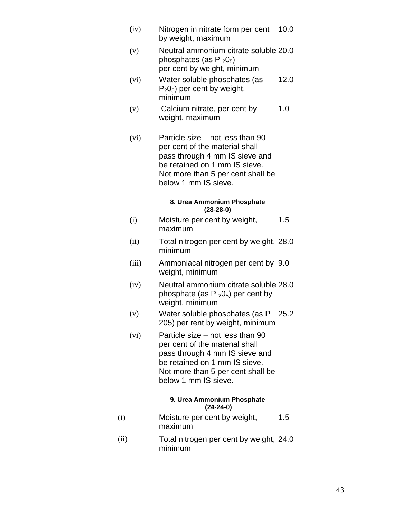- (iv) Nitrogen in nitrate form per cent by weight, maximum 10.0
- (v) Neutral ammonium citrate soluble 20.0 phosphates (as  $P_2O_5$ ) per cent by weight, minimum
- (vi) Water soluble phosphates (as  $P_2O_5$ ) per cent by weight, minimum 12.0
- (v) Calcium nitrate, per cent by weight, maximum 1.0
- (vi) Particle size not less than 90 per cent of the material shall pass through 4 mm IS sieve and be retained on 1 mm IS sieve. Not more than 5 per cent shall be below 1 mm IS sieve.

#### **8. Urea Ammonium Phosphate (28-28-0)**

- (i) Moisture per cent by weight, maximum 1.5
- (ii) Total nitrogen per cent by weight, 28.0 minimum
- (iii) Ammoniacal nitrogen per cent by 9.0 weight, minimum
- (iv) Neutral ammonium citrate soluble 28.0 phosphate (as  $P_2O_5$ ) per cent by weight, minimum
- (v) Water soluble phosphates (as P 25.2 205) per rent by weight, minimum
- (vi) Particle size not less than 90 per cent of the matenal shall pass through 4 mm IS sieve and be retained on 1 mm IS sieve. Not more than 5 per cent shall be below 1 mm IS sieve.

#### **9. Urea Ammonium Phosphate (24-24-0)**

- (i) Moisture per cent by weight, maximum 1.5
- (ii) Total nitrogen per cent by weight, 24.0 minimum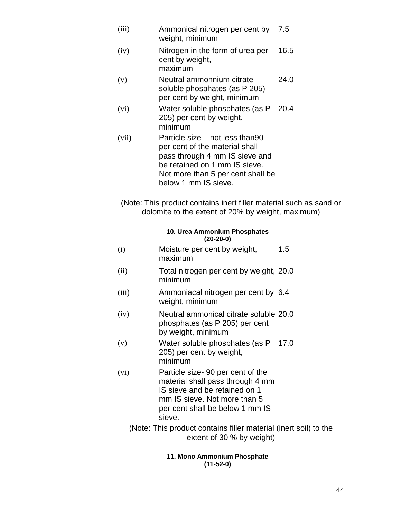- (iii) Ammonical nitrogen per cent by weight, minimum 7.5
- (iv) Nitrogen in the form of urea per cent by weight, maximum 16.5
- (v) Neutral ammonnium citrate soluble phosphates (as P 205) per cent by weight, minimum 24.0
- (vi) Water soluble phosphates (as P 205) per cent by weight, minimum 20.4
- (vii) Particle size not less than90 per cent of the material shall pass through 4 mm IS sieve and be retained on 1 mm IS sieve. Not more than 5 per cent shall be below 1 mm IS sieve.
- (Note: This product contains inert filler material such as sand or dolomite to the extent of 20% by weight, maximum)

#### **10. Urea Ammonium Phosphates (20-20-0)**

- (i) Moisture per cent by weight, maximum 1.5
- (ii) Total nitrogen per cent by weight, 20.0 minimum
- (iii) Ammoniacal nitrogen per cent by 6.4 weight, minimum
- (iv) Neutral ammonical citrate soluble 20.0 phosphates (as P 205) per cent by weight, minimum
- (v) Water soluble phosphates (as P 205) per cent by weight, minimum 17.0
- (vi) Particle size- 90 per cent of the material shall pass through 4 mm IS sieve and be retained on 1 mm IS sieve. Not more than 5 per cent shall be below 1 mm IS sieve.
	- (Note: This product contains filler material (inert soil) to the extent of 30 % by weight)

#### **11. Mono Ammonium Phosphate (11-52-0)**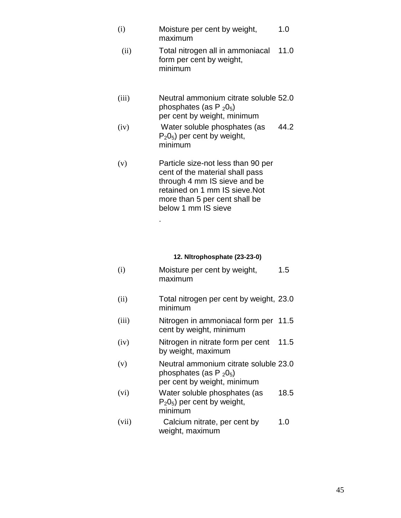- (i) Moisture per cent by weight, maximum 1.0
	- (ii) Total nitrogen all in ammoniacal form per cent by weight, minimum 11.0
- (iii) Neutral ammonium citrate soluble 52.0 phosphates (as  $P_2O_5$ ) per cent by weight, minimum
- $(iv)$  Water soluble phosphates (as  $P_2O_5$ ) per cent by weight, minimum 44.2
- (v) Particle size-not less than 90 per cent of the material shall pass through 4 mm IS sieve and be retained on 1 mm IS sieve.Not more than 5 per cent shall be below 1 mm IS sieve

.

#### **12. Nltrophosphate (23-23-0)**

| (i) | Moisture per cent by weight, | 1.5 |
|-----|------------------------------|-----|
|     | maximum                      |     |

- (ii) Total nitrogen per cent by weight, 23.0 minimum
- (iii) Nitrogen in ammoniacal form per 11.5 cent by weight, minimum
- (iv) Nitrogen in nitrate form per cent 11.5 by weight, maximum
- (v) Neutral ammonium citrate soluble 23.0 phosphates (as  $P_2O_5$ ) per cent by weight, minimum
- (vi) Water soluble phosphates (as  $P_2O_5$ ) per cent by weight, minimum 18.5
- (vii) Calcium nitrate, per cent by weight, maximum 1.0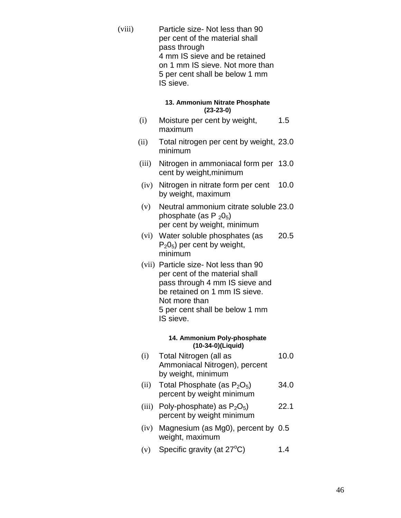(viii) Particle size- Not less than 90 per cent of the material shall pass through 4 mm IS sieve and be retained on 1 mm IS sieve. Not more than 5 per cent shall be below 1 mm IS sieve.

#### **13. Ammonium Nitrate Phosphate (23-23-0)**

- (i) Moisture per cent by weight, maximum 1.5
- (ii) Total nitrogen per cent by weight, 23.0 minimum
- (iii) Nitrogen in ammoniacal form per 13.0 cent by weight,minimum
	- (iv) Nitrogen in nitrate form per cent by weight, maximum 10.0
	- (v) Neutral ammonium citrate soluble 23.0 phosphate (as  $P_2O_5$ ) per cent by weight, minimum
	- (vi) Water soluble phosphates (as  $P_2O_5$ ) per cent by weight, minimum 20.5
	- (vii) Particle size- Not less than 90 per cent of the material shall pass through 4 mm IS sieve and be retained on 1 mm IS sieve. Not more than 5 per cent shall be below 1 mm IS sieve.

#### **14. Ammonium Poly-phosphate (10-34-0)(Liquid)**

- (i) Total Nitrogen (all as Ammoniacal Nitrogen), percent by weight, minimum 10.0
- (ii) Total Phosphate (as  $P_2O_5$ ) percent by weight minimum 34.0
- (iii) Poly-phosphate) as  $P_2O_5$ ) percent by weight minimum 22.1
- (iv) Magnesium (as Mg0), percent by 0.5 weight, maximum
- (v) Specific gravity (at  $27^{\circ}$ C) 1.4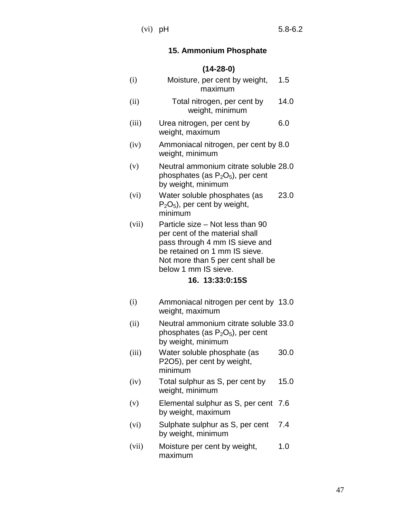# **15. Ammonium Phosphate**

|       | $(14-28-0)$                                                                                                                                                                                                           |      |
|-------|-----------------------------------------------------------------------------------------------------------------------------------------------------------------------------------------------------------------------|------|
| (i)   | Moisture, per cent by weight,<br>maximum                                                                                                                                                                              | 1.5  |
| (ii)  | Total nitrogen, per cent by<br>weight, minimum                                                                                                                                                                        | 14.0 |
| (iii) | Urea nitrogen, per cent by<br>weight, maximum                                                                                                                                                                         | 6.0  |
| (iv)  | Ammoniacal nitrogen, per cent by 8.0<br>weight, minimum                                                                                                                                                               |      |
| (v)   | Neutral ammonium citrate soluble 28.0<br>phosphates (as $P_2O_5$ ), per cent<br>by weight, minimum                                                                                                                    |      |
| (vi)  | Water soluble phosphates (as<br>$P_2O_5$ , per cent by weight,<br>minimum                                                                                                                                             | 23.0 |
| (vii) | Particle size - Not less than 90<br>per cent of the material shall<br>pass through 4 mm IS sieve and<br>be retained on 1 mm IS sieve.<br>Not more than 5 per cent shall be<br>below 1 mm IS sieve.<br>16. 13:33:0:15S |      |
| (i)   | Ammoniacal nitrogen per cent by 13.0<br>weight, maximum                                                                                                                                                               |      |
| (ii)  | Neutral ammonium citrate soluble 33.0<br>phosphates (as $P_2O_5$ ), per cent<br>by weight, minimum                                                                                                                    |      |
| (iii) | Water soluble phosphate (as<br>P2O5), per cent by weight,<br>minimum                                                                                                                                                  | 30.0 |
| (iv)  | Total sulphur as S, per cent by<br>weight, minimum                                                                                                                                                                    | 15.0 |
| (v)   | Elemental sulphur as S, per cent 7.6<br>by weight, maximum                                                                                                                                                            |      |
| (vi)  | Sulphate sulphur as S, per cent<br>by weight, minimum                                                                                                                                                                 | 7.4  |
| (vii) | Moisture per cent by weight,<br>maximum                                                                                                                                                                               | 1.0  |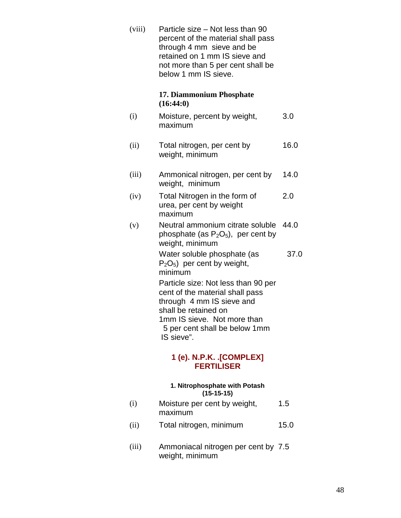(viii) Particle size – Not less than 90 percent of the material shall pass through 4 mm sieve and be retained on 1 mm IS sieve and not more than 5 per cent shall be below 1 mm IS sieve.

#### **17. Diammonium Phosphate (16:44:0)**

- (i) Moisture, percent by weight, maximum 3.0
	- (ii) Total nitrogen, per cent by weight, minimum 16.0
	- (iii) Ammonical nitrogen, per cent by weight, minimum 14.0
	- (iv) Total Nitrogen in the form of urea, per cent by weight maximum 2.0
	- (v) Neutral ammonium citrate soluble 44.0 phosphate (as  $P_2O_5$ ), per cent by weight, minimum

Water soluble phosphate (as  $P_2O_5$ ) per cent by weight, minimum 37.0

Particle size: Not less than 90 per cent of the material shall pass through 4 mm IS sieve and shall be retained on 1mm IS sieve. Not more than 5 per cent shall be below 1mm IS sieve".

# **1 (e). N.P.K. .[COMPLEX] FERTILISER**

#### **1. Nitrophosphate with Potash (15-15-15)**

- (i) Moisture per cent by weight, maximum 1.5
- (ii) Total nitrogen, minimum 15.0
- (iii) Ammoniacal nitrogen per cent by 7.5 weight, minimum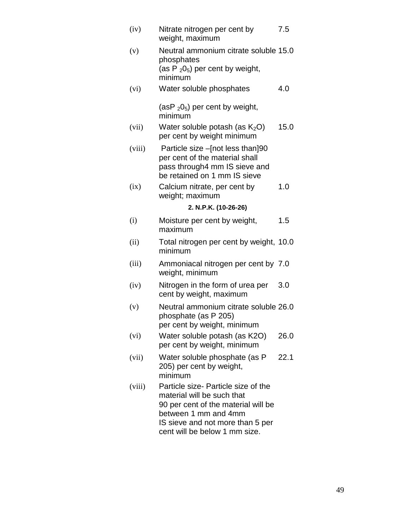| (iv)   | Nitrate nitrogen per cent by<br>weight, maximum                                                                                                                                                       | 7.5  |
|--------|-------------------------------------------------------------------------------------------------------------------------------------------------------------------------------------------------------|------|
| (v)    | Neutral ammonium citrate soluble 15.0<br>phosphates<br>(as $P_2O_5$ ) per cent by weight,<br>minimum                                                                                                  |      |
| (vi)   | Water soluble phosphates                                                                                                                                                                              | 4.0  |
|        | $(asP2O5)$ per cent by weight,<br>minimum                                                                                                                                                             |      |
| (vii)  | Water soluble potash (as $K_2O$ )<br>per cent by weight minimum                                                                                                                                       | 15.0 |
| (viii) | Particle size -[not less than]90<br>per cent of the material shall<br>pass through4 mm IS sieve and<br>be retained on 1 mm IS sieve                                                                   |      |
| (ix)   | Calcium nitrate, per cent by<br>weight; maximum                                                                                                                                                       | 1.0  |
|        | 2. N.P.K. (10-26-26)                                                                                                                                                                                  |      |
| (i)    | Moisture per cent by weight,<br>maximum                                                                                                                                                               | 1.5  |
| (ii)   | Total nitrogen per cent by weight, 10.0<br>minimum                                                                                                                                                    |      |
| (iii)  | Ammoniacal nitrogen per cent by 7.0<br>weight, minimum                                                                                                                                                |      |
| (iv)   | Nitrogen in the form of urea per<br>cent by weight, maximum                                                                                                                                           | 3.0  |
| (v)    | Neutral ammonium citrate soluble 26.0<br>phosphate (as P 205)<br>per cent by weight, minimum                                                                                                          |      |
| (vi)   | Water soluble potash (as K2O)<br>per cent by weight, minimum                                                                                                                                          | 26.0 |
| (vii)  | Water soluble phosphate (as P<br>205) per cent by weight,<br>minimum                                                                                                                                  | 22.1 |
| (viii) | Particle size- Particle size of the<br>material will be such that<br>90 per cent of the material will be<br>between 1 mm and 4mm<br>IS sieve and not more than 5 per<br>cent will be below 1 mm size. |      |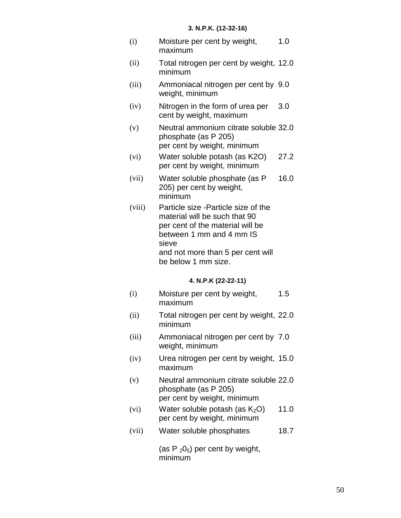| (i) | Moisture per cent by weight, | 1.0 |
|-----|------------------------------|-----|
|     | maximum                      |     |

- (ii) Total nitrogen per cent by weight, 12.0 minimum
- (iii) Ammoniacal nitrogen per cent by 9.0 weight, minimum
- (iv) Nitrogen in the form of urea per cent by weight, maximum 3.0
- (v) Neutral ammonium citrate soluble 32.0 phosphate (as P 205) per cent by weight, minimum
- (vi) Water soluble potash (as K2O) per cent by weight, minimum 27.2
- (vii) Water soluble phosphate (as P 205) per cent by weight, minimum 16.0
- (viii) Particle size -Particle size of the material will be such that 90 per cent of the material will be between 1 mm and 4 mm IS sieve and not more than 5 per cent will be below 1 mm size.

#### **4. N.P.K (22-22-11)**

- (i) Moisture per cent by weight, maximum 1.5
- (ii) Total nitrogen per cent by weight, 22.0 minimum
- (iii) Ammoniacal nitrogen per cent by 7.0 weight, minimum
- (iv) Urea nitrogen per cent by weight, 15.0 maximum
- (v) Neutral ammonium citrate soluble 22.0 phosphate (as P 205) per cent by weight, minimum
- (vi) Water soluble potash (as  $K_2O$ ) per cent by weight, minimum 11.0
- (vii) Water soluble phosphates 18.7

(as  $P_2O_5$ ) per cent by weight, minimum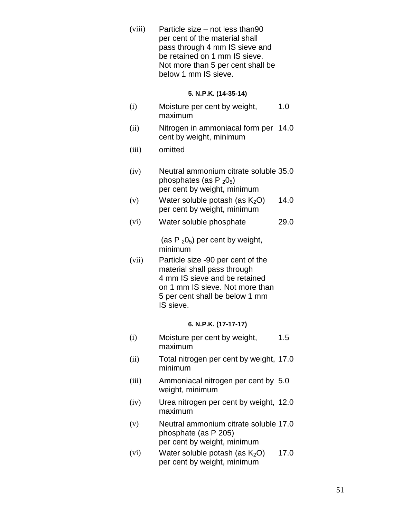(viii) Particle size – not less than90 per cent of the material shall pass through 4 mm IS sieve and be retained on 1 mm IS sieve. Not more than 5 per cent shall be below 1 mm IS sieve.

#### **5. N.P.K. (14-35-14)**

- (i) Moisture per cent by weight, maximum 1.0
- (ii) Nitrogen in ammoniacal form per 14.0 cent by weight, minimum
- (iii) omitted
- (iv) Neutral ammonium citrate soluble 35.0 phosphates (as  $P_2O_5$ ) per cent by weight, minimum
- (v) Water soluble potash (as  $K<sub>2</sub>O$ ) per cent by weight, minimum 14.0
- (vi) Water soluble phosphate 29.0

(as  $P_2O_5$ ) per cent by weight, minimum

(vii) Particle size -90 per cent of the material shall pass through 4 mm IS sieve and be retained on 1 mm IS sieve. Not more than 5 per cent shall be below 1 mm IS sieve.

#### **6. N.P.K. (17-17-17)**

- (i) Moisture per cent by weight, maximum 1.5
- (ii) Total nitrogen per cent by weight, 17.0 minimum
- (iii) Ammoniacal nitrogen per cent by 5.0 weight, minimum
- (iv) Urea nitrogen per cent by weight, 12.0 maximum
- (v) Neutral ammonium citrate soluble 17.0 phosphate (as P 205) per cent by weight, minimum
- (vi) Water soluble potash (as  $K_2O$ ) per cent by weight, minimum 17.0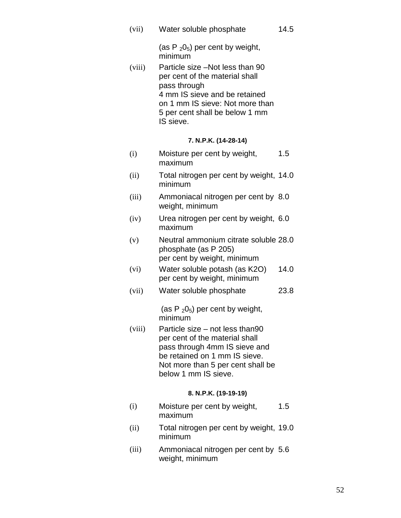(vii) Water soluble phosphate 14.5

> (as P  $_2$ 0<sub>5</sub>) per cent by weight, minimum

(viii) Particle size –Not less than 90 per cent of the material shall pass through 4 mm IS sieve and be retained on 1 mm IS sieve: Not more than 5 per cent shall be below 1 mm IS sieve.

#### **7. N.P.K. (14-28-14)**

- (i) Moisture per cent by weight, maximum 1.5
- (ii) Total nitrogen per cent by weight, 14.0 minimum
- (iii) Ammoniacal nitrogen per cent by 8.0 weight, minimum
- (iv) Urea nitrogen per cent by weight, 6.0 maximum
- (v) Neutral ammonium citrate soluble 28.0 phosphate (as P 205) per cent by weight, minimum
- (vi) Water soluble potash (as K2O) per cent by weight, minimum 14.0
- (vii) Water soluble phosphate 23.8

(as  $P_2O_5$ ) per cent by weight, minimum

(viii) Particle size – not less than90 per cent of the material shall pass through 4mm IS sieve and be retained on 1 mm IS sieve. Not more than 5 per cent shall be below 1 mm IS sieve.

#### **8. N.P.K. (19-19-19)**

- (i) Moisture per cent by weight, maximum 1.5
- (ii) Total nitrogen per cent by weight, 19.0 minimum
- (iii) Ammoniacal nitrogen per cent by 5.6weight, minimum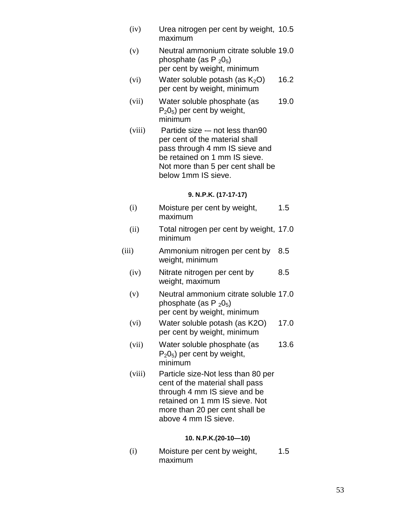- (iv) Urea nitrogen per cent by weight, 10.5 maximum
- (v) Neutral ammonium citrate soluble 19.0 phosphate (as  $P_2O_5$ ) per cent by weight, minimum
- (vi) Water soluble potash (as  $K_2O$ ) per cent by weight, minimum 16.2
- (vii) Water soluble phosphate (as  $P_2O_5$ ) per cent by weight, minimum 19.0
- (viii) Partide size -– not less than90 per cent of the material shall pass through 4 mm IS sieve and be retained on 1 mm IS sieve. Not more than 5 per cent shall be below 1mm IS sieve.

#### **9. N.P.K. (17-17-17)**

- (i) Moisture per cent by weight, maximum 1.5
- (ii) Total nitrogen per cent by weight, 17.0 minimum
- (iii) Ammonium nitrogen per cent by 8.5 weight, minimum
	- (iv) Nitrate nitrogen per cent by weight, maximum 8.5
	- (v) Neutral ammonium citrate soluble 17.0 phosphate (as  $P_2O_5$ ) per cent by weight, minimum
	- (vi) Water soluble potash (as K2O) per cent by weight, minimum 17.0
	- (vii) Water soluble phosphate (as  $P_2O_5$ ) per cent by weight, minimum 13.6
	- (viii) Particle size-Not less than 80 per cent of the material shall pass through 4 mm IS sieve and be retained on 1 mm IS sieve. Not more than 20 per cent shall be above 4 mm IS sieve.

#### **10. N.P.K.(20-10—10)**

(i) Moisture per cent by weight, maximum 1.5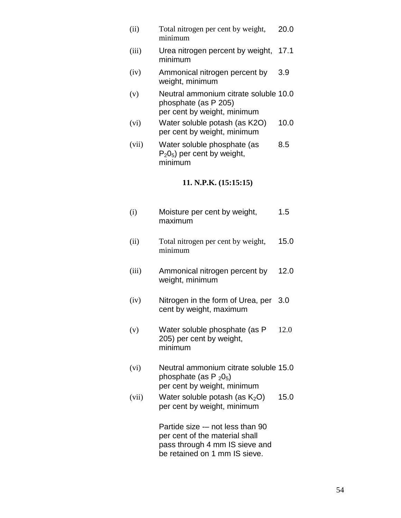(ii) Total nitrogen per cent by weight, minimum 20.0 (iii) Urea nitrogen percent by weight, minimum 17.1 (iv) Ammonical nitrogen percent by weight, minimum 3.9 (v) Neutral ammonium citrate soluble 10.0 phosphate (as P 205) per cent by weight, minimum (vi) Water soluble potash (as K2O) per cent by weight, minimum 10.0 (vii) Water soluble phosphate (as  $P_2O_5$ ) per cent by weight, minimum 8.5 **11. N.P.K. (15:15:15)**  (i) Moisture per cent by weight, maximum 1.5 (ii) Total nitrogen per cent by weight, minimum 15.0 (iii) Ammonical nitrogen percent by weight, minimum 12.0 (iv) Nitrogen in the form of Urea, per 3.0 cent by weight, maximum (v) Water soluble phosphate (as P 205) per cent by weight, minimum 12.0 (vi) Neutral ammonium citrate soluble 15.0 phosphate (as  $P_2O_5$ ) per cent by weight, minimum (vii) Water soluble potash (as  $K_2O$ ) per cent by weight, minimum 15.0 Partide size -– not less than 90 per cent of the material shall

pass through 4 mm IS sieve and be retained on 1 mm IS sieve.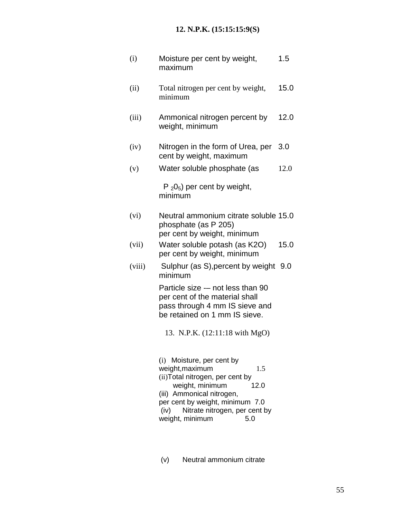# **12. N.P.K. (15:15:15:9(S)**

| (i)    | Moisture per cent by weight,<br>maximum                                                                                                                                                                                                               | 1.5  |
|--------|-------------------------------------------------------------------------------------------------------------------------------------------------------------------------------------------------------------------------------------------------------|------|
| (ii)   | Total nitrogen per cent by weight,<br>minimum                                                                                                                                                                                                         | 15.0 |
| (iii)  | Ammonical nitrogen percent by<br>weight, minimum                                                                                                                                                                                                      | 12.0 |
| (iv)   | Nitrogen in the form of Urea, per<br>cent by weight, maximum                                                                                                                                                                                          | 3.0  |
| (v)    | Water soluble phosphate (as                                                                                                                                                                                                                           | 12.0 |
|        | $P_2O_5$ ) per cent by weight,<br>minimum                                                                                                                                                                                                             |      |
| (vi)   | Neutral ammonium citrate soluble 15.0<br>phosphate (as P 205)<br>per cent by weight, minimum                                                                                                                                                          |      |
| (vii)  | Water soluble potash (as K2O)<br>per cent by weight, minimum                                                                                                                                                                                          | 15.0 |
| (viii) | Sulphur (as S), percent by weight<br>minimum                                                                                                                                                                                                          | 9.0  |
|        | Particle size -- not less than 90<br>per cent of the material shall<br>pass through 4 mm IS sieve and<br>be retained on 1 mm IS sieve.                                                                                                                |      |
|        | 13. N.P.K. (12:11:18 with MgO)                                                                                                                                                                                                                        |      |
|        | (i) Moisture, per cent by<br>weight, maximum<br>1.5<br>(ii) Total nitrogen, per cent by<br>weight, minimum<br>12.0<br>(iii) Ammonical nitrogen,<br>per cent by weight, minimum 7.0<br>Nitrate nitrogen, per cent by<br>(iv)<br>weight, minimum<br>5.0 |      |

(v) Neutral ammonium citrate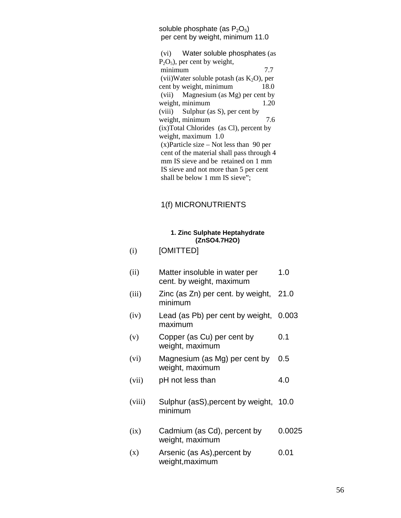soluble phosphate (as  $P_2O_5$ ) per cent by weight, minimum 11.0

(vi) Water soluble phosphates (as  $P_2O_5$ ), per cent by weight, minimum 7.7 (vii)Water soluble potash (as  $K_2O$ ), per cent by weight, minimum 18.0 cent by weight, minimum 18.0 (vii) Magnesium (as Mg) per cent by weight, minimum 1.20 (viii) Sulphur (as S), per cent by weight, minimum 7.6 (ix)Total Chlorides (as Cl), percent by weight, maximum 1.0 (x)Particle size – Not less than 90 per cent of the material shall pass through 4 mm IS sieve and be retained on 1 mm IS sieve and not more than 5 per cent shall be below 1 mm IS sieve";

# 1(f) MICRONUTRIENTS

#### **1. Zinc Sulphate Heptahydrate (ZnSO4.7H2O)**

| (i)    | [OMITTED]                                                 |        |
|--------|-----------------------------------------------------------|--------|
| (ii)   | Matter insoluble in water per<br>cent. by weight, maximum | 1.0    |
| (iii)  | Zinc (as Zn) per cent. by weight,<br>minimum              | 21.0   |
| (iv)   | Lead (as Pb) per cent by weight,<br>maximum               | 0.003  |
| (v)    | Copper (as Cu) per cent by<br>weight, maximum             | 0.1    |
| (vi)   | Magnesium (as Mg) per cent by<br>weight, maximum          | 0.5    |
| (vii)  | pH not less than                                          | 4.0    |
| (viii) | Sulphur (asS), percent by weight,<br>minimum              | 10.0   |
| (ix)   | Cadmium (as Cd), percent by<br>weight, maximum            | 0.0025 |
| (x)    | Arsenic (as As), percent by<br>weight, maximum            | 0.01   |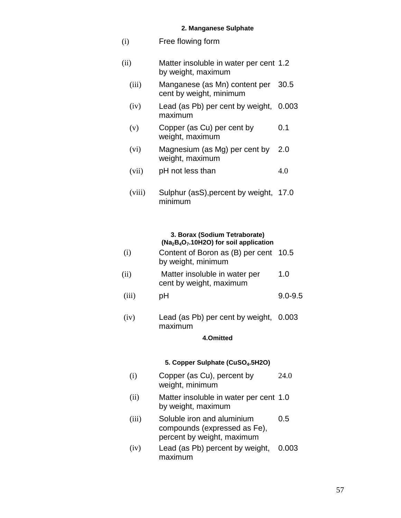#### **2. Manganese Sulphate**

| (i)    | Free flowing form                                            |       |
|--------|--------------------------------------------------------------|-------|
| (ii)   | Matter insoluble in water per cent 1.2<br>by weight, maximum |       |
| (iii)  | Manganese (as Mn) content per<br>cent by weight, minimum     | 30.5  |
| (iv)   | Lead (as Pb) per cent by weight,<br>maximum                  | 0.003 |
| (v)    | Copper (as Cu) per cent by<br>weight, maximum                | 0.1   |
| (vi)   | Magnesium (as Mg) per cent by<br>weight, maximum             | 2.0   |
| (vii)  | pH not less than                                             | 4.0   |
| (viii) | Sulphur (asS), percent by weight,                            | 17.0  |

minimum

#### **3. Borax (Sodium Tetraborate) (Na2B4O7.10H2O) for soil application**

| (i) | Content of Boron as (B) per cent 10.5 |  |
|-----|---------------------------------------|--|
|     | by weight, minimum                    |  |

- (ii) Matter insoluble in water per cent by weight, maximum 1.0
- (iii) pH 9.0-9.5
- (iv) Lead (as Pb) per cent by weight, 0.003 maximum

# **4.Omitted**

# **5. Copper Sulphate (CuSO4.5H2O)**

- (i) Copper (as Cu), percent by weight, minimum 24.0
- (ii) Matter insoluble in water per cent 1.0 by weight, maximum
- (iii) Soluble iron and aluminium compounds (expressed as Fe), percent by weight, maximum 0.5
- (iv) Lead (as Pb) percent by weight, maximum 0.003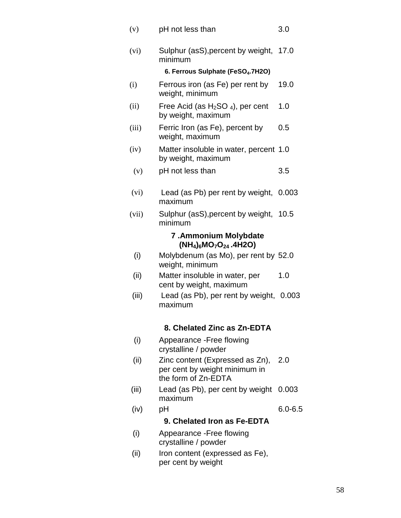| (v)   | pH not less than                                                                        | 3.0         |
|-------|-----------------------------------------------------------------------------------------|-------------|
| (vi)  | Sulphur (asS), percent by weight,<br>minimum                                            | 17.0        |
|       | 6. Ferrous Sulphate (FeSO <sub>4</sub> .7H2O)                                           |             |
| (i)   | Ferrous iron (as Fe) per rent by<br>weight, minimum                                     | 19.0        |
| (ii)  | Free Acid (as $H_2SO_4$ ), per cent<br>by weight, maximum                               | 1.0         |
| (iii) | Ferric Iron (as Fe), percent by<br>weight, maximum                                      | 0.5         |
| (iv)  | Matter insoluble in water, percent 1.0<br>by weight, maximum                            |             |
| (v)   | pH not less than                                                                        | 3.5         |
| (vi)  | Lead (as Pb) per rent by weight,<br>maximum                                             | 0.003       |
| (vii) | Sulphur (asS), percent by weight,<br>minimum                                            | 10.5        |
|       | 7.Ammonium Molybdate<br>$(NH_4)_6MO_7O_{24}.4H2O$                                       |             |
| (i)   | Molybdenum (as Mo), per rent by 52.0<br>weight, minimum                                 |             |
| (ii)  | Matter insoluble in water, per<br>cent by weight, maximum                               | 1.0         |
| (iii) | Lead (as Pb), per rent by weight, 0.003<br>maximum                                      |             |
|       | 8. Chelated Zinc as Zn-EDTA                                                             |             |
| (i)   | Appearance - Free flowing<br>crystalline / powder                                       |             |
| (ii)  | Zinc content (Expressed as Zn),<br>per cent by weight minimum in<br>the form of Zn-EDTA | 2.0         |
| (iii) | Lead (as Pb), per cent by weight<br>maximum                                             | 0.003       |
| (iv)  | рH<br>9. Chelated Iron as Fe-EDTA                                                       | $6.0 - 6.5$ |
| (i)   | Appearance - Free flowing                                                               |             |
|       | crystalline / powder                                                                    |             |
| (ii)  | Iron content (expressed as Fe),<br>per cent by weight                                   |             |
|       |                                                                                         |             |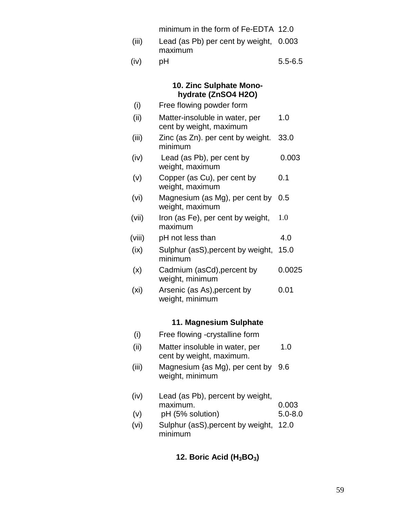- (iii) Lead (as Pb) per cent by weight, 0.003 maximum
- $(iv)$  pH 5.5-6.5

# **10. Zinc Sulphate Monohydrate (ZnSO4 H2O)**

| (i)    | Free flowing powder form                                  |        |
|--------|-----------------------------------------------------------|--------|
| (ii)   | Matter-insoluble in water, per<br>cent by weight, maximum | 1.0    |
| (iii)  | Zinc (as Zn). per cent by weight.<br>minimum              | 33.0   |
| (iv)   | Lead (as Pb), per cent by<br>weight, maximum              | 0.003  |
| (v)    | Copper (as Cu), per cent by<br>weight, maximum            | 0.1    |
| (vi)   | Magnesium (as Mg), per cent by<br>weight, maximum         | 0.5    |
| (vii)  | Iron (as Fe), per cent by weight,<br>maximum              | 1.0    |
| (viii) | pH not less than                                          | 4.0    |
| (ix)   | Sulphur (asS), percent by weight,<br>minimum              | 15.0   |
| (x)    | Cadmium (asCd), percent by<br>weight, minimum             | 0.0025 |

(xi) Arsenic (as As),percent by weight, minimum 0.01

# **11. Magnesium Sulphate**

| (i)               | Free flowing -crystalline form                             |             |
|-------------------|------------------------------------------------------------|-------------|
| (ii)              | Matter insoluble in water, per<br>cent by weight, maximum. | 1.0         |
| (iii)             | Magnesium {as Mg), per cent by<br>weight, minimum          | 9.6         |
| (iv)              | Lead (as Pb), percent by weight,<br>maximum.               | 0.003       |
| (v)               | pH (5% solution)                                           | $5.0 - 8.0$ |
| (v <sub>i</sub> ) | Sulphur (asS), percent by weight,<br>minimum               | 12.0        |

# **12. Boric Acid (H3BO3)**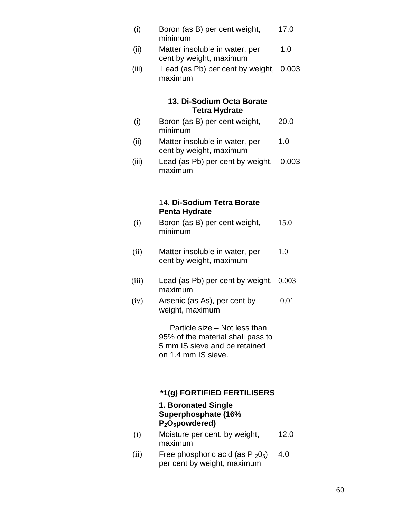- (i) Boron (as B) per cent weight, minimum 17.0
- (ii) Matter insoluble in water, per cent by weight, maximum 1.0
- (iii) Lead (as Pb) per cent by weight, 0.003 maximum

# **13. Di-Sodium Octa Borate Tetra Hydrate**

- (i) Boron (as B) per cent weight, minimum 20.0
- (ii) Matter insoluble in water, per cent by weight, maximum 1.0
- (iii) Lead (as Pb) per cent by weight, maximum 0.003

# 14. **Di-Sodium Tetra Borate Penta Hydrate**

- (i) Boron (as B) per cent weight, minimum 15.0
- (ii) Matter insoluble in water, per cent by weight, maximum 1.0
- (iii) Lead (as Pb) per cent by weight, maximum 0.003
- (iv) Arsenic (as As), per cent by weight, maximum 0.01

 Particle size – Not less than 95% of the material shall pass to 5 mm IS sieve and be retained on 1.4 mm IS sieve.

# **\*1(g) FORTIFIED FERTILISERS**

## **1. Boronated Single Superphosphate (16% P2O5powdered)**

- (i) Moisture per cent. by weight, maximum 12.0
- (ii) Free phosphoric acid (as  $P_2O_5$ ) per cent by weight, maximum 4.0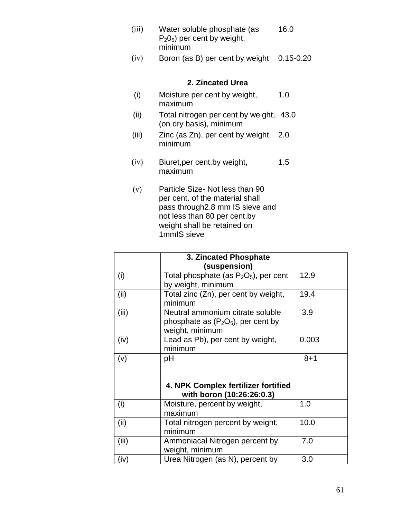| (iii) | Water soluble phosphate (as    | 16.0 |
|-------|--------------------------------|------|
|       | $P_2O_5$ ) per cent by weight, |      |
|       | minimum                        |      |

(iv) Boron (as B) per cent by weight 0.15-0.20

## **2. Zincated Urea**

- (i) Moisture per cent by weight, maximum 1.0
- (ii) Total nitrogen per cent by weight, 43.0 (on dry basis), minimum
- (iii) Zinc (as Zn), per cent by weight, 2.0 minimum
- (iv) Biuret,per cent.by weight, maximum 1.5
- (v) Particle Size- Not less than 90 per cent. of the material shall pass through2.8 mm IS sieve and not less than 80 per cent.by weight shall be retained on 1mmIS sieve

|       | 3. Zincated Phosphate<br>(suspension)                                                        |         |
|-------|----------------------------------------------------------------------------------------------|---------|
| (i)   | Total phosphate (as $P_2O_5$ ), per cent<br>by weight, minimum                               | 12.9    |
| (ii)  | Total zinc (Zn), per cent by weight,<br>minimum                                              | 19.4    |
| (iii) | Neutral ammonium citrate soluble<br>phosphate as $(P_2O_5)$ , per cent by<br>weight, minimum | 3.9     |
| (iv)  | Lead as Pb), per cent by weight,<br>minimum                                                  | 0.003   |
| (v)   | рH                                                                                           | $8 + 1$ |
|       | 4. NPK Complex fertilizer fortified<br>with boron (10:26:26:0.3)                             |         |
| (i)   | Moisture, percent by weight,<br>maximum                                                      | 1.0     |
| (ii)  | Total nitrogen percent by weight,<br>minimum                                                 | 10.0    |
| (iii) | Ammoniacal Nitrogen percent by<br>weight, minimum                                            | 7.0     |
| (iv)  | Urea Nitrogen (as N), percent by                                                             | 3.0     |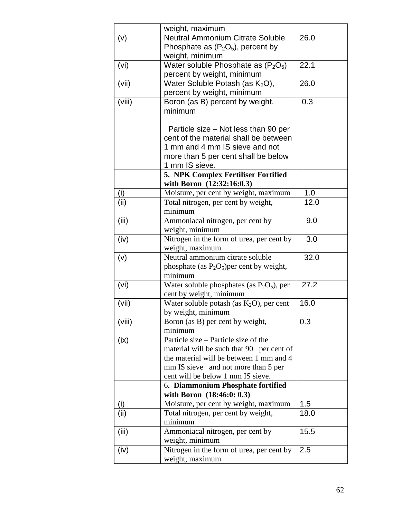|        | weight, maximum                                         |      |
|--------|---------------------------------------------------------|------|
| (v)    | <b>Neutral Ammonium Citrate Soluble</b>                 | 26.0 |
|        | Phosphate as $(P_2O_5)$ , percent by                    |      |
|        | weight, minimum                                         |      |
| (vi)   | Water soluble Phosphate as $(P_2O_5)$                   | 22.1 |
|        | percent by weight, minimum                              |      |
| (vii)  | Water Soluble Potash (as K <sub>2</sub> O),             | 26.0 |
|        | percent by weight, minimum                              |      |
| (viii) | Boron (as B) percent by weight,                         | 0.3  |
|        | minimum                                                 |      |
|        |                                                         |      |
|        | Particle size – Not less than 90 per                    |      |
|        | cent of the material shall be between                   |      |
|        | 1 mm and 4 mm IS sieve and not                          |      |
|        | more than 5 per cent shall be below                     |      |
|        | 1 mm IS sieve.                                          |      |
|        | 5. NPK Complex Fertiliser Fortified                     |      |
|        | with Boron (12:32:16:0.3)                               |      |
| (i)    | Moisture, per cent by weight, maximum                   | 1.0  |
| (ii)   | Total nitrogen, per cent by weight,                     | 12.0 |
|        | minimum                                                 |      |
| (iii)  | Ammoniacal nitrogen, per cent by                        | 9.0  |
|        | weight, minimum                                         |      |
| (iv)   | Nitrogen in the form of urea, per cent by               | 3.0  |
|        | weight, maximum                                         |      |
| (v)    | Neutral ammonium citrate soluble                        | 32.0 |
|        | phosphate (as $P_2O_5$ ) per cent by weight,<br>minimum |      |
| (vi)   | Water soluble phosphates (as $P_2O_5$ ), per            | 27.2 |
|        | cent by weight, minimum                                 |      |
| (vii)  | Water soluble potash (as $K_2O$ ), per cent             | 16.0 |
|        | by weight, minimum                                      |      |
| (viii) | Boron (as B) per cent by weight,                        | 0.3  |
|        | minimum                                                 |      |
| (ix)   | Particle size – Particle size of the                    |      |
|        | material will be such that 90 per cent of               |      |
|        | the material will be between 1 mm and 4                 |      |
|        | mm IS sieve and not more than 5 per                     |      |
|        | cent will be below 1 mm IS sieve.                       |      |
|        | 6. Diammonium Phosphate fortified                       |      |
|        | with Boron (18:46:0: 0.3)                               |      |
| (i)    | Moisture, per cent by weight, maximum                   | 1.5  |
| (ii)   | Total nitrogen, per cent by weight,                     | 18.0 |
|        | minimum                                                 |      |
| (iii)  | Ammoniacal nitrogen, per cent by                        | 15.5 |
|        | weight, minimum                                         |      |
| (iv)   | Nitrogen in the form of urea, per cent by               | 2.5  |
|        | weight, maximum                                         |      |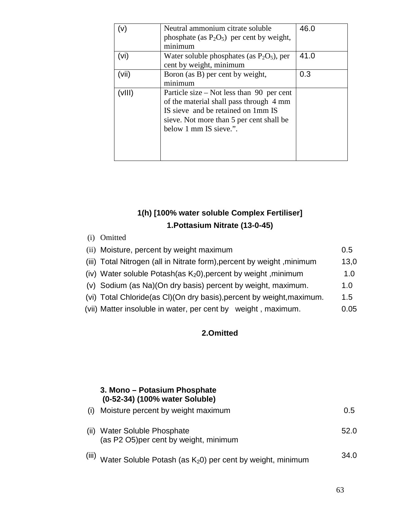|       | Neutral ammonium citrate soluble<br>phosphate (as $P_2O_5$ ) per cent by weight,<br>minimum                                                                                                        | 46.0 |
|-------|----------------------------------------------------------------------------------------------------------------------------------------------------------------------------------------------------|------|
| (vi)  | Water soluble phosphates (as $P_2O_5$ ), per<br>cent by weight, minimum                                                                                                                            | 41.0 |
| (vii) | Boron (as B) per cent by weight,<br>minimum                                                                                                                                                        | 0.3  |
| vIII) | Particle size $-$ Not less than 90 per cent<br>of the material shall pass through 4 mm<br>IS sieve and be retained on 1mm IS<br>sieve. Not more than 5 per cent shall be<br>below 1 mm IS sieve.". |      |

# **1(h) [100% water soluble Complex Fertiliser] 1.Pottasium Nitrate (13-0-45)**

| (1) | Omitted                                                                |      |
|-----|------------------------------------------------------------------------|------|
|     | (ii) Moisture, percent by weight maximum                               | 0.5  |
|     | (iii) Total Nitrogen (all in Nitrate form), percent by weight, minimum | 13,0 |
|     | (iv) Water soluble Potash(as $K_2$ 0), percent by weight, minimum      | 1.0  |
|     | (v) Sodium (as Na)(On dry basis) percent by weight, maximum.           | 1.0  |
|     | (vi) Total Chloride(as CI)(On dry basis), percent by weight, maximum.  | 1.5  |
|     | (vii) Matter insoluble in water, per cent by weight, maximum.          | 0.05 |

# **2.Omitted**

# **3. Mono – Potasium Phosphate (0-52-34) (100% water Soluble)**

|        | (i) Moisture percent by weight maximum                                 | 0.5  |
|--------|------------------------------------------------------------------------|------|
|        | (ii) Water Soluble Phosphate<br>(as P2 O5) per cent by weight, minimum | 52.0 |
| 7::: / |                                                                        | 24 U |

 $^{(iii)}$  Water Soluble Potash (as K<sub>2</sub>0) per cent by weight, minimum  $^{34.0}$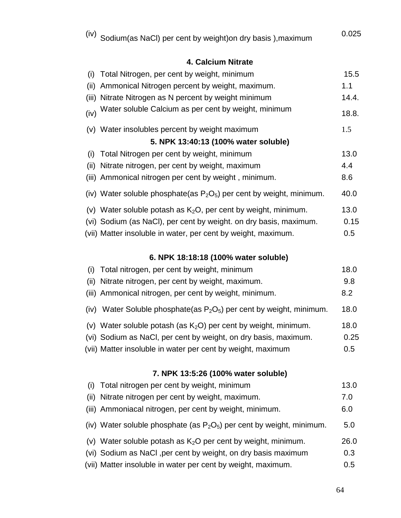| (iv) Sodium(as NaCl) per cent by weight)on dry basis ),maximum | 0.025 |
|----------------------------------------------------------------|-------|
|                                                                |       |

# **4. Calcium Nitrate**

| (i)  | Total Nitrogen, per cent by weight, minimum                             | 15.5  |  |  |  |
|------|-------------------------------------------------------------------------|-------|--|--|--|
| (ii) | Ammonical Nitrogen percent by weight, maximum.                          | 1.1   |  |  |  |
|      | (iii) Nitrate Nitrogen as N percent by weight minimum                   | 14.4. |  |  |  |
| (iv) | Water soluble Calcium as per cent by weight, minimum                    | 18.8. |  |  |  |
|      | (v) Water insolubles percent by weight maximum                          | 1.5   |  |  |  |
|      | 5. NPK 13:40:13 (100% water soluble)                                    |       |  |  |  |
| (i)  | Total Nitrogen per cent by weight, minimum                              | 13.0  |  |  |  |
|      | (ii) Nitrate nitrogen, per cent by weight, maximum                      | 4.4   |  |  |  |
|      | (iii) Ammonical nitrogen per cent by weight, minimum.                   | 8.6   |  |  |  |
|      | (iv) Water soluble phosphate(as $P_2O_5$ ) per cent by weight, minimum. | 40.0  |  |  |  |
|      | (v) Water soluble potash as $K_2O$ , per cent by weight, minimum.       | 13.0  |  |  |  |
|      | (vi) Sodium (as NaCl), per cent by weight, on dry basis, maximum.       | 0.15  |  |  |  |
|      | (vii) Matter insoluble in water, per cent by weight, maximum.           | 0.5   |  |  |  |

# **6. NPK 18:18:18 (100% water soluble)**

| (i)  | Total nitrogen, per cent by weight, minimum                              | 18.0 |
|------|--------------------------------------------------------------------------|------|
| (ii) | Nitrate nitrogen, per cent by weight, maximum.                           | 9.8  |
|      | (iii) Ammonical nitrogen, per cent by weight, minimum.                   | 8.2  |
|      | (iv) Water Soluble phosphate(as $P_2O_5$ ) per cent by weight, minimum.  | 18.0 |
|      | (v) Water soluble potash (as $K_2O$ ) per cent by weight, minimum.       | 18.0 |
|      | (vi) Sodium as NaCl, per cent by weight, on dry basis, maximum.          | 0.25 |
|      | (vii) Matter insoluble in water per cent by weight, maximum              | 0.5  |
|      |                                                                          |      |
|      | 7. NPK 13:5:26 (100% water soluble)                                      |      |
| (i)  | Total nitrogen per cent by weight, minimum                               | 13.0 |
| (ii) | Nitrate nitrogen per cent by weight, maximum.                            | 7.0  |
|      | (iii) Ammoniacal nitrogen, per cent by weight, minimum.                  | 6.0  |
|      | (iv) Water soluble phosphate (as $P_2O_5$ ) per cent by weight, minimum. | 5.0  |
|      | (v) Water soluble potash as $K_2O$ per cent by weight, minimum.          | 26.0 |
|      | (vi) Sodium as NaCl, per cent by weight, on dry basis maximum            | 0.3  |
|      |                                                                          |      |

(vii) Matter insoluble in water per cent by weight, maximum. 0.5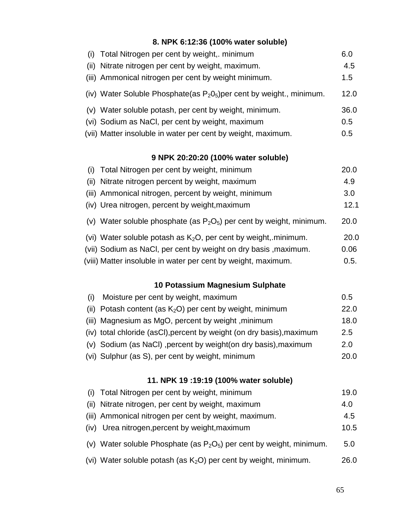# **8. NPK 6:12:36 (100% water soluble)**

| (i) Total Nitrogen per cent by weight,. minimum                          | 6.0  |
|--------------------------------------------------------------------------|------|
| (ii) Nitrate nitrogen per cent by weight, maximum.                       | 4.5  |
| (iii) Ammonical nitrogen per cent by weight minimum.                     | 1.5  |
| (iv) Water Soluble Phosphate(as $P_2O_5$ ) per cent by weight., minimum. | 12.0 |
| (v) Water soluble potash, per cent by weight, minimum.                   | 36.0 |
| (vi) Sodium as NaCl, per cent by weight, maximum                         | 0.5  |
| (vii) Matter insoluble in water per cent by weight, maximum.             | 0.5  |

# **9 NPK 20:20:20 (100% water soluble)**

| (i) Total Nitrogen per cent by weight, minimum                          | 20.0 |
|-------------------------------------------------------------------------|------|
| (ii) Nitrate nitrogen percent by weight, maximum                        | 4.9  |
| (iii) Ammonical nitrogen, percent by weight, minimum                    | 3.0  |
| (iv) Urea nitrogen, percent by weight, maximum                          | 12.1 |
| (v) Water soluble phosphate (as $P_2O_5$ ) per cent by weight, minimum. | 20.0 |
| (vi) Water soluble potash as $K_2O$ , per cent by weight, minimum.      | 20.0 |
| (vii) Sodium as NaCl, per cent by weight on dry basis, maximum.         | 0.06 |

(viii) Matter insoluble in water per cent by weight, maximum. 0.5.

# **10 Potassium Magnesium Sulphate**

| (i) Moisture per cent by weight, maximum                              | 0.5  |
|-----------------------------------------------------------------------|------|
| (ii) Potash content (as $K_2O$ ) per cent by weight, minimum          | 22.0 |
| (iii) Magnesium as MgO, percent by weight, minimum                    | 18.0 |
| (iv) total chloride (asCl), percent by weight (on dry basis), maximum | 2.5  |
| (v) Sodium (as NaCl), percent by weight (on dry basis), maximum       | 2.0  |
| (vi) Sulphur (as S), per cent by weight, minimum                      | 20.0 |

# **11. NPK 19 :19:19 (100% water soluble)**

| (i) Total Nitrogen per cent by weight, minimum                          | 19.0 |
|-------------------------------------------------------------------------|------|
| (ii) Nitrate nitrogen, per cent by weight, maximum                      | 4.0  |
| (iii) Ammonical nitrogen per cent by weight, maximum.                   | 4.5  |
| (iv) Urea nitrogen, percent by weight, maximum                          | 10.5 |
| (v) Water soluble Phosphate (as $P_2O_5$ ) per cent by weight, minimum. | 5.0  |
| (vi) Water soluble potash (as $K_2O$ ) per cent by weight, minimum.     | 26.0 |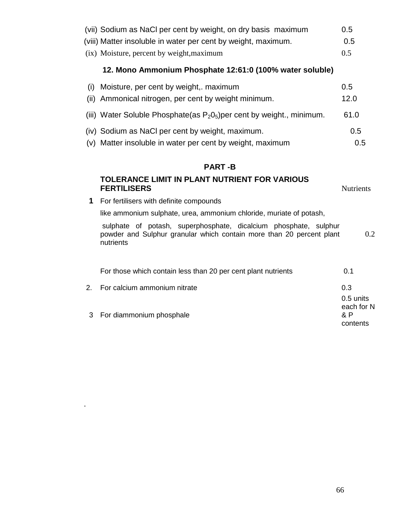|     | (vii) Sodium as NaCl per cent by weight, on dry basis maximum                                                                                         | 0.5                                        |
|-----|-------------------------------------------------------------------------------------------------------------------------------------------------------|--------------------------------------------|
|     | (viii) Matter insoluble in water per cent by weight, maximum.                                                                                         | 0.5                                        |
|     | (ix) Moisture, percent by weight, maximum                                                                                                             | 0.5                                        |
|     | 12. Mono Ammonium Phosphate 12:61:0 (100% water soluble)                                                                                              |                                            |
| (i) | Moisture, per cent by weight, maximum                                                                                                                 | 0.5                                        |
|     | (ii) Ammonical nitrogen, per cent by weight minimum.                                                                                                  | 12.0                                       |
|     | (iii) Water Soluble Phosphate(as $P_2O_5$ ) per cent by weight., minimum.                                                                             | 61.0                                       |
|     | (iv) Sodium as NaCl per cent by weight, maximum.                                                                                                      | 0.5                                        |
|     | (v) Matter insoluble in water per cent by weight, maximum                                                                                             | 0.5                                        |
|     |                                                                                                                                                       |                                            |
|     | <b>PART-B</b>                                                                                                                                         |                                            |
|     | TOLERANCE LIMIT IN PLANT NUTRIENT FOR VARIOUS<br><b>FERTILISERS</b>                                                                                   | <b>Nutrients</b>                           |
| 1   | For fertilisers with definite compounds                                                                                                               |                                            |
|     | like ammonium sulphate, urea, ammonium chloride, muriate of potash,                                                                                   |                                            |
|     | sulphate of potash, superphosphate, dicalcium phosphate, sulphur<br>powder and Sulphur granular which contain more than 20 percent plant<br>nutrients | 0.2                                        |
|     | For those which contain less than 20 per cent plant nutrients                                                                                         | 0.1                                        |
| 2.  | For calcium ammonium nitrate                                                                                                                          | 0.3                                        |
| 3   | For diammonium phosphale                                                                                                                              | 0.5 units<br>each for N<br>& P<br>contents |

.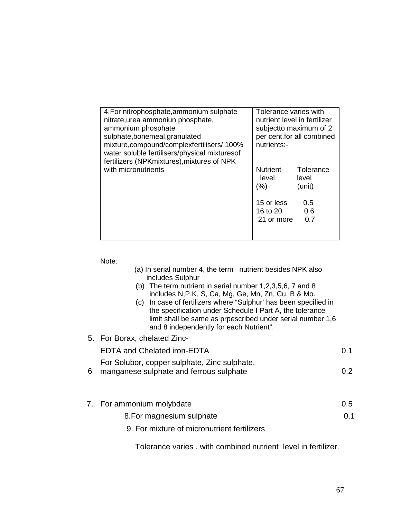| 4. For nitrophosphate, ammonium sulphate<br>nitrate, urea ammoniun phosphate,<br>ammonium phosphate<br>sulphate, bonemeal, granulated<br>mixture, compound/complexfertilisers/ 100%<br>water soluble fertilisers/physical mixturesof<br>fertilizers (NPKmixtures), mixtures of NPK | Tolerance varies with<br>nutrient level in fertilizer<br>subject to maximum of 2<br>per cent.for all combined<br>nutrients:- |                              |
|------------------------------------------------------------------------------------------------------------------------------------------------------------------------------------------------------------------------------------------------------------------------------------|------------------------------------------------------------------------------------------------------------------------------|------------------------------|
| with micronutrients                                                                                                                                                                                                                                                                | <b>Nutrient</b><br>level<br>(%)                                                                                              | Tolerance<br>level<br>(unit) |
|                                                                                                                                                                                                                                                                                    | 15 or less<br>16 to 20<br>21 or more                                                                                         | 0.5<br>0.6<br>0.7            |

Note:

| (a) In serial number 4, the term nutrient besides NPK also |  |
|------------------------------------------------------------|--|
| includes Sulphur                                           |  |

- (b) The term nutrient in serial number 1,2,3,5,6, 7 and 8 includes N,P,K, S, Ca, Mg, Ge, Mn, Zn, Cu, B & Mo.
- (c) In case of fertilizers where "Sulphur' has been specified in the specification under Schedule I Part A, the tolerance limit shall be same as prpescribed under serial number 1,6 and 8 independently for each Nutrient".
- 5. For Borax, chelated Zinc-EDTA and Chelated iron-EDTA 0.1 For Solubor, copper sulphate, Zinc sulphate,
- 6 manganese sulphate and ferrous sulphate 0.2
- 7. For ammonium molybdate 0.5
	- 8.For magnesium sulphate 0.1
	- 9. For mixture of micronutrient fertilizers

Tolerance varies . with combined nutrient level in fertilizer.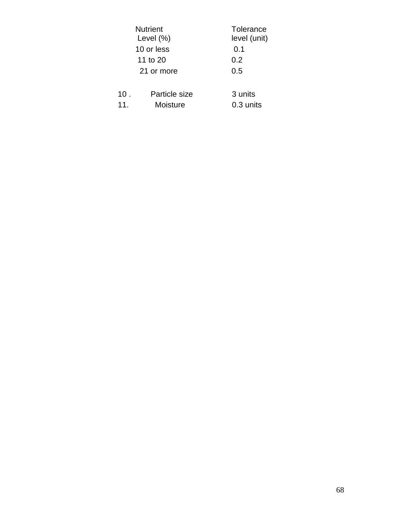|     | <b>Nutrient</b><br>Level $(\%)$ | Tolerance<br>level (unit) |
|-----|---------------------------------|---------------------------|
|     | 10 or less                      | 0.1                       |
|     | 11 to 20                        | 0.2                       |
|     | 21 or more                      | 0.5                       |
|     |                                 |                           |
| 10. | Particle size                   | 3 units                   |
| 11. | Moisture                        | 0.3 units                 |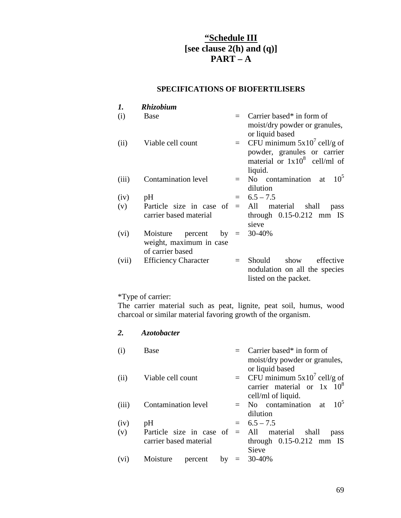# **"Schedule III [see clause 2(h) and (q)] PART – A**

# **SPECIFICATIONS OF BIOFERTILISERS**

| 1.    | <b>Rhizobium</b>                                                         |         |                                                                                                             |
|-------|--------------------------------------------------------------------------|---------|-------------------------------------------------------------------------------------------------------------|
| (i)   | <b>Base</b>                                                              |         | $=$ Carrier based* in form of<br>moist/dry powder or granules,<br>or liquid based                           |
| (ii)  | Viable cell count                                                        | $=$ $-$ | CFU minimum $5x10^7$ cell/g of<br>powder, granules or carrier<br>material or $1x10^8$ cell/ml of<br>liquid. |
| (iii) | Contamination level                                                      | $=$     | 10 <sup>5</sup><br>No contamination at<br>dilution                                                          |
| (iv)  | pH                                                                       | $=$     | $6.5 - 7.5$                                                                                                 |
| (v)   | Particle size in case of<br>carrier based material                       |         | $=$ All material shall<br>pass<br>through $0.15 - 0.212$ mm IS<br>sieve                                     |
| (vi)  | Moisture<br>percent<br>by<br>weight, maximum in case<br>of carrier based | $=$     | 30-40%                                                                                                      |
| (vii) | <b>Efficiency Character</b>                                              | $=$     | Should show<br>effective<br>nodulation on all the species<br>listed on the packet.                          |

# \*Type of carrier:

The carrier material such as peat, lignite, peat soil, humus, wood charcoal or similar material favoring growth of the organism.

# *2. Azotobacter*

| (i)   | Base                       | $=$ Carrier based* in form of              |
|-------|----------------------------|--------------------------------------------|
|       |                            | moist/dry powder or granules,              |
|       |                            | or liquid based                            |
| (ii)  | Viable cell count          | = CFU minimum $5x10^7$ cell/g of           |
|       |                            | carrier material or $1x \t10^8$            |
|       |                            | cell/ml of liquid.                         |
| (iii) | <b>Contamination level</b> | 10 <sup>5</sup><br>$=$ No contamination at |
|       |                            | dilution                                   |
| (iv)  | pH                         | $= 6.5 - 7.5$                              |
| (v)   | Particle size in case of   | $=$ All material shall<br>pass             |
|       | carrier based material     | through $0.15-0.212$ mm IS                 |
|       |                            | Sieve                                      |
| (vi)  | Moisture<br>percent<br>by  | $= 30-40\%$                                |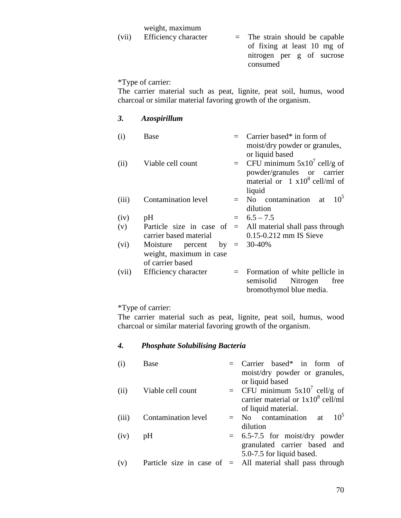#### weight, maximum

| (vii) | Efficiency character | $=$ The strain should be capable |
|-------|----------------------|----------------------------------|
|       |                      | of fixing at least 10 mg of      |
|       |                      | nitrogen per g of sucrose        |
|       |                      | consumed                         |
|       |                      |                                  |

## \*Type of carrier:

*3. Azospirillum* 

The carrier material such as peat, lignite, peat soil, humus, wood charcoal or similar material favoring growth of the organism.

| (i)   | <b>Base</b>                                                     | Carrier based* in form of<br>moist/dry powder or granules,<br>or liquid based                                                 |
|-------|-----------------------------------------------------------------|-------------------------------------------------------------------------------------------------------------------------------|
| (ii)  | Viable cell count                                               | $=$ CFU minimum 5x10 <sup>'</sup> cell/g of<br>powder/granules or carrier<br>material or $1 \times 10^8$ cell/ml of<br>liquid |
| (iii) | Contamination level                                             | $10^5$<br>No contamination at<br>dilution                                                                                     |
| (iv)  | pH                                                              | $= 6.5 - 7.5$                                                                                                                 |
| (v)   | Particle size in case of<br>carrier based material              | $=$ All material shall pass through<br>$0.15 - 0.212$ mm IS Sieve                                                             |
| (vi)  | Moisture percent<br>weight, maximum in case<br>of carrier based | by $= 30-40\%$                                                                                                                |
| (vii) | Efficiency character                                            | $=$ Formation of white pellicle in<br>semisolid Nitrogen<br>free<br>bromothymol blue media.                                   |

# \*Type of carrier:

The carrier material such as peat, lignite, peat soil, humus, wood charcoal or similar material favoring growth of the organism.

#### *4. Phosphate Solubilising Bacteria*

| (i)   | Base                | $=$ Carrier based* in form of<br>moist/dry powder or granules,                                                     |
|-------|---------------------|--------------------------------------------------------------------------------------------------------------------|
| (ii)  | Viable cell count   | or liquid based<br>= CFU minimum $5x10^7$ cell/g of<br>carrier material or $1x10^8$ cell/ml<br>of liquid material. |
| (iii) | Contamination level | 10 <sup>5</sup><br>$=$ No contamination at<br>dilution                                                             |
| (iv)  | pH                  | $= 6.5 - 7.5$ for moist/dry powder<br>granulated carrier based and<br>5.0-7.5 for liquid based.                    |
| (v)   |                     | Particle size in case of $=$ All material shall pass through                                                       |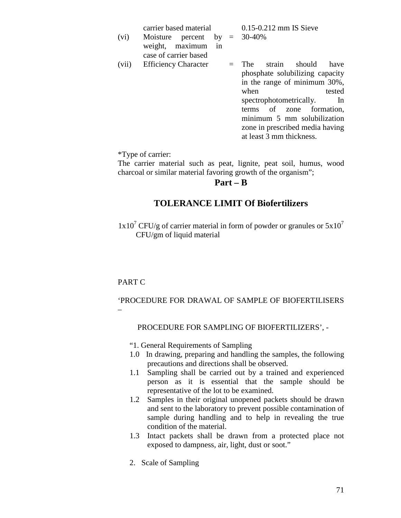carrier based material 0.15-0.212 mm IS Sieve

- (vi) Moisture percent by  $=$ weight, maximum in case of carrier based = 30-40% (vii) Efficiency Character = The strain should have
	- phosphate solubilizing capacity in the range of minimum 30%, when tested spectrophotometrically. In terms of zone formation, minimum 5 mm solubilization zone in prescribed media having at least 3 mm thickness.

\*Type of carrier:

The carrier material such as peat, lignite, peat soil, humus, wood charcoal or similar material favoring growth of the organism";

# **Part – B**

# **TOLERANCE LIMIT Of Biofertilizers**

 $1x10^7$  CFU/g of carrier material in form of powder or granules or  $5x10^7$ CFU/gm of liquid material

# PART C

'PROCEDURE FOR DRAWAL OF SAMPLE OF BIOFERTILISERS –

# PROCEDURE FOR SAMPLING OF BIOFERTILIZERS', -

"1. General Requirements of Sampling

- 1.0 In drawing, preparing and handling the samples, the following precautions and directions shall be observed.
- 1.1 Sampling shall be carried out by a trained and experienced person as it is essential that the sample should be representative of the lot to be examined.
- 1.2 Samples in their original unopened packets should be drawn and sent to the laboratory to prevent possible contamination of sample during handling and to help in revealing the true condition of the material.
- 1.3 Intact packets shall be drawn from a protected place not exposed to dampness, air, light, dust or soot."
- 2. Scale of Sampling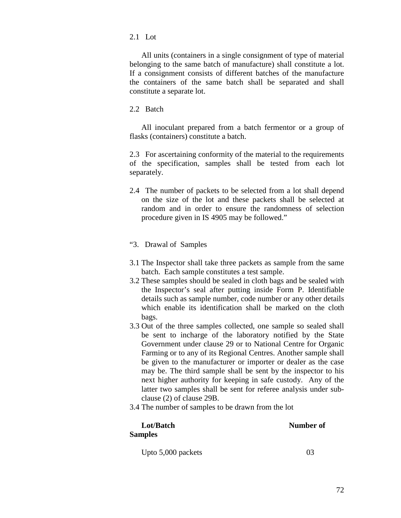#### 2.1 Lot

 All units (containers in a single consignment of type of material belonging to the same batch of manufacture) shall constitute a lot. If a consignment consists of different batches of the manufacture the containers of the same batch shall be separated and shall constitute a separate lot.

2.2 Batch

 All inoculant prepared from a batch fermentor or a group of flasks (containers) constitute a batch.

2.3 For ascertaining conformity of the material to the requirements of the specification, samples shall be tested from each lot separately.

- 2.4 The number of packets to be selected from a lot shall depend on the size of the lot and these packets shall be selected at random and in order to ensure the randomness of selection procedure given in IS 4905 may be followed."
- "3. Drawal of Samples
- 3.1 The Inspector shall take three packets as sample from the same batch. Each sample constitutes a test sample.
- 3.2 These samples should be sealed in cloth bags and be sealed with the Inspector's seal after putting inside Form P. Identifiable details such as sample number, code number or any other details which enable its identification shall be marked on the cloth bags.
- 3.3 Out of the three samples collected, one sample so sealed shall be sent to incharge of the laboratory notified by the State Government under clause 29 or to National Centre for Organic Farming or to any of its Regional Centres. Another sample shall be given to the manufacturer or importer or dealer as the case may be. The third sample shall be sent by the inspector to his next higher authority for keeping in safe custody. Any of the latter two samples shall be sent for referee analysis under subclause (2) of clause 29B.
- 3.4 The number of samples to be drawn from the lot

# **Samples**

Lot/Batch **Number of** 

Upto 5,000 packets 03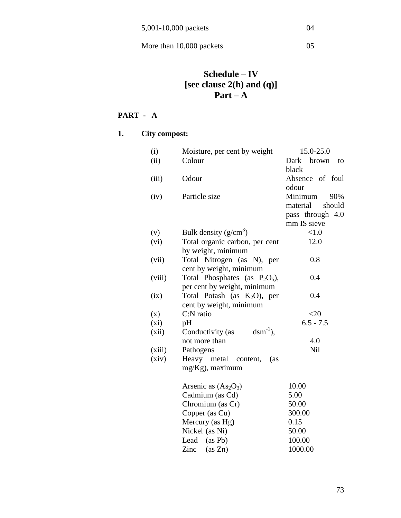# **Schedule – IV [see clause 2(h) and (q)] Part – A**

# **PART - A**

# **1. City compost:**

| (i)     | Moisture, per cent by weight             | 15.0-25.0           |
|---------|------------------------------------------|---------------------|
| (ii)    | Colour                                   | Dark<br>brown<br>to |
|         |                                          | black               |
| (iii)   | Odour                                    | Absence of foul     |
|         |                                          | odour               |
| (iv)    | Particle size                            | Minimum<br>90%      |
|         |                                          | material<br>should  |
|         |                                          | pass through 4.0    |
|         |                                          | mm IS sieve         |
| (v)     | Bulk density $(g/cm^3)$                  | <1.0                |
| (vi)    | Total organic carbon, per cent           | 12.0                |
|         | by weight, minimum                       |                     |
| (vii)   | Total Nitrogen (as N), per               | 0.8                 |
|         | cent by weight, minimum                  |                     |
| (viii)  | Total Phosphates (as $P_2O_5$ ),         | 0.4                 |
|         | per cent by weight, minimum              |                     |
| (ix)    | Total Potash (as $K_2O$ ), per           | 0.4                 |
|         | cent by weight, minimum                  |                     |
| (x)     | C:N ratio                                | <20                 |
| $(x_i)$ | pH                                       | $6.5 - 7.5$         |
| (xii)   | $\text{dsm}^{-1}$ ),<br>Conductivity (as |                     |
|         | not more than                            | 4.0                 |
| (xiii)  | Pathogens                                | <b>Nil</b>          |
| (xiv)   | Heavy metal content,<br>(as              |                     |
|         | mg/Kg), maximum                          |                     |
|         | Arsenic as $(As2O3)$                     | 10.00               |
|         | Cadmium (as Cd)                          | 5.00                |
|         | Chromium (as Cr)                         | 50.00               |
|         | Copper (as Cu)                           | 300.00              |
|         | Mercury (as Hg)                          | 0.15                |
|         | Nickel (as Ni)                           | 50.00               |
|         | Lead (as Pb)                             | 100.00              |
|         | Zinc<br>(as Zn)                          | 1000.00             |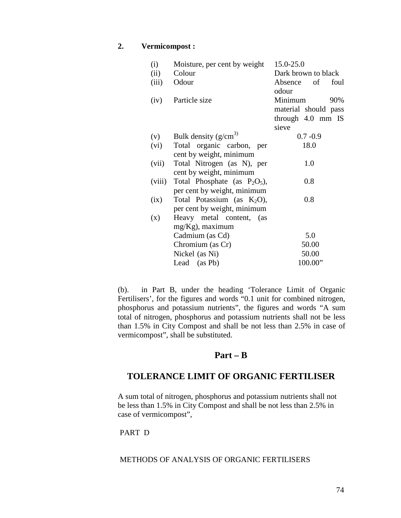#### **2. Vermicompost :**

| (i)    | Moisture, per cent by weight    | 15.0-25.0            |
|--------|---------------------------------|----------------------|
| (ii)   | Colour                          | Dark brown to black  |
| (iii)  | Odour                           | Absence of<br>foul   |
|        |                                 | odour                |
| (iv)   | Particle size                   | Minimum<br>90%       |
|        |                                 | material should pass |
|        |                                 | through 4.0 mm IS    |
|        |                                 | sieve                |
| (v)    | Bulk density $(g/cm^{3})$       | $0.7 - 0.9$          |
| (vi)   | Total organic carbon, per       | 18.0                 |
|        | cent by weight, minimum         |                      |
| (vii)  | Total Nitrogen (as N), per      | 1.0                  |
|        | cent by weight, minimum         |                      |
| (viii) | Total Phosphate (as $P_2O_5$ ), | 0.8                  |
|        | per cent by weight, minimum     |                      |
| (ix)   | Total Potassium (as $K_2O$ ),   | 0.8                  |
|        | per cent by weight, minimum     |                      |
| (x)    | Heavy metal content, (as        |                      |
|        | $mg/Kg$ ), maximum              |                      |
|        | Cadmium (as Cd)                 | 5.0                  |
|        | Chromium (as Cr)                | 50.00                |
|        | Nickel (as Ni)                  | 50.00                |
|        | Lead (as Pb)                    | 100.00"              |

(b). in Part B, under the heading 'Tolerance Limit of Organic Fertilisers', for the figures and words "0.1 unit for combined nitrogen, phosphorus and potassium nutrients", the figures and words "A sum total of nitrogen, phosphorus and potassium nutrients shall not be less than 1.5% in City Compost and shall be not less than 2.5% in case of vermicompost", shall be substituted.

# **Part – B**

# **TOLERANCE LIMIT OF ORGANIC FERTILISER**

A sum total of nitrogen, phosphorus and potassium nutrients shall not be less than 1.5% in City Compost and shall be not less than 2.5% in case of vermicompost",

#### PART D

#### METHODS OF ANALYSIS OF ORGANIC FERTILISERS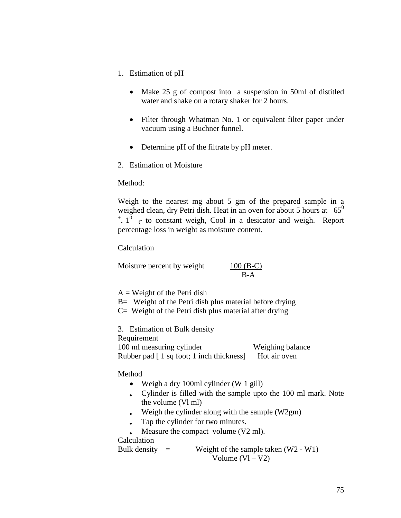- 1. Estimation of pH
	- Make 25 g of compost into a suspension in 50ml of distitled water and shake on a rotary shaker for 2 hours.
	- Filter through Whatman No. 1 or equivalent filter paper under vacuum using a Buchner funnel.
	- Determine pH of the filtrate by pH meter.
- 2. Estimation of Moisture

Method:

Weigh to the nearest mg about 5 gm of the prepared sample in a weighed clean, dry Petri dish. Heat in an oven for about 5 hours at 65<sup>0</sup>  $+$   $1^0$  c to constant weigh, Cool in a desicator and weigh. Report percentage loss in weight as moisture content.

Calculation

Moisture percent by weight  $100 (B-C)$ B-A

 $A = Weight of the Petri dish$ 

B= Weight of the Petri dish plus material before drying

 $C=$  Weight of the Petri dish plus material after drying

3. Estimation of Bulk density Requirement 100 ml measuring cylinder Weighing balance Rubber pad [ 1 sq foot; 1 inch thickness] Hot air oven

#### Method

- Weigh a dry 100ml cylinder (W 1 gill)
- Cylinder is filled with the sample upto the 100 ml mark. Note the volume (Vl ml)
- Weigh the cylinder along with the sample  $(W2gm)$
- Tap the cylinder for two minutes.
- Measure the compact volume (V2 ml).

Calculation

Bulk density  $=$  Weight of the sample taken  $(W2 - W1)$ Volume  $(Vl – V2)$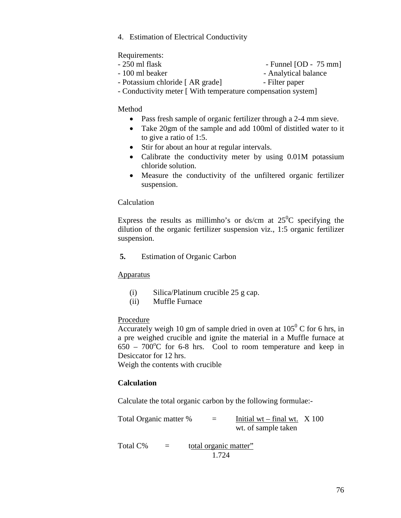4. Estimation of Electrical Conductivity

Requirements:

- 250 ml flask Funnel [OD 75 mm]
- 100 ml beaker Analytical balance
- Potassium chloride [ AR grade] Filter paper
- Conductivity meter [ With temperature compensation system]

#### Method

- Pass fresh sample of organic fertilizer through a 2-4 mm sieve.
- Take 20gm of the sample and add 100ml of distitled water to it to give a ratio of 1:5.
- Stir for about an hour at regular intervals.
- Calibrate the conductivity meter by using 0.01M potassium chloride solution.
- Measure the conductivity of the unfiltered organic fertilizer suspension.

#### Calculation

Express the results as millimho's or ds/cm at  $25^{\circ}$ C specifying the dilution of the organic fertilizer suspension viz., 1:5 organic fertilizer suspension.

**5.** Estimation of Organic Carbon

#### **Apparatus**

- (i) Silica/Platinum crucible 25 g cap.
- (ii) Muffle Furnace

#### Procedure

Accurately weigh 10 gm of sample dried in oven at  $105^{\circ}$  C for 6 hrs, in a pre weighed crucible and ignite the material in a Muffle furnace at  $650 - 700^{\circ}$ C for 6-8 hrs. Cool to room temperature and keep in Desiccator for 12 hrs.

Weigh the contents with crucible

#### **Calculation**

Calculate the total organic carbon by the following formulae:-

| Total Organic matter % | $=$ | Initial wt – final wt. $X$ 100 |  |
|------------------------|-----|--------------------------------|--|
|                        |     | wt. of sample taken            |  |

Total  $C\%$  = total organic matter" 1.724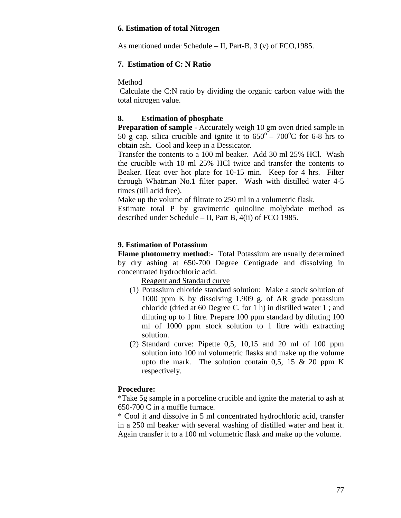#### **6. Estimation of total Nitrogen**

As mentioned under Schedule – II, Part-B, 3 (v) of FCO,1985.

#### **7. Estimation of C: N Ratio**

Method

 Calculate the C:N ratio by dividing the organic carbon value with the total nitrogen value.

## **8. Estimation of phosphate**

**Preparation of sample** - Accurately weigh 10 gm oven dried sample in 50 g cap. silica crucible and ignite it to  $650^{\circ}$  –  $700^{\circ}$ C for 6-8 hrs to obtain ash. Cool and keep in a Dessicator.

Transfer the contents to a 100 ml beaker. Add 30 ml 25% HCl. Wash the crucible with 10 ml 25% HCl twice and transfer the contents to Beaker. Heat over hot plate for 10-15 min. Keep for 4 hrs. Filter through Whatman No.1 filter paper. Wash with distilled water 4-5 times (till acid free).

Make up the volume of filtrate to 250 ml in a volumetric flask.

Estimate total P by gravimetric quinoline molybdate method as described under Schedule – II, Part B, 4(ii) of FCO 1985.

#### **9. Estimation of Potassium**

**Flame photometry method:**- Total Potassium are usually determined by dry ashing at 650-700 Degree Centigrade and dissolving in concentrated hydrochloric acid.

Reagent and Standard curve

- (1) Potassium chloride standard solution: Make a stock solution of 1000 ppm K by dissolving 1.909 g. of AR grade potassium chloride (dried at 60 Degree C. for 1 h) in distilled water 1 ; and diluting up to 1 litre. Prepare 100 ppm standard by diluting 100 ml of 1000 ppm stock solution to 1 litre with extracting solution.
- (2) Standard curve: Pipette 0,5, 10,15 and 20 ml of 100 ppm solution into 100 ml volumetric flasks and make up the volume upto the mark. The solution contain 0,5, 15  $\&$  20 ppm K respectively.

#### **Procedure:**

\*Take 5g sample in a porceline crucible and ignite the material to ash at 650-700 C in a muffle furnace.

\* Cool it and dissolve in 5 ml concentrated hydrochloric acid, transfer in a 250 ml beaker with several washing of distilled water and heat it. Again transfer it to a 100 ml volumetric flask and make up the volume.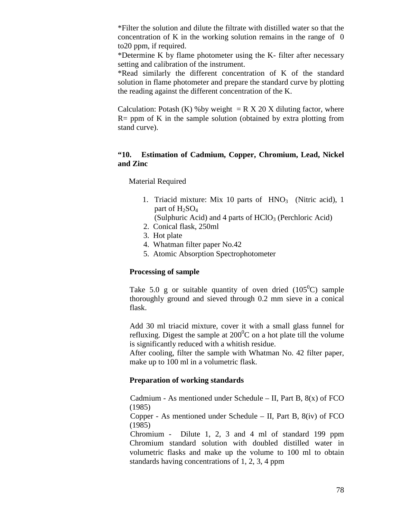\*Filter the solution and dilute the filtrate with distilled water so that the concentration of K in the working solution remains in the range of 0 to20 ppm, if required.

\*Determine K by flame photometer using the K- filter after necessary setting and calibration of the instrument.

\*Read similarly the different concentration of K of the standard solution in flame photometer and prepare the standard curve by plotting the reading against the different concentration of the K.

Calculation: Potash (K) %by weight  $= R X 20 X$  diluting factor, where  $R =$  ppm of K in the sample solution (obtained by extra plotting from stand curve).

#### **"10. Estimation of Cadmium, Copper, Chromium, Lead, Nickel and Zinc**

Material Required

- 1. Triacid mixture: Mix 10 parts of HNO<sub>3</sub> (Nitric acid), 1 part of  $H_2SO_4$ 
	- (Sulphuric Acid) and 4 parts of  $HClO<sub>3</sub>$  (Perchloric Acid)
- 2. Conical flask, 250ml
- 3. Hot plate
- 4. Whatman filter paper No.42
- 5. Atomic Absorption Spectrophotometer

#### **Processing of sample**

Take 5.0 g or suitable quantity of oven dried  $(105^{\circ}C)$  sample thoroughly ground and sieved through 0.2 mm sieve in a conical flask.

Add 30 ml triacid mixture, cover it with a small glass funnel for refluxing. Digest the sample at  $200^{\circ}$ C on a hot plate till the volume is significantly reduced with a whitish residue.

After cooling, filter the sample with Whatman No. 42 filter paper, make up to 100 ml in a volumetric flask.

#### **Preparation of working standards**

Cadmium - As mentioned under Schedule – II, Part B,  $8(x)$  of FCO (1985)

Copper - As mentioned under Schedule – II, Part B,  $8(iv)$  of FCO (1985)

 Chromium - Dilute 1, 2, 3 and 4 ml of standard 199 ppm Chromium standard solution with doubled distilled water in volumetric flasks and make up the volume to 100 ml to obtain standards having concentrations of 1, 2, 3, 4 ppm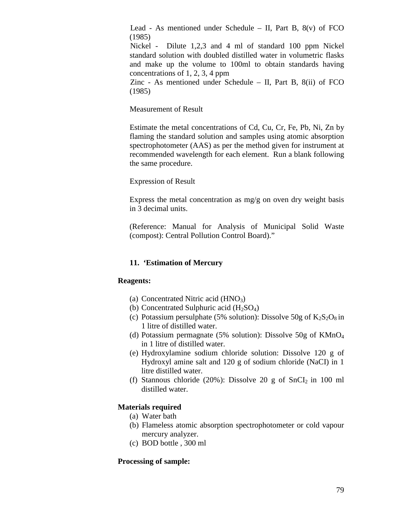Lead - As mentioned under Schedule – II, Part B, 8(v) of FCO (1985)

 Nickel - Dilute 1,2,3 and 4 ml of standard 100 ppm Nickel standard solution with doubled distilled water in volumetric flasks and make up the volume to 100ml to obtain standards having concentrations of 1, 2, 3, 4 ppm

 Zinc - As mentioned under Schedule – II, Part B, 8(ii) of FCO (1985)

Measurement of Result

Estimate the metal concentrations of Cd, Cu, Cr, Fe, Pb, Ni, Zn by flaming the standard solution and samples using atomic absorption spectrophotometer (AAS) as per the method given for instrument at recommended wavelength for each element. Run a blank following the same procedure.

Expression of Result

Express the metal concentration as  $mg/g$  on oven dry weight basis in 3 decimal units.

(Reference: Manual for Analysis of Municipal Solid Waste (compost): Central Pollution Control Board)."

# **11. 'Estimation of Mercury**

#### **Reagents:**

- (a) Concentrated Nitric acid  $(HNO<sub>3</sub>)$
- (b) Concentrated Sulphuric acid  $(H_2SO_4)$
- (c) Potassium persulphate (5% solution): Dissolve 50g of  $K_2S_2O_8$  in 1 litre of distilled water.
- (d) Potassium permagnate (5% solution): Dissolve 50g of  $KMnO<sub>4</sub>$ in 1 litre of distilled water.
- (e) Hydroxylamine sodium chloride solution: Dissolve 120 g of Hydroxyl amine salt and 120 g of sodium chloride (NaCI) in 1 litre distilled water.
- (f) Stannous chloride (20%): Dissolve 20 g of  $SnCI<sub>2</sub>$  in 100 ml distilled water.

#### **Materials required**

- (a) Water bath
- (b) Flameless atomic absorption spectrophotometer or cold vapour mercury analyzer.
- (c) BOD bottle , 300 ml

#### **Processing of sample:**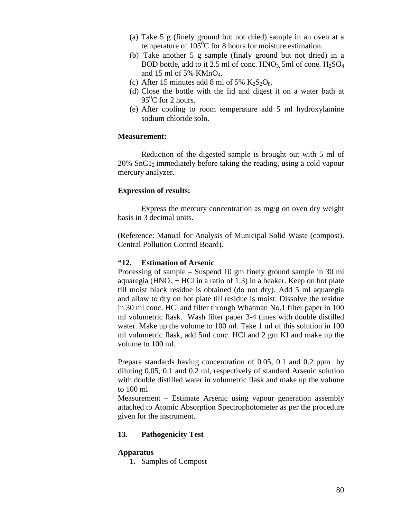- (a) Take 5 g (finely ground but not dried) sample in an oven at a temperature of  $105^{\circ}$ C for 8 hours for moisture estimation.
- (b) Take another 5 g sample (finaly ground but not dried) in a BOD bottle, add to it 2.5 ml of conc.  $HNO<sub>3</sub>$  5ml of cone.  $H<sub>2</sub>SO<sub>4</sub>$ and 15 ml of 5% KMnO4.
- (c) After 15 minutes add 8 ml of 5%  $K_2S_2O_8$ .
- (d) Close the bottle with the lid and digest it on a water bath at  $95^{\circ}$ C for 2 hours.
- (e) After cooling to room temperature add 5 ml hydroxylamine sodium chloride soln.

#### **Measurement:**

 Reduction of the digested sample is brought out with 5 ml of  $20\%$  SnC1<sub>2</sub> immediately before taking the reading, using a cold vapour mercury analyzer.

#### **Expression of results:**

Express the mercury concentration as  $mg/g$  on oven dry weight basis in 3 decimal units.

(Reference: Manual for Analysis of Municipal Solid Waste (compost). Central Pollution Control Board).

#### **"12. Estimation of Arsenic**

Processing of sample – Suspend 10 gm finely ground sample in 30 ml aquaregia ( $HNO<sub>3</sub> + HCl$  in a ratio of 1:3) in a beaker. Keep on hot plate till moist black residue is obtained (do not dry). Add 5 ml aquaregia and allow to dry on hot plate till residue is moist. Dissolve the residue in 30 ml conc. HCl and filter through Whatman No.1 filter paper in 100 ml volumetric flask. Wash filter paper 3-4 times with double distilled water. Make up the volume to 100 ml. Take 1 ml of this solution in 100 ml volumetric flask, add 5ml conc. HCl and 2 gm KI and make up the volume to 100 ml.

Prepare standards having concentration of 0.05, 0.1 and 0.2 ppm by diluting 0.05, 0.1 and 0.2 ml, respectively of standard Arsenic solution with double distilled water in volumetric flask and make up the volume to 100 ml

Measurement – Estimate Arsenic using vapour generation assembly attached to Atomic Absorption Spectrophotometer as per the procedure given for the instrument.

#### **13. Pathogenicity Test**

#### **Apparatus**

1. Samples of Compost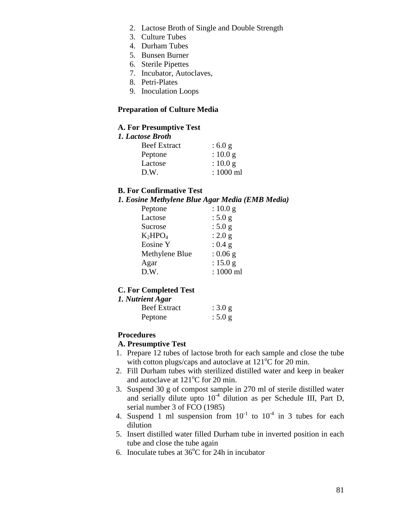- 2. Lactose Broth of Single and Double Strength
- 3. Culture Tubes
- 4. Durham Tubes
- 5. Bunsen Burner
- 6. Sterile Pipettes
- 7. Incubator, Autoclaves,
- 8. Petri-Plates
- 9. Inoculation Loops

## **Preparation of Culture Media**

## **A. For Presumptive Test**

#### *1. Lactose Broth*

| <b>Beef Extract</b> | : 6.0 g     |
|---------------------|-------------|
| Peptone             | : $10.0 g$  |
| Lactose             | : $10.0 g$  |
| D.W.                | $: 1000$ ml |

### **B. For Confirmative Test**

#### *1. Eosine Methylene Blue Agar Media (EMB Media)*

|                | o          |  |
|----------------|------------|--|
| Peptone        | : 10.0 g   |  |
| Lactose        | : $5.0 g$  |  |
| Sucrose        | : 5.0 g    |  |
| $K_2HPO_4$     | : 2.0 g    |  |
| Eosine Y       | : 0.4 g    |  |
| Methylene Blue | $: 0.06$ g |  |
| Agar           | : $15.0 g$ |  |
| D.W.           | : 1000 ml  |  |
|                |            |  |

#### **C. For Completed Test**

#### *1. Nutrient Agar*

| <b>Beef Extract</b> | : 3.0 g |
|---------------------|---------|
| Peptone             | : 5.0 g |

#### **Procedures**

#### **A. Presumptive Test**

- 1. Prepare 12 tubes of lactose broth for each sample and close the tube with cotton plugs/caps and autoclave at  $121^{\circ}$ C for 20 min.
- 2. Fill Durham tubes with sterilized distilled water and keep in beaker and autoclave at  $121^{\circ}$ C for 20 min.
- 3. Suspend 30 g of compost sample in 270 ml of sterile distilled water and serially dilute upto  $10^{-4}$  dilution as per Schedule III, Part D, serial number 3 of FCO (1985)
- 4. Suspend 1 ml suspension from  $10^{-1}$  to  $10^{-4}$  in 3 tubes for each dilution
- 5. Insert distilled water filled Durham tube in inverted position in each tube and close the tube again
- 6. Inoculate tubes at  $36^{\circ}$ C for 24h in incubator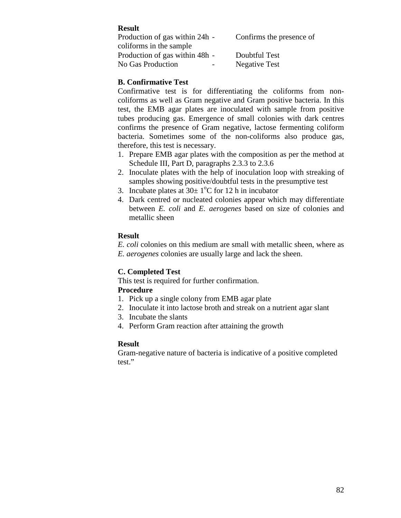# **Result**

| Production of gas within 24h - | Confirms the presence of |
|--------------------------------|--------------------------|
| coliforms in the sample        |                          |
| Production of gas within 48h - | Doubtful Test            |
| No Gas Production              | <b>Negative Test</b>     |

# **B. Confirmative Test**

Confirmative test is for differentiating the coliforms from noncoliforms as well as Gram negative and Gram positive bacteria. In this test, the EMB agar plates are inoculated with sample from positive tubes producing gas. Emergence of small colonies with dark centres confirms the presence of Gram negative, lactose fermenting coliform bacteria. Sometimes some of the non-coliforms also produce gas, therefore, this test is necessary.

- 1. Prepare EMB agar plates with the composition as per the method at Schedule III, Part D, paragraphs 2.3.3 to 2.3.6
- 2. Inoculate plates with the help of inoculation loop with streaking of samples showing positive/doubtful tests in the presumptive test
- 3. Incubate plates at  $30 \pm 1$ <sup>o</sup>C for 12 h in incubator
- 4. Dark centred or nucleated colonies appear which may differentiate between *E. coli* and *E. aerogenes* based on size of colonies and metallic sheen

# **Result**

*E. coli* colonies on this medium are small with metallic sheen, where as *E. aerogenes* colonies are usually large and lack the sheen.

# **C. Completed Test**

This test is required for further confirmation.

# **Procedure**

- 1. Pick up a single colony from EMB agar plate
- 2. Inoculate it into lactose broth and streak on a nutrient agar slant
- 3. Incubate the slants
- 4. Perform Gram reaction after attaining the growth

# **Result**

Gram-negative nature of bacteria is indicative of a positive completed test."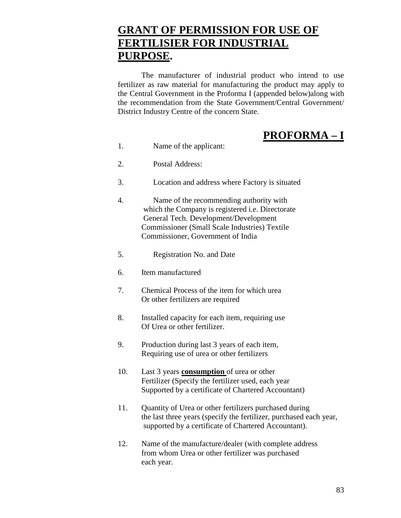# **GRANT OF PERMISSION FOR USE OF FERTILISIER FOR INDUSTRIAL PURPOSE.**

The manufacturer of industrial product who intend to use fertilizer as raw material for manufacturing the product may apply to the Central Government in the Proforma I (appended below)along with the recommendation from the State Government/Central Government/ District Industry Centre of the concern State.

# **PROFORMA – I**

- 1. Name of the applicant:
- 2. Postal Address:
- 3. Location and address where Factory is situated
- 4. Name of the recommending authority with which the Company is registered i.e. Directorate General Tech. Development/Development Commissioner (Small Scale Industries) Textile Commissioner, Government of India
- 5. Registration No. and Date
- 6. Item manufactured
- 7. Chemical Process of the item for which urea Or other fertilizers are required
- 8. Installed capacity for each item, requiring use Of Urea or other fertilizer.
- 9. Production during last 3 years of each item, Requiring use of urea or other fertilizers
- 10. Last 3 years **consumption** of urea or other Fertilizer (Specify the fertilizer used, each year Supported by a certificate of Chartered Accountant)
- 11. Quantity of Urea or other fertilizers purchased during the last three years (specify the fertilizer, purchased each year, supported by a certificate of Chartered Accountant).
- 12. Name of the manufacture/dealer (with complete address from whom Urea or other fertilizer was purchased each year.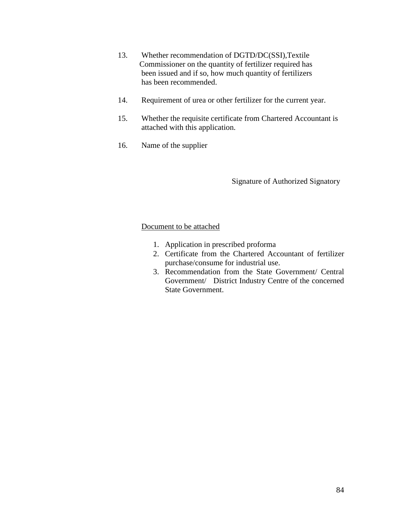- 13. Whether recommendation of DGTD/DC(SSI),Textile Commissioner on the quantity of fertilizer required has been issued and if so, how much quantity of fertilizers has been recommended.
- 14. Requirement of urea or other fertilizer for the current year.
- 15. Whether the requisite certificate from Chartered Accountant is attached with this application.
- 16. Name of the supplier

Signature of Authorized Signatory

#### Document to be attached

- 1. Application in prescribed proforma
- 2. Certificate from the Chartered Accountant of fertilizer purchase/consume for industrial use.
- 3. Recommendation from the State Government/ Central Government/ District Industry Centre of the concerned State Government.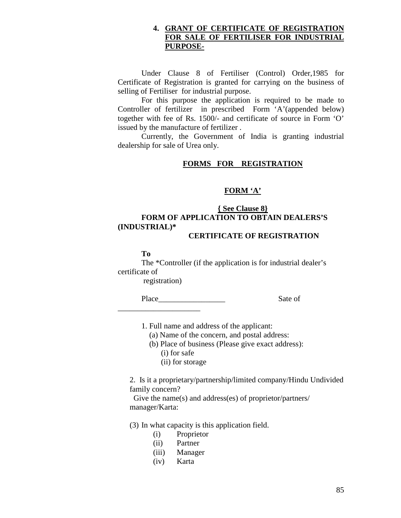#### **4. GRANT OF CERTIFICATE OF REGISTRATION FOR SALE OF FERTILISER FOR INDUSTRIAL PURPOSE-**

Under Clause 8 of Fertiliser (Control) Order,1985 for Certificate of Registration is granted for carrying on the business of selling of Fertiliser for industrial purpose.

For this purpose the application is required to be made to Controller of fertilizer in prescribed Form 'A'(appended below) together with fee of Rs. 1500/- and certificate of source in Form 'O' issued by the manufacture of fertilizer .

Currently, the Government of India is granting industrial dealership for sale of Urea only.

# **FORMS FOR REGISTRATION**

#### **FORM 'A'**

# **{ See Clause 8} FORM OF APPLICATION TO OBTAIN DEALERS'S (INDUSTRIAL)\***

## **CERTIFICATE OF REGISTRATION**

**To** 

The \*Controller (if the application is for industrial dealer's certificate of

registration)

\_\_\_\_\_\_\_\_\_\_\_\_\_\_\_\_\_\_\_\_\_

Place Sate of

1. Full name and address of the applicant:

(a) Name of the concern, and postal address:

 (b) Place of business (Please give exact address): (i) for safe

(ii) for storage

2. Is it a proprietary/partnership/limited company/Hindu Undivided family concern?

 Give the name(s) and address(es) of proprietor/partners/ manager/Karta:

(3) In what capacity is this application field.

- (i) Proprietor
- (ii) Partner
- (iii) Manager
- (iv) Karta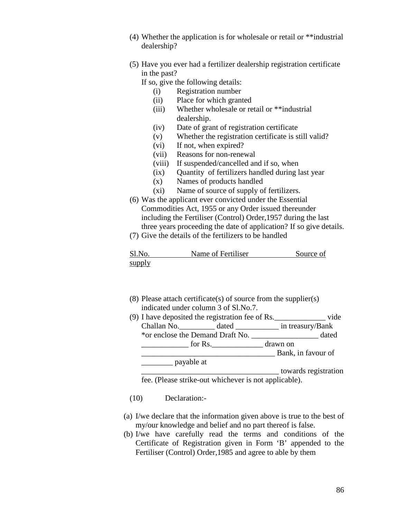- (4) Whether the application is for wholesale or retail or \*\*industrial dealership?
- (5) Have you ever had a fertilizer dealership registration certificate in the past?
	- If so, give the following details:
		- (i) Registration number
		- (ii) Place for which granted
		- (iii) Whether wholesale or retail or \*\*industrial dealership.
		- (iv) Date of grant of registration certificate
		- (v) Whether the registration certificate is still valid?
		- (vi) If not, when expired?
		- (vii) Reasons for non-renewal
		- (viii) If suspended/cancelled and if so, when
		- (ix) Quantity of fertilizers handled during last year
		- (x) Names of products handled
		- (xi) Name of source of supply of fertilizers.
- (6) Was the applicant ever convicted under the Essential Commodities Act, 1955 or any Order issued thereunder including the Fertiliser (Control) Order,1957 during the last three years proceeding the date of application? If so give details.
- (7) Give the details of the fertilizers to be handled

| Sl.No. | Name of Fertiliser | Source of |
|--------|--------------------|-----------|
| supply |                    |           |

- (8) Please attach certificate(s) of source from the supplier(s) indicated under column 3 of Sl.No.7.
- (9) I have deposited the registration fee of Rs.  $%$  vide Challan No.\_\_\_\_\_\_\_\_\_ dated \_\_\_\_\_\_\_\_\_\_\_ in treasury/Bank \*or enclose the Demand Draft No. \_\_\_\_\_\_\_\_\_\_\_\_\_\_\_\_\_ dated \_\_\_\_\_\_\_\_\_\_\_\_ for Rs.\_\_\_\_\_\_\_\_\_\_\_\_\_ drawn on Bank, in favour of \_\_\_\_\_\_\_\_ payable at

\_\_\_\_\_\_\_\_\_\_\_\_\_\_\_\_\_\_\_\_\_\_\_\_\_\_\_\_\_\_\_\_\_\_\_ towards registration fee. (Please strike-out whichever is not applicable).

- (10) Declaration:-
- (a) I/we declare that the information given above is true to the best of my/our knowledge and belief and no part thereof is false.
- (b) I/we have carefully read the terms and conditions of the Certificate of Registration given in Form 'B' appended to the Fertiliser (Control) Order,1985 and agree to able by them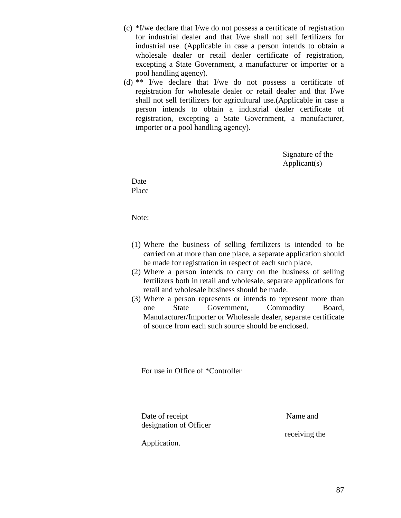- (c) \*I/we declare that I/we do not possess a certificate of registration for industrial dealer and that I/we shall not sell fertilizers for industrial use. (Applicable in case a person intends to obtain a wholesale dealer or retail dealer certificate of registration, excepting a State Government, a manufacturer or importer or a pool handling agency).
- (d) \*\* I/we declare that I/we do not possess a certificate of registration for wholesale dealer or retail dealer and that I/we shall not sell fertilizers for agricultural use.(Applicable in case a person intends to obtain a industrial dealer certificate of registration, excepting a State Government, a manufacturer, importer or a pool handling agency).

Signature of the Applicant(s)

Date Place

Note:

- (1) Where the business of selling fertilizers is intended to be carried on at more than one place, a separate application should be made for registration in respect of each such place.
- (2) Where a person intends to carry on the business of selling fertilizers both in retail and wholesale, separate applications for retail and wholesale business should be made.
- (3) Where a person represents or intends to represent more than one State Government, Commodity Board, Manufacturer/Importer or Wholesale dealer, separate certificate of source from each such source should be enclosed.

For use in Office of \*Controller

Date of receipt Name and designation of Officer

receiving the

Application.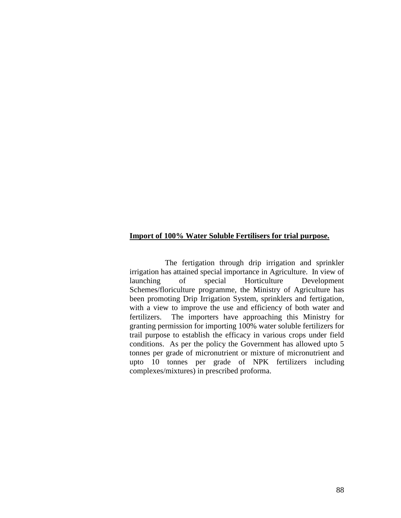#### **Import of 100% Water Soluble Fertilisers for trial purpose.**

 The fertigation through drip irrigation and sprinkler irrigation has attained special importance in Agriculture. In view of launching of special Horticulture Development Schemes/floriculture programme, the Ministry of Agriculture has been promoting Drip Irrigation System, sprinklers and fertigation, with a view to improve the use and efficiency of both water and fertilizers. The importers have approaching this Ministry for granting permission for importing 100% water soluble fertilizers for trail purpose to establish the efficacy in various crops under field conditions. As per the policy the Government has allowed upto 5 tonnes per grade of micronutrient or mixture of micronutrient and upto 10 tonnes per grade of NPK fertilizers including complexes/mixtures) in prescribed proforma.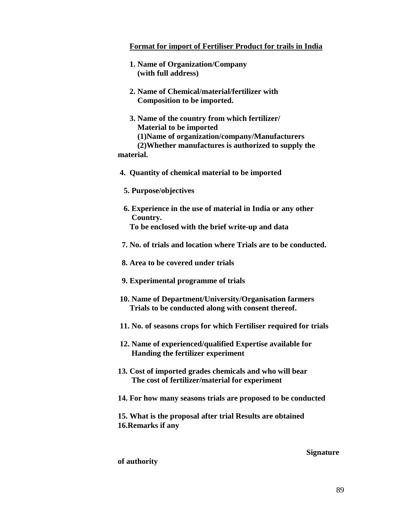#### **Format for import of Fertiliser Product for trails in India**

- **1. Name of Organization/Company (with full address)**
- **2. Name of Chemical/material/fertilizer with Composition to be imported.**
- **3. Name of the country from which fertilizer/ Material to be imported (1)Name of organization/company/Manufacturers (2)Whether manufactures is authorized to supply the**

**material.** 

- **4. Quantity of chemical material to be imported** 
	- **5. Purpose/objectives**
	- **6. Experience in the use of material in India or any other Country.** 
		- **To be enclosed with the brief write-up and data**
- **7. No. of trials and location where Trials are to be conducted.**
- **8. Area to be covered under trials**
- **9. Experimental programme of trials**
- **10. Name of Department/University/Organisation farmers Trials to be conducted along with consent thereof.**
- **11. No. of seasons crops for which Fertiliser required for trials**
- **12. Name of experienced/qualified Expertise available for Handing the fertilizer experiment**
- **13. Cost of imported grades chemicals and who will bear The cost of fertilizer/material for experiment**
- **14. For how many seasons trials are proposed to be conducted**
- **15. What is the proposal after trial Results are obtained 16.Remarks if any**

#### **Signature**

#### **of authority**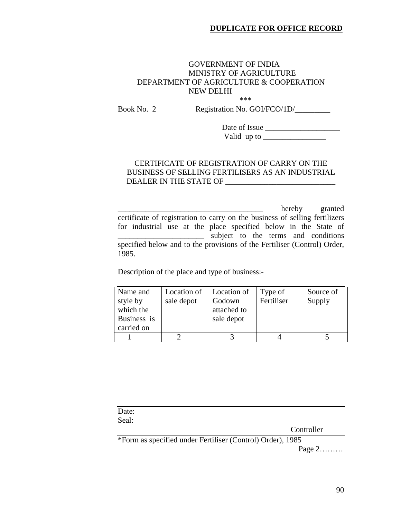## GOVERNMENT OF INDIA MINISTRY OF AGRICULTURE DEPARTMENT OF AGRICULTURE & COOPERATION NEW DELHI

 $***$ 

Book No. 2 Registration No. GOI/FCO/1D/\_\_\_\_\_\_\_\_\_

 Date of Issue \_\_\_\_\_\_\_\_\_\_\_\_\_\_\_\_\_\_\_ Valid up to \_\_\_\_\_\_\_\_\_\_\_\_\_\_\_\_

#### CERTIFICATE OF REGISTRATION OF CARRY ON THE BUSINESS OF SELLING FERTILISERS AS AN INDUSTRIAL DEALER IN THE STATE OF \_\_\_\_\_\_\_\_\_\_\_\_\_\_\_\_\_\_\_\_\_\_\_\_\_\_\_\_

\_\_\_\_\_\_\_\_\_\_\_\_\_\_\_\_\_\_\_\_\_\_\_\_\_\_\_\_\_\_\_\_\_\_\_\_\_ hereby granted certificate of registration to carry on the business of selling fertilizers for industrial use at the place specified below in the State of \_\_\_\_\_\_\_\_\_\_\_\_\_\_\_\_\_\_\_\_\_\_ subject to the terms and conditions specified below and to the provisions of the Fertiliser (Control) Order, 1985.

Description of the place and type of business:-

| Name and<br>style by<br>which the<br>Business is | Location of<br>sale depot | Location of<br>Godown<br>attached to<br>sale depot | Type of<br>Fertiliser | Source of<br>Supply |
|--------------------------------------------------|---------------------------|----------------------------------------------------|-----------------------|---------------------|
| carried on                                       |                           |                                                    |                       |                     |
|                                                  |                           |                                                    |                       |                     |

| Date: |  |            |
|-------|--|------------|
| Seal: |  |            |
|       |  | Controller |
|       |  |            |

\*Form as specified under Fertiliser (Control) Order), 1985

Page 2………